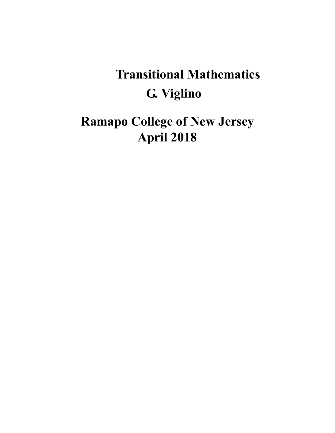# **Transitional Mathematics G. Viglino**

**Ramapo College of New Jersey April 2018**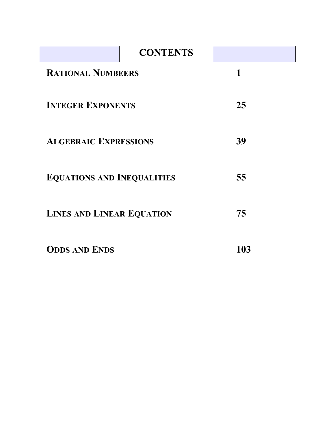|                                   | <b>CONTENTS</b> |     |
|-----------------------------------|-----------------|-----|
| <b>RATIONAL NUMBEERS</b>          |                 | 1   |
| <b>INTEGER EXPONENTS</b>          |                 | 25  |
| <b>ALGEBRAIC EXPRESSIONS</b>      |                 | 39  |
| <b>EQUATIONS AND INEQUALITIES</b> |                 | 55  |
| <b>LINES AND LINEAR EQUATION</b>  |                 | 75  |
| <b>ODDS AND ENDS</b>              |                 | 103 |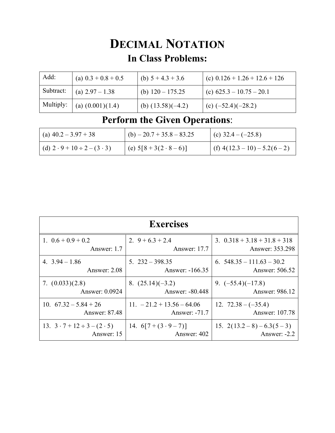## **DECIMAL NOTATION In Class Problems:**

| Add:      | (a) $0.3 + 0.8 + 0.5$ | (b) $5 + 4.3 + 3.6$ | (c) $0.126 + 1.26 + 12.6 + 126$ |
|-----------|-----------------------|---------------------|---------------------------------|
| Subtract: | (a) $2.97 - 1.38$     | (b) $120 - 175.25$  | (c) $625.3 - 10.75 - 20.1$      |
| Multiply: | (a) $(0.001)(1.4)$    | (b) $(13.58)(-4.2)$ | (c) $(-52.4)(-28.2)$            |

### **Perform the Given Operations**:

| (a) $40.2 - 3.97 + 38$                    | $(b) - 20.7 + 35.8 - 83.25$   | (c) $32.4 - (-25.8)$            |
|-------------------------------------------|-------------------------------|---------------------------------|
| (d) $2 \cdot 9 + 10 \div 2 - (3 \cdot 3)$ | (e) $5[8 + 3(2 \cdot 8 - 6)]$ | $(f)$ 4(12.3 – 10) – 5.2(6 – 2) |

| <b>Exercises</b>                          |                              |                                  |
|-------------------------------------------|------------------------------|----------------------------------|
| 1. $0.6 + 0.9 + 0.2$                      | 2. $9 + 6.3 + 2.4$           | 3. $0.318 + 3.18 + 31.8 + 318$   |
| Answer: $1.7$                             | Answer: 17.7                 | Answer: 353.298                  |
| 4. $3.94 - 1.86$                          | 5. $232 - 398.35$            | 6. $548.35 - 111.63 - 30.2$      |
| <b>Answer: 2.08</b>                       | Answer: -166.35              | Answer: 506.52                   |
| 7. $(0.033)(2.8)$                         | 8. $(25.14)(-3.2)$           | 9. $(-55.4)(-17.8)$              |
| Answer: 0.0924                            | Answer: -80.448              | Answer: 986.12                   |
| 10. $67.32 - 5.84 + 26$                   | $11. -21.2 + 13.56 - 64.06$  | 12. $72.38 - (-35.4)$            |
| Answer: 87.48                             | Answer: -71.7                | Answer: 107.78                   |
| 13. $3 \cdot 7 + 12 \div 3 - (2 \cdot 5)$ | 14. $6[7 + (3 \cdot 9 - 7)]$ | 15. 2( $13.2 - 8$ ) – 6.3(5 – 3) |
| Answer: 15                                | Answer: 402                  | Answer: -2.2                     |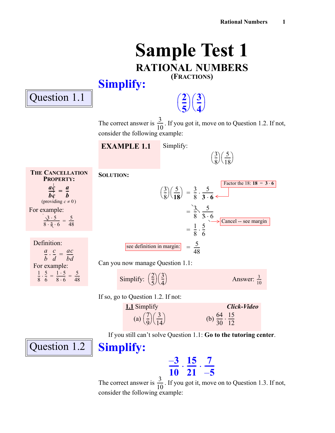# **Sample Test 1 RATIONAL NUMBERS**

**(FRACTIONS)**

### **Simplify:**

Question 1.1 **2**

 $\left(\frac{2}{5}\right)\left(\frac{3}{4}\right)$ **4**  $\left(\frac{3}{4}\right)$ 

The correct answer is  $\frac{3}{10}$ . If you got it, move on to Question 1.2. If not, consider the following example: 10  $\frac{5}{10}$ 

**EXAMPLE 1.1** Simplify:

3  $\left(\frac{3}{8}\right)\left(\frac{5}{18}\right)$ 

**PROPERTY:** For example: *ac bc*  $\frac{ac}{bc} = \frac{a}{b}$ (providing  $c \neq 0$ )  $\frac{3 \cdot 5}{8 \cdot 3 \cdot 6} = \frac{5}{48}$ 

**THE CANCELLATION**

Definition: For example: *a b*  $\frac{a}{7} \cdot \frac{c}{7}$ *d*  $\cdot \frac{c}{d} = \frac{ac}{bd}$ 1  $\frac{1}{8} \cdot \frac{5}{6} = \frac{1 \cdot 5}{8 \cdot 6} = \frac{5}{48}$  **SOLUTION:**



Can you now manage Question 1.1:

Simplify:  $\left(\frac{2}{5}\right)\left(\frac{3}{4}\right)$  Answer:  $\left(\frac{2}{5}\right)\left(\frac{3}{4}\right)$ 

 $\left(\frac{3}{4}\right)$  Answer:  $\frac{3}{10}$ 

If so, go to Question 1.2. If not:

**Simplify:**

| <b>1.1</b> Simplify                                     | Click-Video                             |
|---------------------------------------------------------|-----------------------------------------|
| (a) $\left(\frac{7}{9}\right)\left(\frac{3}{14}\right)$ | (b) $\frac{64}{30} \cdot \frac{15}{12}$ |

If you still can't solve Question 1.1: **Go to the tutoring center**.

–**3**

Question 1.2

The correct answer is  $\frac{3}{10}$ . If you got it, move on to Question 1.3. If not, consider the following example: **10**  $\frac{-3}{10}$ .  $\frac{15}{21}$ **21**  $\frac{15}{21}$ .  $\frac{7}{4}$  $\frac{15}{21} \cdot \frac{1}{-5}$ 10  $\frac{5}{10}$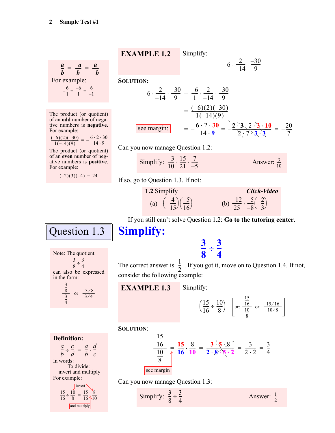$$
-\frac{a}{b} = \frac{-a}{b} = \frac{a}{-b}
$$
  
For example:  

$$
-\frac{6}{1} = \frac{-6}{1} = \frac{6}{-1}
$$

The product (or quotient) of an **odd** number of negative numbers is **negative.** For example:

$$
\frac{(-6)(2)(-30)}{1(-14)(9)} = -\frac{6 \cdot 2 \cdot 30}{14 \cdot 9}
$$

The product (or quotient) of an **even** number of negative numbers is **positive**. For example:

$$
(-2)(3)(-4) = 24
$$

**EXAMPLE 1.2** Simplify:

 $6 \cdot \frac{2}{-14}$  $-6 \cdot \frac{2}{-14} \cdot \frac{-30}{9}$ 

**SOLUTION:**

$$
-6 \cdot \frac{2}{-14} \cdot \frac{-30}{9} = \frac{-6}{1} \cdot \frac{2}{-14} \cdot \frac{-30}{9}
$$
  
= 
$$
\frac{(-6)(2)(-30)}{1(-14)(9)}
$$
  
see margin: 
$$
= -\frac{6 \cdot 2 \cdot 30}{14 \cdot 9} = -\frac{2 \cdot 3 \cdot 2 \cdot 3 \cdot 10}{2 \cdot 7 \cdot 3 \cdot 3} = -\frac{20}{7}
$$

Can you now manage Question 1.2:

Simplify: 
$$
\frac{-3}{10} \cdot \frac{15}{21} \cdot \frac{7}{-5}
$$
 Answer:  $\frac{3}{10}$ 

If so, go to Question 1.3. If not:

| 1.2 Simplify                          | Click-Video                                                          |
|---------------------------------------|----------------------------------------------------------------------|
| (a) $-(-\frac{4}{15})(\frac{-5}{16})$ | (b) $\frac{-12}{25} \cdot \frac{-5}{-8} \left( -\frac{2}{3} \right)$ |

If you still can't solve Question 1.2: **Go to the tutoring center**.

Question 1.3

Note: The quotient can also be expressed in the form: 3  $\frac{3}{8} \div \frac{3}{4}$  $\frac{3}{8}$ 3  $\frac{3}{4}$  $\frac{8}{2}$  or  $\frac{3/8}{2/4}$ 

# **Simplify:**

$$
\frac{3}{8} \div \frac{3}{4}
$$

The correct answer is  $\frac{1}{2}$ . If you got it, move on to Question 1.4. If not, consider the following example: 2  $\frac{1}{2}$ 

**EXAMPLE 1.3** Simplify:

$$
\left(\frac{15}{16} \div \frac{10}{8}\right)
$$
 or:  $\frac{\frac{15}{16}}{\frac{10}{8}}$  or:  $\frac{15/16}{10/8}$ 

**Definition:** In words: To divide: invert and multiply For example: *a b*  $\frac{a}{7} \div \frac{c}{7}$  $\frac{c}{d} = \frac{a}{b}$  $=\frac{a}{b} \cdot \frac{d}{c}$ 15  $\frac{15}{16} \div \frac{10}{8} = \frac{15}{16}$  $=\frac{15}{16}$   $\frac{8}{10}$ invert and multiply

**SOLUTION**:

$$
\frac{\frac{15}{16}}{\frac{10}{8}} = \frac{15}{16} \cdot \frac{8}{10} = \frac{3 \cdot 5 \cdot 8}{2 \cdot 8 \cdot 5 \cdot 2} = \frac{3}{2 \cdot 2} = \frac{3}{4}
$$
  
see margin

Can you now manage Question 1.3:

 $15$ 

Simplify: 
$$
\frac{3}{8} \div \frac{3}{4}
$$
 Answer:  $\frac{1}{2}$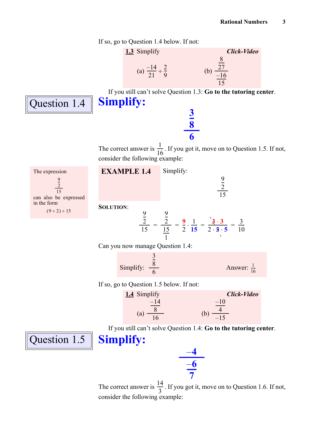

**1.3** Simplify *Click-Video* (a)  $\frac{-14}{21} \div \frac{2}{9}$  (b)  $\frac{-14}{21} \div \frac{2}{9}$ 9  $\div \frac{2}{\Omega}$  $rac{8}{27}$  $\frac{-16}{15}$ 15  $\frac{21}{16}$ 



If you still can't solve Question 1.3: **Go to the tutoring center**.

 $\frac{3}{2}$ **8**  $\frac{5}{2}$ 

**---------**

The correct answer is  $\frac{1}{16}$ . If you got it, move on to Question 1.5. If not, consider the following example: **6** 16  $\frac{1}{1}$ 



**SOLUTION**:

**Simplify:**

**Simplify:**

$$
\frac{\frac{9}{2}}{15} = \frac{\frac{9}{2}}{\frac{15}{1}} = \frac{9}{2} \cdot \frac{1}{15} = \frac{3 \cdot 3}{2 \cdot 3 \cdot 5} = \frac{3}{10}
$$

 $\frac{9}{2}$ 

15  $\frac{2}{15}$ 

Can you now manage Question 1.4:

**EXAMPLE 1.4** Simplify:

Simplify: 
$$
\frac{\frac{3}{8}}{6}
$$
 Answer:  $\frac{1}{16}$ 

If so, go to Question 1.5 below. If not:

| 1.4 Simplify   | Click-Video |
|----------------|-------------|
| –14            | $-10$       |
| (a)            | (b)         |
| $\overline{6}$ |             |

If you still can't solve Question 1.4: **Go to the tutoring center**.

 $-4$ 

**---------------**

Question 1.5

The correct answer is  $\frac{14}{2}$ . If you got it, move on to Question 1.6. If not, consider the following example: –**6 7 -----** 3  $\frac{14}{2}$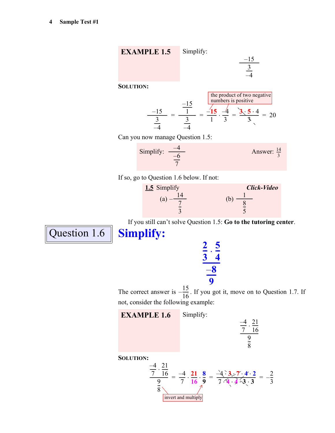

Can you now manage Question 1.5:

Simplify: 
$$
\frac{-4}{\frac{-6}{7}}
$$
 Answer:  $\frac{14}{3}$ 

If so, go to Question 1.6 below. If not:

**1.5** Simplify *Click-Video*  $(a) -\frac{14}{7}$  (b) 7 3  $\frac{1}{2}$  $-\frac{14}{7}$  (b)  $-\frac{1}{9}$ 8 5  $\frac{8}{1}$  $\frac{1}{\sqrt{2}}$ 

If you still can't solve Question 1.5: **Go to the tutoring center**.

Question 1.6

**Simplify:**

$$
\frac{\frac{2}{3} \cdot \frac{5}{4}}{-\frac{8}{9}}
$$

The correct answer is  $-\frac{13}{16}$ . If you got it, move on to Question 1.7. If not, consider the following example:  $-\frac{15}{16}$ 

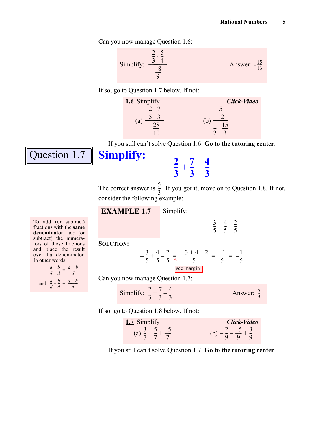Can you now manage Question 1.6:

Simplify: 
$$
\frac{\frac{2}{3} \cdot \frac{5}{4}}{\frac{-8}{9}}
$$
 Answer:  $-\frac{15}{16}$ 

If so, go to Question 1.7 below. If not:

1.6 Simplify  
\n(a) 
$$
\frac{2}{5} \cdot \frac{7}{3}
$$
  
\n(b)  $\frac{5}{12}$   
\n $\frac{1}{2} \cdot \frac{15}{3}$ 

If you still can't solve Question 1.6: **Go to the tutoring center**.

Question 1.7 **<sup>2</sup>**

The correct answer is  $\frac{5}{2}$ . If you got it, move on to Question 1.8. If not, consider the following example: 3  $\frac{2}{2}$ 

**3**

 $\frac{7}{2} - \frac{4}{2}$ 

 $+\frac{7}{2}-\frac{4}{2}$ 

**3**

**3**

 $\frac{2}{2} + \frac{7}{2}$ 

**EXAMPLE 1.7** Simplify:

$$
-\frac{3}{5}+\frac{4}{5}-\frac{2}{5}
$$

**SOLUTION:**

**Simplify:**

$$
-\frac{3}{5} + \frac{4}{5} - \frac{2}{5} = \frac{-3 + 4 - 2}{5} = \frac{-1}{5} = -\frac{1}{5}
$$
  
see margin

Can you now manage Question 1.7:

Simplify: 
$$
\frac{2}{3} + \frac{7}{3} - \frac{4}{3}
$$
 Answer:  $\frac{5}{3}$ 

If so, go to Question 1.8 below. If not:

1.7 Simplify  
\n(a) 
$$
\frac{3}{7} + \frac{5}{7} + \frac{-5}{7}
$$
 (b)  $-\frac{2}{9} - \frac{-5}{9} + \frac{3}{9}$ 

If you still can't solve Question 1.7: **Go to the tutoring center**.

To add (or subtract) fractions with the **same denominator**, add (or subtract) the numerators of those fractions and place the result over that denominator. In other words:

$$
\frac{a}{d} + \frac{b}{d} = \frac{a+b}{d}
$$
  
and 
$$
\frac{a}{d} - \frac{b}{d} = \frac{a-b}{d}
$$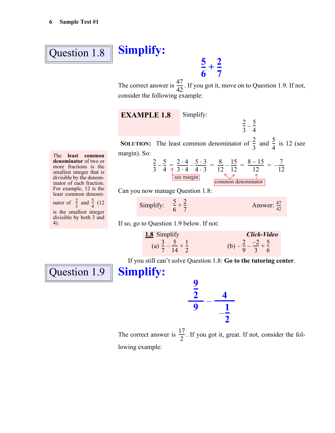Question 1.8

## **Simplify:**

The correct answer is  $\frac{47}{42}$ . If you got it, move on to Question 1.9. If not, consider the following example: **6 7** 47 42  $\frac{+1}{12}$ 

 $\frac{5}{2} + \frac{2}{7}$ 

 $+\frac{2}{7}$ 

**5**

The **least common denominator** of two or more fractions is the smallest integer that is divisible by the denominator of each fraction. For example, 12 is the least common denominator of  $\frac{2}{3}$  and  $\frac{5}{4}$  (12) is the smallest integer divisible by both 3 and 4).  $rac{2}{3}$  and  $rac{5}{4}$ 

The correct answer is 
$$
\frac{47}{42}
$$
. If you got it, move on to Question 1.9. If not, consider the following example:

margin). So: 3 4 2 3  $\frac{2}{3} - \frac{5}{4} = \frac{2 \cdot 4}{3 \cdot 4} - \frac{5 \cdot 3}{4 \cdot 3} = \frac{8}{12}$  $=\frac{2 \cdot 4}{1} - \frac{5 \cdot 3}{4 \cdot 3} = \frac{8}{12} - \frac{15}{12} = \frac{8 - 15}{12} = -\frac{7}{12}$ 

**SOLUTION:** The least common denominator of  $\frac{2}{3}$  and  $\frac{5}{4}$  is 12 (see

see margin  $\sqrt{\frac{1}{2}}$ 

2 3  $\frac{2}{3} - \frac{5}{4}$ 

 $rac{2}{5}$  and  $rac{5}{4}$ 

 $\frac{3}{1}$ 

Can you now manage Question 1.8:

**EXAMPLE 1.8** Simplify:

$$
\frac{5}{4} \frac{(12)}{(12)}
$$
 Simplify:  $\frac{5}{6} + \frac{2}{7}$  Answer:  $\frac{47}{42}$ 

If so, go to Question 1.9 below. If not:

**Simplify:**

1.8 Simplify  
\n(a) 
$$
\frac{3}{7} - \frac{5}{14} + \frac{1}{2}
$$
 (b)  $-\frac{2}{9} - \frac{-2}{3} + \frac{5}{6}$ 

If you still can't solve Question 1.8: **Go to the tutoring center**.

Question 1.9



The correct answer is  $\frac{17}{2}$ . If you got it, great. If not, consider the following example: 2  $\frac{1}{2}$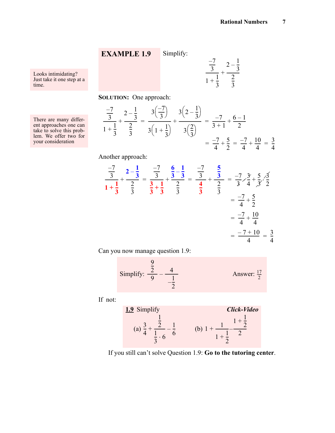**EXAMPLE 1.9** Simplify:

$$
\frac{-7}{3} + \frac{2 - \frac{1}{3}}{2} + \frac{2 - \frac{1}{3}}{2}
$$

Looks intimidating? Just take it one step at a time.

There are many different approaches one can take to solve this problem. We offer two for your consideration

**SOLUTION:** One approach:

$$
\frac{-7}{\frac{3}{1+\frac{1}{3}}} + \frac{2 - \frac{1}{3}}{\frac{2}{3}} = \frac{3\left(\frac{-7}{3}\right)}{3\left(1 + \frac{1}{3}\right)} + \frac{3\left(2 - \frac{1}{3}\right)}{3\left(\frac{2}{3}\right)} = \frac{-7}{3+1} + \frac{6-1}{2}
$$

$$
= \frac{-7}{4} + \frac{5}{2} = \frac{-7}{4} + \frac{10}{4} = \frac{3}{4}
$$

Another approach:

$$
\frac{-7}{3} + \frac{2 - \frac{1}{3}}{\frac{2}{3}} = \frac{-7}{3} + \frac{\frac{6}{3} - \frac{1}{3}}{\frac{2}{3}} = \frac{-7}{3} + \frac{\frac{5}{3}}{\frac{2}{3}} = \frac{-7}{3} \div \frac{3}{4} + \frac{5}{3} \times \frac{5}{2}
$$

$$
= \frac{-7}{4} + \frac{5}{2}
$$

$$
= \frac{-7}{4} + \frac{10}{4}
$$

$$
= \frac{-7 + 10}{4} = \frac{3}{4}
$$

Can you now manage question 1.9:

Simplify: 
$$
\frac{\frac{9}{2}}{\frac{9}{2}} - \frac{4}{-\frac{1}{2}}
$$
 Answer:  $\frac{17}{2}$ 

If not:

1.9 Simplify  
\n(a) 
$$
\frac{1}{4} + \frac{1}{2} - \frac{1}{6}
$$
 (b)  $1 + \frac{1}{1 + \frac{1}{2}} - \frac{1 + \frac{1}{2}}{2}$ 

If you still can't solve Question 1.9: **Go to the tutoring center**.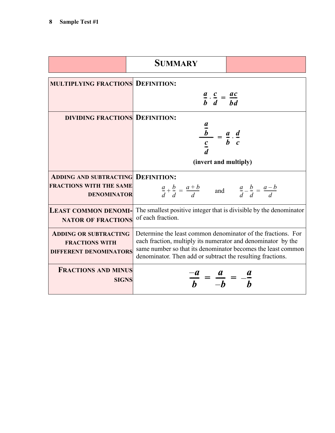|                                                                                                   | <b>SUMMARY</b>                                                                                                                                                                                                                                             |
|---------------------------------------------------------------------------------------------------|------------------------------------------------------------------------------------------------------------------------------------------------------------------------------------------------------------------------------------------------------------|
| <b>MULTIPLYING FRACTIONS DEFINITION:</b>                                                          |                                                                                                                                                                                                                                                            |
|                                                                                                   | $\frac{a}{b} \cdot \frac{c}{d} = \frac{ac}{bd}$                                                                                                                                                                                                            |
| <b>DIVIDING FRACTIONS DEFINITION:</b>                                                             | $rac{a}{\frac{c}{d}}$ = $rac{a}{b} \cdot \frac{d}{c}$                                                                                                                                                                                                      |
|                                                                                                   | (invert and multiply)                                                                                                                                                                                                                                      |
| <b>ADDING AND SUBTRACTING DEFINITION:</b><br><b>FRACTIONS WITH THE SAME</b><br><b>DENOMINATOR</b> | $\frac{a}{d} + \frac{b}{d} = \frac{a+b}{d}$ and $\frac{a}{d} - \frac{b}{d} = \frac{a-b}{d}$                                                                                                                                                                |
| <b>LEAST COMMON DENOMI-</b><br><b>NATOR OF FRACTIONS</b>                                          | The smallest positive integer that is divisible by the denominator<br>of each fraction.                                                                                                                                                                    |
| <b>ADDING OR SUBTRACTING</b><br><b>FRACTIONS WITH</b><br><b>DIFFERENT DENOMINATORS</b>            | Determine the least common denominator of the fractions. For<br>each fraction, multiply its numerator and denominator by the<br>same number so that its denominator becomes the least common<br>denominator. Then add or subtract the resulting fractions. |
| <b>FRACTIONS AND MINUS</b><br><b>SIGNS</b>                                                        | $\frac{-a}{b} = \frac{a}{-b} = -\frac{a}{b}$                                                                                                                                                                                                               |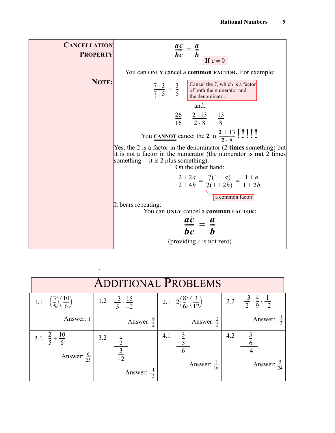| <b>CANCELLATION</b><br><b>PROPERTY</b> | $\frac{ac}{bc} = \frac{a}{b}$                                                                                                                                                                                                                                                                        |
|----------------------------------------|------------------------------------------------------------------------------------------------------------------------------------------------------------------------------------------------------------------------------------------------------------------------------------------------------|
| NOTE:                                  | You can ONLY cancel a common FACTOR. For example:<br>$\frac{7 \cdot 3}{7 \cdot 5}$ = $\frac{3}{5}$ Cancel the 7, which is a factor<br>of both the numerator and<br>the denominator.                                                                                                                  |
|                                        | and:<br>$\frac{26}{16} = \frac{2 \cdot 13}{2 \cdot 8} = \frac{13}{8}$                                                                                                                                                                                                                                |
|                                        | You $\underline{\text{CANNOT}}$ cancel the 2 in $\frac{2+13}{2 \cdot 8}$ !!!!!<br>Yes, the 2 is a factor in the denominator $(2 \times 1)$ something) but<br>it is not a factor in the numerator (the numerator is <b>not</b> 2 times<br>something -- it is 2 plus something).<br>On the other hand: |
|                                        | $\frac{2+2a}{2+4b} = \frac{\cancel{2}(1+a)}{\cancel{2}(1+2b)} = \frac{1+a}{1+2b}$<br>a common factor                                                                                                                                                                                                 |
|                                        | It bears repeating:<br>You can ONLY cancel a common FACTOR:<br>$\frac{ac}{2} = \frac{a}{2}$<br>$b\dot{c}$ $b$<br>(providing $c$ is not zero)                                                                                                                                                         |

| <b>DDITIONAL PROBLEMS</b>                                      |                                                           |                                                          |                                                         |
|----------------------------------------------------------------|-----------------------------------------------------------|----------------------------------------------------------|---------------------------------------------------------|
| $\left(\frac{3}{5}\right)\left(\frac{10}{6}\right)$<br>1.1     | 1.2 $\frac{-3}{5} \cdot \frac{15}{-2}$                    | 2.1 $2\left(\frac{8}{6}\right)\left(\frac{3}{12}\right)$ | 2.2 $-\frac{3}{2} \cdot \frac{4}{9} \cdot \frac{1}{-2}$ |
| Answer: 1                                                      | Answer: $\frac{9}{2}$                                     | Answer: $\frac{2}{3}$                                    | Answer:<br>$-\frac{1}{2}$                               |
| $rac{2}{5} \div \frac{10}{6}$<br>3.1<br>Answer: $\frac{6}{25}$ | 3.2<br>$\frac{\frac{1}{2}}{-2}$<br>Answer: $-\frac{1}{2}$ | 4.1<br>Answer: $\frac{1}{10}$                            | 4.2<br>Answer: $\frac{5}{24}$                           |

.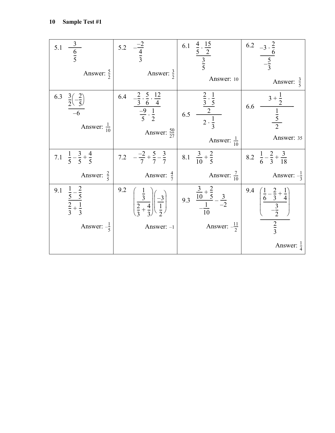| $\frac{3}{\frac{6}{5}}$<br>5.1<br>Answer: $\frac{5}{2}$                                     | $-\frac{-2}{4}$<br>$\frac{4}{3}$<br>$5.2$<br>Answer: $\frac{3}{2}$                                                           | $rac{4}{5} \cdot \frac{15}{2}$<br>$rac{3}{5}$<br>6.1<br>Answer: 10                             | 6.2 $-3 \cdot \frac{2}{6}$<br>$- \frac{5}{3}$<br>Answer: $\frac{3}{5}$              |
|---------------------------------------------------------------------------------------------|------------------------------------------------------------------------------------------------------------------------------|------------------------------------------------------------------------------------------------|-------------------------------------------------------------------------------------|
| 6.3<br>$\frac{3}{2} \left( -\frac{2}{5} \right)$<br>-6<br>Answer: $\frac{1}{10}$            | $\frac{-\frac{2}{3} \cdot \frac{5}{6} \cdot \frac{12}{4}}{-\frac{9}{5} \cdot \frac{1}{2}}$<br>6.4<br>Answer: $\frac{50}{27}$ | $\frac{\frac{2}{3} \cdot \frac{1}{5}}{2 \cdot \frac{1}{3}}$<br>6.5<br>Answer: $\frac{1}{10}$   | $3 + \frac{1}{2}$<br>6.6<br>$\frac{1}{5}$ $\frac{1}{2}$<br>Answer: 35               |
| $\frac{1}{5} - \frac{3}{5} + \frac{4}{5}$<br>$7.1\,$                                        | 7.2 $-\frac{-2}{7} + \frac{5}{7} - \frac{3}{7}$                                                                              | 8.1 $\frac{3}{10} + \frac{2}{5}$                                                               | 8.2 $\frac{1}{6} - \frac{2}{3} + \frac{3}{18}$                                      |
| Answer: $\frac{2}{5}$                                                                       | Answer: $\frac{4}{7}$                                                                                                        | Answer: $\frac{7}{10}$                                                                         | Answer: $-\frac{1}{3}$                                                              |
| $\frac{1}{5} - \frac{2}{5}$<br>$\frac{2}{3} + \frac{1}{3}$<br>9.1<br>Answer: $-\frac{1}{5}$ | 9.2<br>$\left(\frac{\frac{1}{3}}{\frac{2}{3}+\frac{4}{3}}\right)\left(\frac{-3}{\frac{1}{2}}\right)$<br>Answer: -1           | 9.3 $rac{\frac{3}{10} + \frac{2}{5}}{-\frac{1}{10}} - \frac{3}{-2}$<br>Answer: $-\frac{11}{2}$ | 9.4<br>$\frac{1}{6} - \frac{2}{3} + \frac{1}{4}$<br>$-\frac{3}{2}$<br>$\frac{2}{3}$ |
|                                                                                             |                                                                                                                              |                                                                                                | Answer: $\frac{1}{4}$                                                               |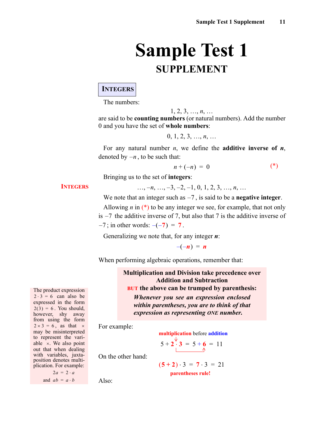# **Sample Test 1 SUPPLEMENT**

#### **INTEGERS**

The numbers:

are said to be **counting numbers** (or natural numbers). Add the number 0 and you have the set of **whole numbers**:  $1, 2, 3, \ldots, n, \ldots$ 

$$
0, 1, 2, 3, \ldots, n, \ldots
$$

For any natural number  $n$ , we define the **additive inverse of**  $n$ , denoted by  $-n$ , to be such that:

$$
n + (-n) = 0 \tag{*}
$$

Bringing us to the set of **integers**:

#### **INTEGERS**

The product expression  $2 \cdot 3 = 6$  can also be expressed in the form  $2(3) = 6$ . You should, however, shy away from using the form  $2 \times 3 = 6$ , as that  $\times$ may be misinterpreted to represent the variable  $\times$ . We also point out that when dealing with variables, juxtaposition denotes multi $..., -n, ..., -3, -2, -1, 0, 1, 2, 3, ..., n, ...$ 

We note that an integer such as  $-7$ , is said to be a **negative integer**.

Allowing  $n$  in  $(*)$  to be any integer we see, for example, that not only is  $-7$  the additive inverse of 7, but also that 7 is the additive inverse of

 $-7$ ; in other words:  $-(-7) = 7$ .

Generalizing we note that, for any integer *n*:

 $-(-n) = n$ 

When performing algebraic operations, remember that:

**Multiplication and Division take precedence over Addition and Subtraction** 

**BUT the above can be trumped by parenthesis:**

*Whenever you see an expression enclosed within parentheses, you are to think of that expression as representing ONE number.*

For example:

**multiplication** before **addition**

$$
5 + 2 \frac{3}{2} = 5 + 6 = 11
$$

On the other hand:

plication. For example:  
\n
$$
2a = 2 \cdot a
$$
  
\nand  $ab = a \cdot b$ 

Also:

 $(5 + 2) \cdot 3 = 7 \cdot 3 = 21$ 

**parentheses rule!**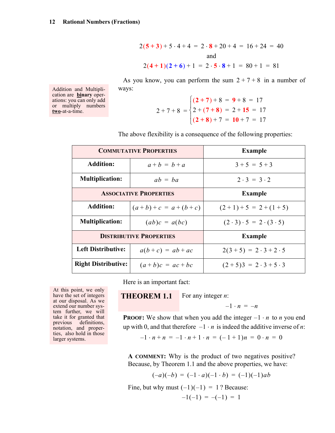$$
2(5+3)+5 \cdot 4 + 4 = 2 \cdot 8 + 20 + 4 = 16 + 24 = 40
$$
  
and  

$$
2(4+1)(2+6) + 1 = 2 \cdot 5 \cdot 8 + 1 = 80 + 1 = 81
$$

As you know, you can perform the sum  $2 + 7 + 8$  in a number of ways:

Addition and Multiplication are **binary** operations: you can only add or multiply numbers **two**-at-a-time.

$$
2 + 7 + 8 = \begin{cases} (2 + 7) + 8 = 9 + 8 = 17 \\ 2 + (7 + 8) = 2 + 15 = 17 \\ (2 + 8) + 7 = 10 + 7 = 17 \end{cases}
$$

The above flexibility is a consequence of the following properties:

| <b>COMMUTATIVE PROPERTIES</b>  |                     | <b>Example</b>                              |
|--------------------------------|---------------------|---------------------------------------------|
| <b>Addition:</b>               | $a+b = b+a$         | $3+5 = 5+3$                                 |
| <b>Multiplication:</b>         | $ab = ba$           | $2 \cdot 3 = 3 \cdot 2$                     |
| <b>ASSOCIATIVE PROPERTIES</b>  |                     | <b>Example</b>                              |
| <b>Addition:</b>               | $(a+b)+c = a+(b+c)$ | $(2+1)+5 = 2+(1+5)$                         |
| <b>Multiplication:</b>         | $(ab)c = a(bc)$     | $(2 \cdot 3) \cdot 5 = 2 \cdot (3 \cdot 5)$ |
| <b>DISTRIBUTIVE PROPERTIES</b> |                     | <b>Example</b>                              |
| <b>Left Distributive:</b>      | $a(b+c) = ab + ac$  | $2(3+5) = 2 \cdot 3 + 2 \cdot 5$            |
| <b>Right Distributive:</b>     | $(a+b)c = ac + bc$  | $(2+5)3 = 2 \cdot 3 + 5 \cdot 3$            |

Here is an important fact:

At this point, we only have the set of integers at our disposal. As we extend our number system further, we will take it for granted that previous definitions, notation, and properties, also hold in those larger systems.

**THEOREM 1.1** For any integer *n*:

$$
-1 \cdot n = -n
$$

**PROOF:** We show that when you add the integer  $-1 \cdot n$  to *n* you end up with 0, and that therefore  $-1 \cdot n$  is indeed the additive inverse of *n*:

$$
-1 \cdot n + n = -1 \cdot n + 1 \cdot n = (-1 + 1)n = 0 \cdot n = 0
$$

**A COMMENT:** Why is the product of two negatives positive? Because, by Theorem 1.1 and the above properties, we have:

$$
(-a)(-b) = (-1 \cdot a)(-1 \cdot b) = (-1)(-1)ab
$$

Fine, but why must  $(-1)(-1) = 1$ ? Because:

$$
-1(-1) = -(-1) = 1
$$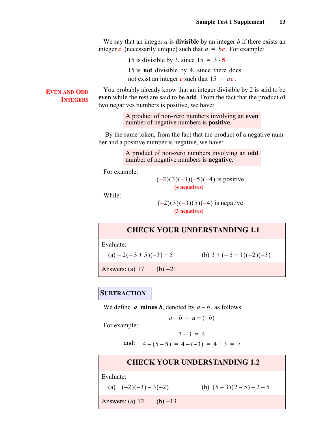We say that an integer *a* is **divisible** by an integer *b* if there exists an integer c (necessarily unique) such that  $a = bc$ . For example:

> 15 is divisible by 3, since  $15 = 3 \cdot 5$ . 15 is **not** divisible by 4, since there does

not exist an integer *c* such that  $15 = ac$ .

**EVEN AND ODD INTEGERS**

You probably already know that an integer divisible by 2 is said to be **even** while the rest are said to be **odd**. From the fact that the product of two negatives numbers is positive, we have:

> A product of non-zero numbers involving an **even** number of negative numbers is **positive**.

 By the same token, from the fact that the product of a negative number and a positive number is negative, we have:

> A product of non-zero numbers involving an **odd** number of negative numbers is **negative**.

For example:

 $(-2)(3)(-3)(-5)(-4)$  is positive **(4 negatives)**

While:

 $(-2)(3)(-3)(5)(-4)$  is negative **(3 negatives)**

#### **CHECK YOUR UNDERSTANDING 1.1**

Evaluate:

$$
(a) -2(-3+5)(-3)+5
$$
 (b)

(b)  $3 + (-5 + 1)(-2)(-3)$ 

Answers:  $(a)$  17 (b)  $-21$ 

#### **SUBTRACTION**

We define  $\boldsymbol{a}$  minus  $\boldsymbol{b}$ , denoted by  $\boldsymbol{a} - \boldsymbol{b}$ , as follows:

$$
a-b = a+(-b)
$$

For example:

$$
7-3 = 4
$$

and:  $4-(5-8) = 4-(-3) = 4+3 = 7$ 

#### **CHECK YOUR UNDERSTANDING 1.2**

Evaluate:

(a)  $(-2)(-3)-3(-2)$ 

(b)  $(5-3)(2-5)-2-5$ 

Answers:  $(a)$  12 (b)  $-13$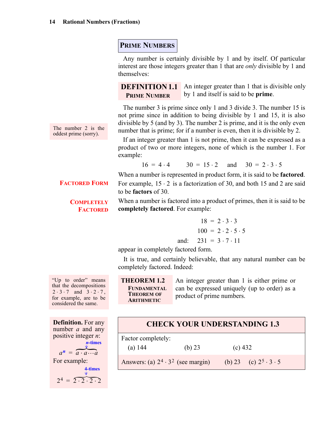#### **PRIME NUMBERS**

Any number is certainly divisible by 1 and by itself. Of particular interest are those integers greater than 1 that are *only* divisible by 1 and themselves:

**DEFINITION 1.1** An integer greater than 1 that is divisible only **PRIME NUMBER** by 1 and itself is said to be **prime**.

The number 3 is prime since only 1 and 3 divide 3. The number 15 is not prime since in addition to being divisible by 1 and 15, it is also divisible by 5 (and by 3). The number 2 is prime, and it is the only even number that is prime; for if a number is even, then it is divisible by 2.

If an integer greater than 1 is not prime, then it can be expressed as a product of two or more integers, none of which is the number 1. For example:

 $16 = 4 \cdot 4$   $30 = 15 \cdot 2$  and  $30 = 2 \cdot 3 \cdot 5$ When a number is represented in product form, it is said to be **factored**.

**FACTORED FORM**

The number 2 is the oddest prime (sorry).

> For example,  $15 \cdot 2$  is a factorization of 30, and both 15 and 2 are said to be **factors** of 30.

**COMPLETELY FACTORED** When a number is factored into a product of primes, then it is said to be **completely factored**. For example:

$$
18 = 2 \cdot 3 \cdot 3
$$
  

$$
100 = 2 \cdot 2 \cdot 5 \cdot 5
$$
  
and: 
$$
231 = 3 \cdot 7 \cdot 11
$$

appear in completely factored form.

It is true, and certainly believable, that any natural number can be completely factored. Indeed:

"Up to order" means that the decompositions  $2 \cdot 3 \cdot 7$  and  $3 \cdot 2 \cdot 7$ , for example, are to be considered the same.

**Definition.** For any number *a* and any positive integer *n*: For example:  $a^n = \overbrace{a \cdot a \cdots a}$  *n-***times**  $2^4 = 2 \cdot 2 \cdot 2 \cdot 2$ 

**THEOREM 1.2 FUNDAMENTAL THEOREM OF ARITHMETIC**

An integer greater than 1 is either prime or can be expressed uniquely (up to order) as a product of prime numbers.

| <b>CHECK YOUR UNDERSTANDING 1.3</b>       |          |           |                                  |  |  |
|-------------------------------------------|----------|-----------|----------------------------------|--|--|
| Factor completely:<br>(a) $144$           | (b) $23$ | $(c)$ 432 |                                  |  |  |
| Answers: (a) $2^4 \cdot 3^2$ (see margin) |          |           | (b) 23 (c) $2^5 \cdot 3 \cdot 5$ |  |  |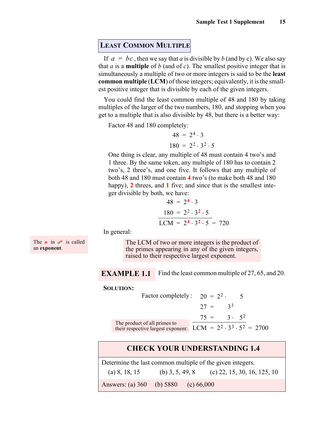#### **LEAST COMMON MULTIPLE**

If  $a = bc$ , then we say that *a* is divisible by *b* (and by c). We also say that  $a$  is a **multiple** of  $b$  (and of  $c$ ). The smallest positive integer that is simultaneously a multiple of two or more integers is said to be the **least common multiple** (**LCM**) of those integers; equivalently, it is the smallest positive integer that is divisible by each of the given integers.

You could find the least common multiple of 48 and 180 by taking multiples of the larger of the two numbers, 180, and stopping when you get to a multiple that is also divisible by 48, but there is a better way:

Factor 48 and 180 completely:

$$
48 = 24 \cdot 3
$$

$$
180 = 22 \cdot 32 \cdot 5
$$

One thing is clear, any multiple of 48 must contain 4 two's and 1 three. By the same token, any multiple of 180 has to contain 2 two's, 2 three's, and one five. It follows that any multiple of both 48 and 180 must contain **4** two's (to make both 48 and 180 happy), **2** threes, and **1** five; and since that is the smallest integer divisible by both, we have:

$$
48 = 24 \cdot 3
$$
  

$$
180 = 22 \cdot 32 \cdot 5
$$
  
LCM = 2<sup>4</sup> \cdot 3<sup>2</sup> \cdot 5 = 720

In general:

The  $\bf{n}$  in  $\bf{a}^n$  is called an **exponent**.

The LCM of two or more integers is the product of the primes appearing in any of the given integers, raised to their respective largest exponent.

**EXAMPLE 1.1** Find the least common multiple of 27, 65, and 20.

**SOLUTION:**

Factor completely:  $20 = 2^2$ . 5  $27 = 3^3$  $75 = 3 \cdot 5^2$ The product of all primes to  $\overline{\text{LCM}} = 2^2 \cdot 3^3 \cdot 5^2 = 2700$ 

#### **CHECK YOUR UNDERSTANDING 1.4**

Determine the last common multiple of the given integers.

(a) 8, 18, 15 (b) 3, 5, 49, 8 (c) 22, 15, 30, 16, 125, 10

Answers: (a) 360 (b) 5880 (c) 66,000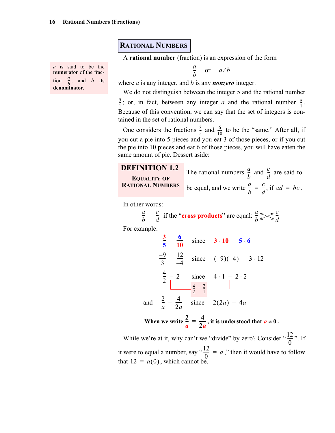#### **RATIONAL NUMBERS**

A **rational number** (fraction) is an expression of the form

*a* is said to be the **numerator** of the fraction  $\frac{a}{i}$ , and *b* its **denominator**.  $\frac{a}{b}$ 

*a*  $\frac{a}{b}$  or  $a/b$ 

where *a* is any integer, and *b* is any *nonzero* integer.

We do not distinguish between the integer 5 and the rational number  $\frac{5}{1}$ ; or, in fact, between any integer *a* and the rational number  $\frac{a}{1}$ . Because of this convention, we can say that the set of integers is contained in the set of rational numbers.  $\frac{5}{1}$ ; or, in fact, between any integer *a* and the rational number  $\frac{a}{1}$ 

One considers the fractions  $\frac{3}{5}$  and  $\frac{6}{10}$  to be the "same." After all, if you cut a pie into 5 pieces and you eat 3 of those pieces, or if you cut the pie into 10 pieces and eat 6 of those pieces, you will have eaten the same amount of pie. Dessert aside:  $\frac{3}{5}$  and  $\frac{6}{10}$ 

#### **DEFINITION 1.2**

**EQUALITY OF RATIONAL NUMBERS** The rational numbers  $\frac{a}{b}$  and  $\frac{c}{c}$  are said to be equal, and we write  $\frac{a}{i} = \frac{c}{i}$ , if  $ad = bc$ . *b*  $rac{a}{7}$  and  $rac{c}{7}$ *d*  $\frac{c}{1}$ *b*  $\frac{a}{b} = \frac{c}{d}$ , if  $ad = bc$ 

In other words:

$$
\frac{a}{b} = \frac{c}{d}
$$
 if the "**cross products**" are equal:  $\frac{a}{b} \leq \frac{c}{d}$ 

For example:

$$
\frac{3}{5} = \frac{6}{10} \text{ since } 3 \cdot 10 = 5 \cdot 6
$$
  

$$
\frac{-9}{3} = \frac{12}{-4} \text{ since } (-9)(-4) = 3 \cdot 12
$$
  

$$
\frac{4}{2} = 2 \text{ since } 4 \cdot 1 = 2 \cdot 2
$$
  
and 
$$
\frac{2}{a} = \frac{4}{2a} \text{ since } 2(2a) = 4a
$$
  
When we write  $\frac{2}{a} = \frac{4}{2a}$ , it is understood that  $a \ne 0$ .

While we're at it, why can't we "divide" by zero? Consider " $\frac{12}{9}$ ". If it were to equal a number, say " $\frac{12}{0}$  = a," then it would have to follow that  $12 = a(0)$ , which cannot be. 0  $\frac{12}{2}$  $\frac{12}{0} = a$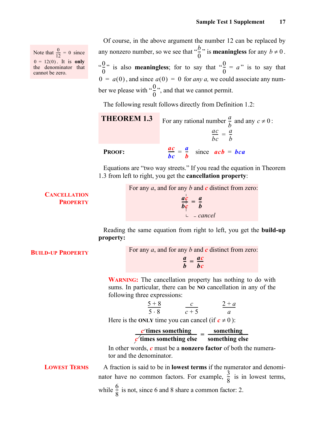Note that  $\frac{0}{12} = 0$  since  $0 = 12(0)$ . It is only the denominator that cannot be zero.  $\frac{0}{12} = 0$ 

Of course, in the above argument the number 12 can be replaced by any nonzero number, so we see that  $\frac{b}{b}$  is **meaningless** for any  $b \neq 0$ .  $\frac{a_0}{b_0}$  is also **meaningless**; for to say that  $\frac{a_0}{b_0} = a$  is to say that  $0 = a(0)$ , and since  $a(0) = 0$  for *any a*, we could associate any number we please with  $\frac{0}{6}$ , and that we cannot permit.  $\frac{b}{0}$ " is **meaningless** for any  $b \neq 0$ 0  $\frac{0}{6}$ " is also **meaningless**; for to say that  $\frac{0}{6}$  $\frac{0}{0} = a$ 0  $\frac{v}{\alpha}$ 

The following result follows directly from Definition 1.2:

**PROOF: THEOREM 1.3** For any rational number  $\frac{a}{b}$  and any  $c \ne 0$ :  $\frac{a}{b}$  and any  $c \neq 0$ *ac bc*  $\frac{ac}{bc} = \frac{a}{b}$ *ac bc*  $\frac{ac}{bc} = \frac{a}{b}$  since  $acb = bca$ 

Equations are "two way streets." If you read the equation in Theorem 1.3 from left to right, you get the **cancellation property**:

For any *a*, and for any *b* and *c* distinct from zero:

*ac bc*  $\frac{ac}{bc} = \frac{a}{b}$ 

**CANCELLATION PROPERTY**

> Reading the same equation from right to left, you get the **build-up property:**

**BUILD-UP PROPERTY**

For any *a*, and for any *b* and *c* distinct from zero:

*a*

*b*  $\frac{a}{b} = \frac{ac}{bc}$ 

*cancel*

**WARNING:** The cancellation property has nothing to do with sums. In particular, there can be **NO** cancellation in any of the following three expressions:

$$
\frac{5+8}{5\cdot 8} \qquad \frac{c}{c+5} \qquad \frac{2+a}{a}
$$

Here is the ONLY time you can cancel (if  $c \neq 0$ ):

| $c$ times something      | something      |  |  |
|--------------------------|----------------|--|--|
| $c$ times something else | something else |  |  |

In other words, *c* must be a **nonzero factor** of both the numerator and the denominator.

**LOWEST TERMS** A fraction is said to be in **lowest terms** if the numerator and denominator have no common factors. For example,  $\frac{3}{6}$  is in lowest terms, while  $\frac{6}{9}$  is not, since 6 and 8 share a common factor: 2. 8  $\frac{1}{2}$ 8  $\frac{0}{2}$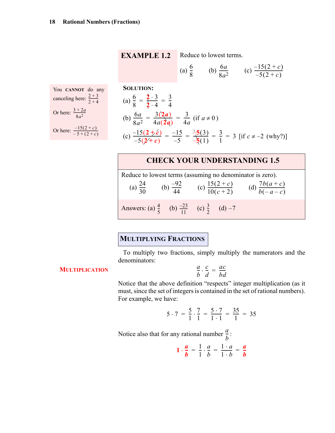**EXAMPLE 1.2** Reduce to lowest terms.

**SOLUTION:**

(a)  $\frac{6}{9}$  (b)  $\frac{6a}{22}$  (c) 8  $\frac{6}{8}$  (b)  $\frac{6a}{8a^2}$  (c)  $\frac{-15(2+c)}{-5(2+c)}$ 

You **CANNOT** do any canceling here:  $\frac{2+3}{2+4}$ Or here:  $\frac{3+2a}{8a^2}$ 

Or here:  $\frac{-15(2+c)}{-5+(2+c)}$ 

 $(a) \frac{6}{6}$ (b)  $\frac{6a}{8a^2} = \frac{3(2a)}{4a(2a)} = \frac{3}{4a}$  (if  $a \neq 0$ ) (c)  $\frac{-15(2 \pm \hat{c})}{-5(2^2 \pm \hat{c})} = \frac{-15}{-5} = \frac{-5}{5}(3) = \frac{3}{1} = 3$  [if  $c \neq -2$  (why?)] 8  $\frac{6}{8} = \frac{2 \cdot 3}{2 \cdot 4} = \frac{3}{4}$ 

#### **CHECK YOUR UNDERSTANDING 1.5**

Reduce to lowest terms (assuming no denominator is zero).

(a)  $\frac{24}{20}$  (b)  $\frac{-92}{44}$  (c)  $\frac{15(2+c)}{10(-12)}$  (d) Answers: (a)  $\frac{4}{5}$  (b)  $\frac{-23}{11}$  (c)  $\frac{3}{2}$  (d) 30  $\frac{24}{20}$  (b)  $\frac{-92}{11}$ 44  $\frac{-92}{44}$  (c)  $\frac{15(2+c)}{10(c+2)}$  (d)  $\frac{7b(a+c)}{b(-a-c)}$  $\frac{4}{5}$  (b)  $\frac{-23}{11}$  (c)  $\frac{3}{2}$  (d) -7

#### **MULTIPLYING FRACTIONS**

To multiply two fractions, simply multiply the numerators and the denominators:

#### **MULTIPLICATION**

$$
\frac{a}{b} \cdot \frac{c}{d} = \frac{ac}{bd}
$$

Notice that the above definition "respects" integer multiplication (as it must, since the set of integers is contained in the set of rational numbers). For example, we have:

$$
5 \cdot 7 = \frac{5}{1} \cdot \frac{7}{1} = \frac{5 \cdot 7}{1 \cdot 1} = \frac{35}{1} = 35
$$

Notice also that for any rational number  $\frac{a}{i}$ : *b*  $\frac{a}{b}$ 

$$
1 \cdot \frac{a}{b} = \frac{1}{1} \cdot \frac{a}{b} = \frac{1 \cdot a}{1 \cdot b} = \frac{a}{b}
$$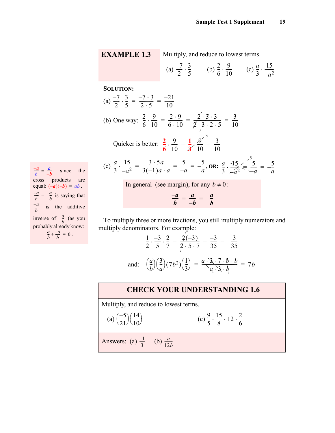**EXAMPLE 1.3** Multiply, and reduce to lowest terms.

(a) 
$$
\frac{-7}{2} \cdot \frac{3}{5}
$$
 (b)  $\frac{2}{6} \cdot \frac{9}{10}$  (c)  $\frac{a}{3} \cdot \frac{15}{-a^2}$ 

#### **SOLUTION:**

 $(a) \frac{-7}{2}$ (b) One way:  $\frac{2}{5}$ Quicker is better: **2** (c)  $\frac{a}{2} \cdot \frac{15}{2} = \frac{3 \cdot 5a}{2(1)} = \frac{5}{2} = \frac{5}{2}$ , OR: 2  $\frac{-7}{2} \cdot \frac{3}{7}$ 5  $\frac{3}{5} = \frac{-7 \cdot 3}{2 \cdot 5} = \frac{-21}{10}$ 6  $\frac{2}{6} \cdot \frac{9}{10} = \frac{2 \cdot 9}{6 \cdot 10} = \frac{2 \cdot 3 \cdot 3}{2 \cdot 3 \cdot 2 \cdot 5} = \frac{3}{10}$ In general (see margin), for any  $b \neq 0$ : **6**  $\frac{2}{6} \cdot \frac{9}{10} = \frac{1}{3}$  $=\frac{1}{3}, \frac{9}{10} = \frac{3}{10}$ 3 3  $\frac{a}{2}$ .  $\frac{15}{9}$  $-a^2$  $\frac{-15}{-a^2} = \frac{3 \cdot 5a}{3(-1)a \cdot a} = \frac{5}{-a}$  $=\frac{3 \cdot 5a}{3(-1)a \cdot a} = \frac{5}{-a} = -\frac{5}{a}$ , OR:  $\frac{a}{3}$  $\frac{a}{2}$ .  $\frac{-15}{2}$  $-\hat{a}^2$  $-\frac{15}{2} = \frac{5}{2}$ –*a*  $\frac{5}{a} = \frac{5}{-a} = -\frac{5}{a}$ 5

> –*a b*  $\frac{-a}{\cdot} = \frac{a}{\cdot}$

 since the cross products are equal:  $(-a)(-b) = ab$ . is saying that is the additive inverse of  $\frac{a}{i}$  (as you probably already know:  $\frac{a}{1} + \frac{-a}{1} = 0$ . –*a*  $\frac{-a}{b} = \frac{a}{-b}$ –*a*  $\frac{-a}{b} = -\frac{a}{b}$ –*a*  $\frac{-a}{b}$ *a*  $\frac{a}{b}$ *a*  $\frac{a}{b} + \frac{-a}{b} = 0$ 

To multiply three or more fractions, you still multiply numerators and multiply denominators. For example:

–*b*  $=\frac{a}{-b} = -\frac{a}{b}$ 

$$
\frac{1}{2} \cdot \frac{-3}{5} \cdot \frac{2}{7} = \frac{2(-3)}{2 \cdot 5 \cdot 7} = \frac{-3}{35} = -\frac{3}{35}
$$
  
and: 
$$
\left(\frac{a}{b}\right)\left(\frac{3}{a}\right)(7b^2)\left(\frac{1}{3}\right) = \frac{a \cdot 3 \cdot 7 \cdot b \cdot b}{a \cdot 3 \cdot b} = 7b
$$

#### **CHECK YOUR UNDERSTANDING 1.6**

Multiply, and reduce to lowest terms.

(a) 
$$
\left(\frac{-5}{21}\right)\left(\frac{14}{10}\right)
$$
 (c)

$$
\left(\frac{14}{10}\right)
$$
 (c)  $\frac{9}{5} \cdot \frac{15}{8} \cdot 12 \cdot \frac{2}{6}$ 

Answers: (a)  $\frac{-1}{2}$  (b) 3  $\frac{-1}{3}$  (b)  $\frac{a}{12b}$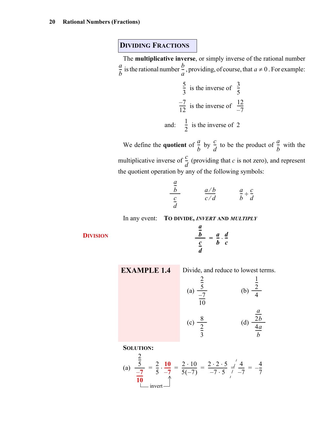#### **DIVIDING FRACTIONS**

The **multiplicative inverse**, or simply inverse of the rational number  $\frac{a}{b}$  is the rational number  $\frac{b}{c}$ , providing, of course, that  $a \neq 0$ . For example: *b*  $\frac{a}{\tau}$  is the rational number  $\frac{b}{\tau}$  $\frac{a}{a}$ , providing, of course, that  $a \neq 0$ 

$$
\frac{5}{3}
$$
 is the inverse of  $\frac{3}{5}$   

$$
\frac{-7}{12}
$$
 is the inverse of  $\frac{12}{-7}$   
and:  $\frac{1}{2}$  is the inverse of 2

We define the **quotient** of  $\frac{a}{b}$  by  $\frac{c}{c}$  to be the product of  $\frac{a}{b}$  with the multiplicative inverse of  $\frac{c}{l}$  (providing that *c* is not zero), and represent the quotient operation by any of the following symbols: *b*  $\frac{a}{b}$  by  $\frac{c}{c}$ *d*  $\frac{c}{\tau}$  to be the product of  $\frac{a}{\tau}$ *b*  $\frac{u}{\tau}$ *d*  $\frac{c}{1}$ 

$$
\begin{array}{ccc}\n\frac{a}{b} & \frac{a}{b} & \frac{a}{c} \\
\frac{c}{d} & \frac{a}{d} & \frac{b}{b} \div \frac{c}{d}\n\end{array}
$$

In any event: **TO DIVIDE,** *INVERT* **AND** *MULTIPLY*

*a*

**DIVISION**

$$
\frac{\frac{a}{b}}{\frac{c}{d}} = \frac{a}{b} \cdot \frac{d}{c}
$$

**EXAMPLE 1.4** Divide, and reduce to lowest terms.

(a) 
$$
\frac{\frac{2}{5}}{\frac{-7}{10}}
$$
 (b)  $\frac{\frac{1}{2}}{4}$   
(c)  $\frac{8}{\frac{2}{3}}$  (d)  $\frac{\frac{a}{2b}}{\frac{4a}{b}}$ 

**SOLUTION:**

(a) 
$$
\frac{\frac{2}{5}}{\frac{-7}{10}} = \frac{2}{5} \cdot \frac{10}{-7} = \frac{2 \cdot 10}{5(-7)} = \frac{2 \cdot 2 \cdot 5}{-7 \cdot 5} = \frac{4}{7} = -\frac{4}{7}
$$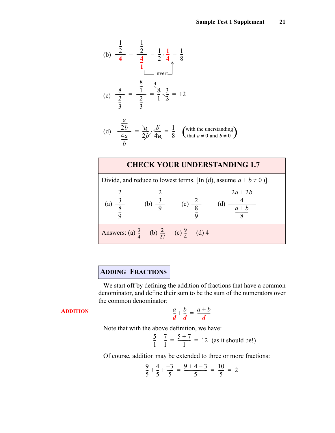(b) 
$$
\frac{\frac{1}{2}}{4} = \frac{\frac{1}{2}}{4} = \frac{1}{2} \cdot \frac{1}{4} = \frac{1}{8}
$$
  
\n
$$
\begin{array}{rcl}\n\frac{8}{1} & = & \frac{8}{1} & \frac{4}{1} \\
\frac{8}{3} & = & \frac{4}{1} & \frac{8}{2} \\
\frac{2}{3} & = & \frac{2}{3} & \frac{3}{3} = 12\n\end{array}
$$
\n(d) 
$$
\frac{\frac{a}{2b}}{\frac{4a}{b}} = \frac{a}{2b} \cdot \frac{b}{4a} = \frac{1}{8}
$$
 (with the unerstanding) that  $a \neq 0$  and  $b \neq 0$ )

### **CHECK YOUR UNDERSTANDING 1.7**

Divide, and reduce to lowest terms. [In (d), assume 
$$
a + b \ne 0
$$
)].  
\n(a)  $\frac{\frac{2}{3}}{\frac{8}{9}}$  (b)  $\frac{\frac{2}{3}}{\frac{8}{9}}$  (c)  $\frac{\frac{2}{8}}{\frac{8}{9}}$  (d)  $\frac{\frac{2a+2b}{4}}{\frac{a+b}{8}}$   
\nAnswers: (a)  $\frac{3}{4}$  (b)  $\frac{2}{27}$  (c)  $\frac{9}{4}$  (d) 4

### **ADDING FRACTIONS**

We start off by defining the addition of fractions that have a common denominator, and define their sum to be the sum of the numerators over the common denominator:

#### **ADDITION**

$$
\frac{a}{d} + \frac{b}{d} = \frac{a+b}{d}
$$

Note that with the above definition, we have:

$$
\frac{5}{1} + \frac{7}{1} = \frac{5+7}{1} = 12
$$
 (as it should be!)

Of course, addition may be extended to three or more fractions:

$$
\frac{9}{5} + \frac{4}{5} + \frac{-3}{5} = \frac{9+4-3}{5} = \frac{10}{5} = 2
$$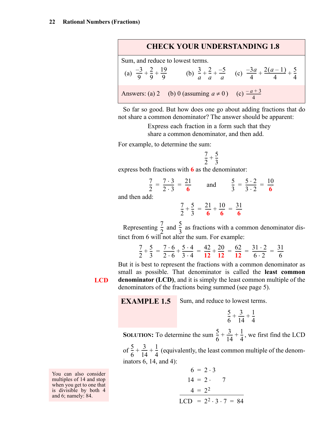#### **CHECK YOUR UNDERSTANDING 1.8**

Sum, and reduce to lowest terms.

(a) 
$$
\frac{-3}{9} + \frac{2}{9} + \frac{19}{9}
$$
 (b)  $\frac{3}{a} + \frac{2}{a} + \frac{-5}{a}$  (c)  $\frac{-3a}{4} + \frac{2(a-1)}{4} + \frac{5}{4}$   
Answers: (a) 2 (b) 0 (assuming  $a \ne 0$ ) (c)  $\frac{-a+3}{4}$ 

So far so good. But how does one go about adding fractions that do not share a common denominator? The answer should be apparent:

> Express each fraction in a form such that they share a common denominator, and then add.

For example, to determine the sum:

$$
\frac{7}{2}+\frac{5}{3}
$$

express both fractions with **6** as the denominator:

| $7 \cdot 3 = 21$ |  |           | 5.7                 |  |
|------------------|--|-----------|---------------------|--|
| 2.4              |  | $-3$ $-2$ | $\left(1, 1\right)$ |  |

and then add:

$$
\frac{7}{2} + \frac{5}{3} = \frac{21}{6} + \frac{10}{6} = \frac{31}{6}
$$

Representing  $\frac{7}{2}$  and  $\frac{5}{2}$  as fractions with a common denominator distinct from 6 will not alter the sum. For example: 2  $\frac{7}{2}$  and  $\frac{5}{2}$ 3  $\frac{2}{2}$ 

7 2  $\frac{7}{2} + \frac{5}{2}$  $+\frac{5}{3} = \frac{7 \cdot 6}{2 \cdot 6} + \frac{5 \cdot 4}{3 \cdot 4} = \frac{42}{12}$  $\frac{42}{12} + \frac{20}{12}$  $+\frac{20}{12} = \frac{62}{12}$  $=\frac{7\cdot 6}{2\cdot 6} + \frac{5\cdot 4}{3\cdot 4} = \frac{42}{12} + \frac{20}{12} = \frac{62}{12} = \frac{31\cdot 2}{6\cdot 2} = \frac{31}{6}$ 

But it is best to represent the fractions with a common denominator as small as possible. That denominator is called the **least common denominator (LCD)**, and it is simply the least common multiple of the denominators of the fractions being summed (see page 5).

**EXAMPLE 1.5** Sum, and reduce to lowest terms.

$$
\frac{5}{6} + \frac{3}{14} + \frac{1}{4}
$$

**SOLUTION:** To determine the sum  $\frac{5}{6} + \frac{3}{14} + \frac{1}{4}$ , we first find the LCD 6  $\frac{5}{6} + \frac{3}{10}$ 14  $\frac{3}{14} + \frac{1}{4}$  $+\frac{3}{14}+\frac{1}{4}$ 

of  $\frac{5}{6} + \frac{3}{14} + \frac{1}{4}$  (equivalently, the least common multiple of the denominators 6, 14, and 4): 6  $\frac{5}{6} + \frac{3}{1}$ 14  $\frac{3}{11} + \frac{1}{1}$  $+\frac{3}{14}+\frac{1}{4}$ 

|  | $6 = 2 \cdot 3$                  |  |
|--|----------------------------------|--|
|  | $14 = 2 - 7$                     |  |
|  | $4 = 2^2$                        |  |
|  | LCD = $2^2 \cdot 3 \cdot 7 = 84$ |  |

You can also consider multiples of 14 and stop when you get to one that is divisible by both 4 and 6; namely: 84.

**LCD**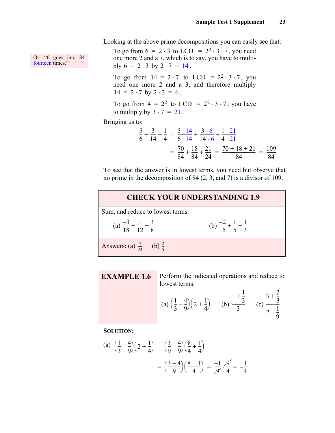Looking at the above prime decompositions you can easily see that:

To go from  $6 = 2 \cdot 3$  to LCD  $= 2^2 \cdot 3 \cdot 7$ , you need one more 2 and a 7, which is to say, you have to multiply  $6 = 2 \cdot 3$  by  $2 \cdot 7 = 14$ .

To go from  $14 = 2 \cdot 7$  to  $LCD = 2^2 \cdot 3 \cdot 7$ , you need one more 2 and a 3, and therefore multiply  $14 = 2 \cdot 7$  by  $2 \cdot 3 = 6$ .

To go from  $4 = 2^2$  to LCD =  $2^2 \cdot 3 \cdot 7$ , you have to multiply by  $3 \cdot 7 = 21$ .

Bringing us to:

$$
\frac{5}{6} + \frac{3}{14} + \frac{1}{4} = \frac{5 \cdot 14}{6 \cdot 14} + \frac{3 \cdot 6}{14 \cdot 6} + \frac{1 \cdot 21}{4 \cdot 21}
$$

$$
= \frac{70}{84} + \frac{18}{84} + \frac{21}{24} = \frac{70 + 18 + 21}{84} = \frac{109}{84}
$$

To see that the answer is in lowest terms, you need but observe that no prime in the decomposition of 84 (2, 3, and 7) is a divisor of 109.



**EXAMPLE 1.6** Perform the indicated operations and reduce to lowest terms.

(a) 
$$
\left(\frac{1}{3} - \frac{4}{9}\right)\left(2 + \frac{1}{4}\right)
$$
 (b)  $\frac{1 + \frac{1}{3}}{3}$  (c)  $\frac{3 + \frac{2}{3}}{2 - \frac{1}{9}}$ 

**SOLUTION:**

(a) 
$$
\left(\frac{1}{3} - \frac{4}{9}\right)\left(2 + \frac{1}{4}\right) = \left(\frac{3}{9} - \frac{4}{9}\right)\left(\frac{8}{4} + \frac{1}{4}\right)
$$
  

$$
= \left(\frac{3 - 4}{9}\right)\left(\frac{8 + 1}{4}\right) = \frac{-1}{9} \cdot \frac{9}{4} = -\frac{1}{4}
$$

Or: "6 goes into 84 fourteen times."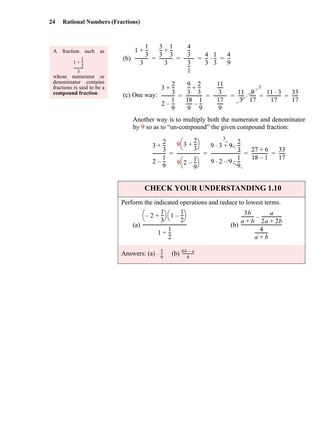A fraction such as

$$
\frac{1+\frac{1}{3}}{3}
$$
 whose numerator or

denominator contains fractions is said to be a **compound fraction**.

(b) 
$$
\frac{1+\frac{1}{3}}{3} = \frac{\frac{3}{3}+\frac{1}{3}}{3} = \frac{\frac{4}{3}}{\frac{3}{1}} = \frac{4}{3} \cdot \frac{1}{3} = \frac{4}{9}
$$

(c) One way: 
$$
\frac{3 + \frac{2}{3}}{2 - \frac{1}{9}} = \frac{\frac{9}{3} + \frac{2}{3}}{\frac{18}{9} - \frac{1}{9}} = \frac{\frac{11}{3}}{\frac{17}{9}} = \frac{11}{\cancel{3}} \cdot \frac{\cancel{9}^3}{17} = \frac{11 \cdot 3}{17} = \frac{33}{17}
$$

Another way is to multiply both the numerator and denominator by 9 so as to "un-compound" the given compound fraction:

$$
\frac{3+\frac{2}{3}}{2-\frac{1}{9}} = \frac{9\left(3+\frac{2}{3}\right)}{9\left(2-\frac{1}{9}\right)} = \frac{9\cdot 3+\frac{3}{9}\cdot \frac{2}{3}}{9\cdot 2-9\cdot \frac{1}{9}} = \frac{27+6}{18-1} = \frac{33}{17}
$$

### **CHECK YOUR UNDERSTANDING 1.10**

Perform the indicated operations and reduce to lowest terms.

(a) 
$$
\frac{\left(-2 + \frac{1}{3}\right)\left(1 - \frac{1}{2}\right)}{1 + \frac{1}{2}}
$$
  
(b) 
$$
\frac{\frac{3b}{a+b} - \frac{a}{2a+2b}}{\frac{4}{a+b}}
$$
  
Answers: (a)  $-\frac{5}{9}$  (b)  $\frac{6b-a}{8}$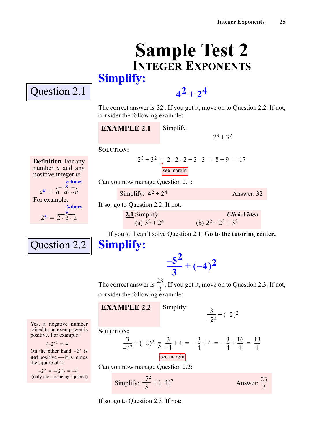# **Sample Test 2 INTEGER EXPONENTS Simplify:**

Question 2.1 **42 42 42 42 42 42 42 42 42 42 42 42 42 42 42 42 42 42 42 42 42 42 42 42 42 42 42 42 42 42** 

The correct answer is 32. If you got it, move on to Question 2.2. If not, consider the following example:

**EXAMPLE 2.1** Simplify:

 $2^3 + 3^2$ 

**SOLUTION:**

**Definition.** For any number *a* and any positive integer *n*:  $a^n = \overbrace{a \cdot a \cdots a}$ *n-***times**

see margin

Can you now manage Question 2.1:

For example:  $2^3 = \frac{3 \cdot \text{times}}{2 \cdot 2 \cdot 2}$ 

Simplify:  $4^2 + 2^4$  Answer: 32

 $2^3 + 3^2 = 2 \cdot 2 \cdot 2 + 3 \cdot 3 = 8 + 9 = 17$ 

If so, go to Question 2.2. If not:

2.1 Simplify  
(a) 
$$
3^2 + 2^4
$$
 (b)  $2^2 - 2^3 + 3^2$ 

If you still can't solve Question 2.1: **Go to the tutoring center.**



### **Simplify:**

**SOLUTION:** 

$$
\frac{-5^2}{3} + (-4)^2
$$

The correct answer is  $\frac{23}{2}$ . If you got it, move on to Question 2.3. If not, consider the following example: 3  $\frac{25}{2}$ 

**EXAMPLE 2.2** Simplify:

$$
\frac{3}{-2^2} + (-2)^2
$$

Yes, a negative number raised to an even power is positive. For example:

$$
(-2)^2 = 4
$$

On the other hand  $-2^2$  is **not** positive — it is minus the square of 2:

 $-2^2 = -(2^2) = -4$ (only the 2 is being squared)

$$
\frac{3}{-2^2} + (-2)^2 = \frac{3}{\frac{3}{\text{see margin}}} + 4 = -\frac{3}{4} + 4 = -\frac{3}{4} + \frac{16}{4} = \frac{13}{4}
$$

Can you now manage Question 2.2:

Simplify: 
$$
\frac{-5^2}{3} + (-4)^2
$$
 Answer:  $\frac{23}{3}$ 

If so, go to Question 2.3. If not: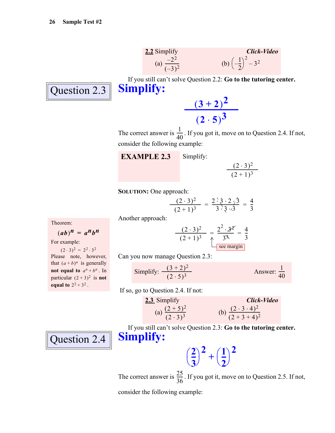2.2 Simplify  
\n(a) 
$$
\frac{-2^2}{(-3)^2}
$$
 (b)  $\left(-\frac{1}{2}\right)^2 - 3^2$ 

Question 2.3

If you still can't solve Question 2.2: **Go to the tutoring center. Simplify:**

$$
\frac{(3+2)^2}{(2\cdot 5)^3}
$$

The correct answer is  $\frac{1}{40}$ . If you got it, move on to Question 2.4. If not, consider the following example: 40  $\frac{1}{40}$ 

**EXAMPLE 2.3** Simplify:

 $\frac{(2 \cdot 3)^2}{(2+1)^3}$ 

**SOLUTION:** One approach:

$$
\frac{(2\cdot 3)^2}{(2+1)^3} = \frac{2\cdot 3\cdot 2\cdot 3}{3\cdot 3\cdot 3} = \frac{4}{3}
$$

Another approach:

Theorem:

$$
(ab)^n = a^nb^n
$$

For example:

Please note, however, that  $(a + b)^n$  is generally **not equal to**  $a^n + b^n$ . In particular  $(2+3)^2$  is **not equal to**  $2^2 + 3^2$ .  $(2 \cdot 3)^2 = 2^2 \cdot 3^2$ 

$$
\frac{(2\cdot 3)^2}{(2+1)^3} = \frac{2^2 \cdot 3^{2}}{\frac{3^2}{3}} = \frac{4}{3}
$$

Can you now manage Question 2.3:

Simplify: 
$$
\frac{(3+2)^2}{(2\cdot 5)^3}
$$
 Answer:  $\frac{1}{40}$ 

If so, go to Question 2.4. If not:

2.3 Simplify  
\n(a) 
$$
\frac{(2+5)^2}{(2 \cdot 3)^3}
$$
 (b)  $\frac{(2 \cdot 3 \cdot 4)^2}{(2+3+4)^2}$ 

If you still can't solve Question 2.3: **Go to the tutoring center. Simplify:**

Question 2.4

**2**  $\left(\frac{2}{3}\right)^2 + \left(\frac{1}{2}\right)^2$ **+**

The correct answer is  $\frac{25}{26}$ . If you got it, move on to Question 2.5. If not, 36  $\frac{25}{25}$ 

consider the following example: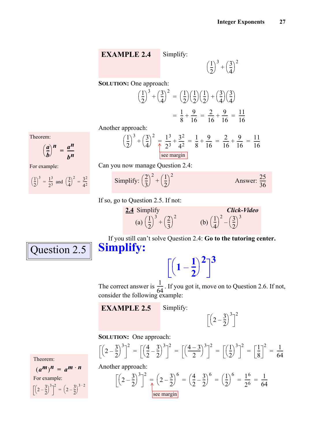**SOLUTION:** One approach:

**EXAMPLE 2.4** Simplify:

$$
\left(\frac{1}{2}\right)^3 + \left(\frac{3}{4}\right)^2 = \left(\frac{1}{2}\right)\left(\frac{1}{2}\right)\left(\frac{1}{2}\right) + \left(\frac{3}{4}\right)\left(\frac{3}{4}\right)
$$

$$
= \frac{1}{8} + \frac{9}{16} = \frac{2}{16} + \frac{9}{16} = \frac{11}{16}
$$

1

 $\left(\frac{1}{2}\right)^3 + \left(\frac{3}{4}\right)^2$ 

Another approach:

$$
\left(\frac{1}{2}\right)^3 + \left(\frac{3}{4}\right)^2 = \frac{1^3}{2^3} + \frac{3^2}{4^2} = \frac{1}{8} + \frac{9}{16} = \frac{2}{16} + \frac{9}{16} = \frac{11}{16}
$$
  
see margin

For example:  $\left(\frac{a}{b}\right)^n = \frac{a^n}{b^n}$ 

*a*

Theorem:

1

Can you now manage Question 2.4:

$$
\left(\frac{1}{2}\right)^3 = \frac{1^3}{2^3}
$$
 and  $\left(\frac{3}{4}\right)^2 = \frac{3^2}{4^2}$  Simplify:  $\left(\frac{2}{3}\right)^2 + \left(\frac{1}{2}\right)^2$  Answer:  $\frac{25}{36}$ 

If so, go to Question 2.5. If not:

2.4 Simplify  
\n(a) 
$$
\left(\frac{1}{2}\right)^3 + \left(\frac{2}{3}\right)^2
$$
 (b)  $\left(\frac{1}{4}\right)^2 - \left(\frac{3}{2}\right)^3$ 



If you still can't solve Question 2.4: **Go to the tutoring center. Simplify:**

 $\left(1-\frac{1}{2}\right)^2$ <sup>3</sup>

The correct answer is  $\frac{1}{64}$ . If you got it, move on to Question 2.6. If not, consider the following example: 1 64  $\frac{1}{\sqrt{4}}$ 

**EXAMPLE 2.5** Simplify:

$$
\left[\left(2-\frac{3}{2}\right)^3\right]^2
$$

**SOLUTION:** One approach:

$$
\left[\left(2-\frac{3}{2}\right)^3\right]^2 = \left[\left(\frac{4}{2}-\frac{3}{2}\right)^3\right]^2 = \left[\left(\frac{4-3}{2}\right)^3\right]^2 = \left[\left(\frac{1}{2}\right)^3\right]^2 = \left[\frac{1}{8}\right]^2 = \frac{1}{64}
$$

Theorem:

For example:  $(a^m)^n = a^m \cdot n$  $\left(2-\frac{3}{2}\right)^3 \Big]^2 = \left(2-\frac{3}{2}\right)^{3-2}$  Another approach:

$$
\left[\left(2-\frac{3}{2}\right)^3\right]^2 = \left(2-\frac{3}{2}\right)^6 = \left(\frac{4}{2}-\frac{3}{2}\right)^6 = \left(\frac{1}{2}\right)^6 = \frac{16}{2^6} = \frac{1}{64}
$$
  
see margin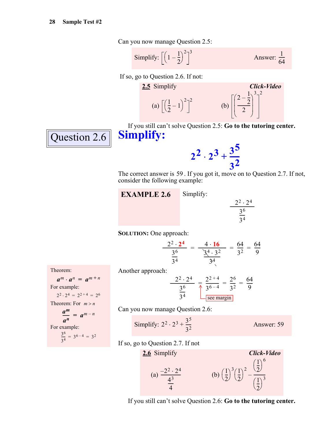Can you now manage Question 2.5:

Simplify: 
$$
\left[\left(1-\frac{1}{2}\right)^2\right]^3
$$
 Answer:  $\frac{1}{64}$ 

If so, go to Question 2.6. If not:

**2.5** Simplify *Click-Video*

(a) 
$$
\left[\left(\frac{1}{2} - 1\right)^2\right]^2
$$
 (b)  $\left[\left(\frac{2 - \frac{1}{2}}{2}\right)^3\right]^2$ 

Question 2.6

If you still can't solve Question 2.5: **Go to the tutoring center. Simplify:**

$$
2^2 \cdot 2^3 + \frac{3^5}{3^2}
$$

The correct answer is 59. If you got it, move on to Question 2.7. If not, consider the following example:



**SOLUTION:** One approach:

$$
\frac{2^2 \cdot 2^4}{\frac{3^6}{3^4}} = \frac{4 \cdot 16}{\frac{3^4 \cdot 3^2}{3^4}} = \frac{64}{3^2} = \frac{64}{9}
$$

Theorem:

 $a^m \cdot a^n = a^{m+n}$ 

For example:  $2^2 \cdot 2^4 = 2^{2+4} = 2^6$ 

Theorem: For 
$$
m > n
$$

$$
\frac{a^m}{a^n} = a^{m-n}
$$
  
For example:  

$$
\frac{3^6}{3^4} = 3^{6-4} = 3^2
$$

Another approach:

$$
\frac{2^2 \cdot 2^4}{\frac{3^6}{3^4}} = \frac{2^{2+4}}{\frac{3^{6-4}}{\text{see margin}}} = \frac{2^6}{9} = \frac{64}{9}
$$

Can you now manage Question 2.6:

Simplify: 
$$
2^2 \cdot 2^3 + \frac{3^5}{3^2}
$$
 Answer: 59

If so, go to Question 2.7. If not

2.6 Simplify  
\n(a) 
$$
\frac{-2^2 \cdot 2^4}{\frac{4^3}{4}}
$$
 (b)  $\left(\frac{1}{2}\right)^3 \left(\frac{1}{2}\right)^2 - \frac{\left(\frac{1}{2}\right)^6}{\left(\frac{1}{2}\right)^3}$ 

If you still can't solve Question 2.6: **Go to the tutoring center.**

$$
2^2\cdot 2^3
$$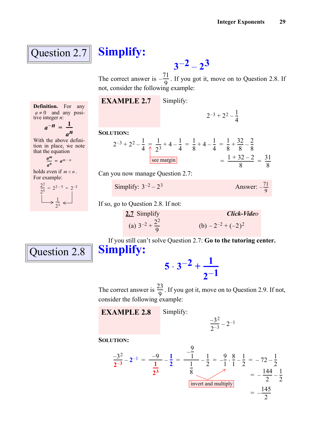### **Simplify:**

$$
\textbf{3}^{-2}-\textbf{2}^{\textbf{3}}
$$

The correct answer is  $-\frac{71}{9}$ . If you got it, move on to Question 2.8. If not, consider the following example:

**Definition.** For any  $a \neq 0$  and any positive integer *n*:

Question 2.7

$$
a^{-n} = \frac{1}{a^n}
$$

With the above definition in place, we note that the equation

$$
\frac{a^m}{a^n} = a^{m-n}
$$

holds even if  $m < n$ . For example:



**EXAMPLE 2.7** Simplify:

$$
2^{-3} + 2^2 - \frac{1}{4}
$$

**SOLUTION:**

$$
2^{-3} + 2^{2} - \frac{1}{4} = \frac{1}{2^{3}} + 4 - \frac{1}{4} = \frac{1}{8} + 4 - \frac{1}{4} = \frac{1}{8} + \frac{32}{8} - \frac{2}{8}
$$
  
see margin 
$$
= \frac{1 + 32 - 2}{8} = \frac{31}{8}
$$

Can you now manage Question 2.7:

Simplify:  $3^{-2} - 2^{3}$  Answer:  $-\frac{71}{9}$  $-\frac{11}{9}$ 

If so, go to Question 2.8. If not:

2.7 Simplify  
\n(a) 
$$
3^{-2} + \frac{2^2}{9}
$$
 \t\t (b)  $-2^{-2} + (-2)^2$ 

If you still can't solve Question 2.7: **Go to the tutoring center. Simplify:**

Question 2.8

$$
5\cdot 3^{-2} + \frac{1}{2^{-1}}
$$

The correct answer is  $\frac{23}{9}$ . If you got it, move on to Question 2.9. If not, consider the following example: 9  $\frac{25}{2}$ 

**EXAMPLE 2.8** Simplify:

$$
\frac{-3^2}{2^{-3}}-2^{-1}
$$

**SOLUTION:**

$$
\frac{-3^2}{2^{-3}} - 2^{-1} = \frac{-9}{\frac{1}{2^{3}}} - \frac{1}{2} = \frac{-\frac{9}{1}}{\frac{1}{8}} - \frac{1}{2} = \frac{-9}{1} \cdot \frac{8}{1} - \frac{1}{2} = -72 - \frac{1}{2}
$$
  
=  $-\frac{144}{2} - \frac{1}{2}$   
=  $-\frac{145}{2}$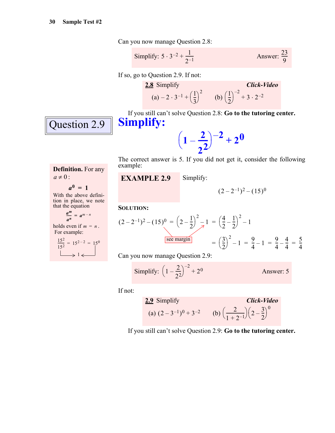Can you now manage Question 2.8:

Simplify: 
$$
5 \cdot 3^{-2} + \frac{1}{2^{-1}}
$$
 Answer:  $\frac{23}{9}$ 

If so, go to Question 2.9. If not:

2.8 Simplify  
\n(a) 
$$
-2 \cdot 3^{-1} + (\frac{1}{3})^2
$$
 (b)  $(\frac{1}{2})^{-2} + 3 \cdot 2^{-2}$ 

If you still can't solve Question 2.8: **Go to the tutoring center. Simplify:**



 $\left(1-\frac{2}{2^2}\right)^{-2}+2^{\frac{1}{2}}$ 

**Definition.** For any  $a \neq 0$ :

$$
a^0 = 1
$$

With the above definition in place, we note that the equation

$$
\frac{a^m}{a^n} = a^{m-n}
$$

holds even if  $m = n$ . For example:

$$
\frac{15^2}{15^2} = 15^{2-2} = 15^0
$$

The correct answer is 5. If you did not get it, consider the following example:

**EXAMPLE 2.9** Simplify:

$$
(2-2^{-1})^2 - (15)^0
$$

**SOLUTION:**

$$
(2-2^{-1})^2 - (15)^0 = \left(2 - \frac{1}{2}\right)^2 - 1 = \left(\frac{4}{2} - \frac{1}{2}\right)^2 - 1
$$
  
see margin 
$$
= \left(\frac{3}{2}\right)^2 - 1 = \frac{9}{4} - 1 = \frac{9}{4} - \frac{4}{4} = \frac{5}{4}
$$

Can you now manage Question 2.9:

Simplify: 
$$
\left(1 - \frac{2}{2^2}\right)^{-2} + 2^0
$$
 Answer: 5

If not:

2.9 Simplify  
\n(a) 
$$
(2-3^{-1})^0 + 3^{-2}
$$
 (b)  $\left(\frac{2}{1+2^{-1}}\right) \left(2-\frac{3}{2}\right)^0$ 

If you still can't solve Question 2.9: **Go to the tutoring center.**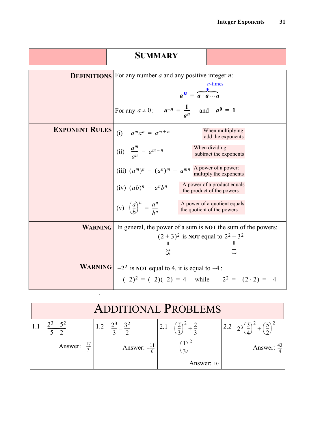|                       | <b>SUMMARY</b>                                                           |                                                            |
|-----------------------|--------------------------------------------------------------------------|------------------------------------------------------------|
|                       | <b>DEFINITIONS</b> For any number $a$ and any positive integer $n$ .     | $n$ -times                                                 |
|                       | $a^n = \overbrace{a \cdot a \cdots a}^{\vee}$                            |                                                            |
|                       | For any $a \neq 0$ : $a^{-n} = \frac{1}{a^n}$ and $a^0 = 1$              |                                                            |
| <b>EXPONENT RULES</b> | (i) $a^m a^n = a^{m+n}$                                                  | When multiplying<br>add the exponents                      |
|                       | (ii) $\frac{a^m}{a^n} = a^{m-n}$                                         | When dividing<br>subtract the exponents                    |
|                       | (iii) $(a^m)^n = (a^n)^m = a^{mn}$ A power of a power:                   | multiply the exponents                                     |
|                       | (iv) $(ab)^n = a^n b^n$                                                  | A power of a product equals<br>the product of the powers   |
|                       | (v) $\left(\frac{a}{b}\right)^n = \frac{a^n}{b^n}$                       | A power of a quotient equals<br>the quotient of the powers |
| <b>WARNING</b>        | In general, the power of a sum is <b>NOT</b> the sum of the powers:      |                                                            |
|                       | $(2 + 3)^2$ is NOT equal to $2^2 + 3^2$                                  |                                                            |
|                       | 52                                                                       | $\vec{u}$                                                  |
|                       | <b>WARNING</b> $\vert -2^2$ is <b>NOT</b> equal to 4, it is equal to -4: |                                                            |
|                       | $(-2)^2 = (-2)(-2) = 4$ while $-2^2 = -(2 \cdot 2) = -4$                 |                                                            |

|                           |                                            | <b>ADDITIONAL PROBLEMS</b> |                                                                                                |
|---------------------------|--------------------------------------------|----------------------------|------------------------------------------------------------------------------------------------|
| $\frac{1^3 - 5^2}{5 - 2}$ | $11.2 \quad \frac{2^3}{1} - \frac{3^2}{1}$ | 2.1                        | $+\left(\frac{5}{2}\right)^2$<br>$\left(2.2 \quad 2^{3} \left(\frac{3}{4}\right)^{2}\right)$ . |
| Answer: $-\frac{17}{2}$   | Answer: $-\frac{11}{6}$                    |                            | Answer: $\frac{43}{4}$                                                                         |
|                           |                                            | Answer: 10                 |                                                                                                |

.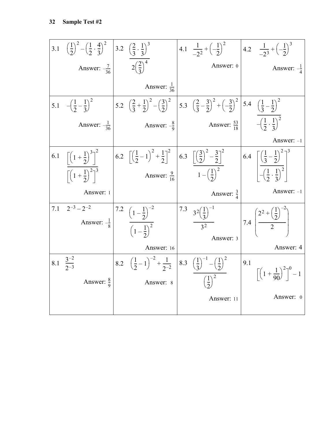|     | 3.1 $\left(\frac{1}{2}\right)^2 - \left(\frac{1}{2} \cdot \frac{4}{3}\right)^2$ 3.2 $\left(\frac{2}{3} \cdot \frac{1}{3}\right)^3$ |                                                                                                                                                                                                                | 4.1 $\frac{1}{2^2} + \left(-\frac{1}{2}\right)^2$ $\left 4.2 + \frac{1}{2^3} + \left(-\frac{1}{2}\right)^3\right $ |     |                                                                                                               |
|-----|------------------------------------------------------------------------------------------------------------------------------------|----------------------------------------------------------------------------------------------------------------------------------------------------------------------------------------------------------------|--------------------------------------------------------------------------------------------------------------------|-----|---------------------------------------------------------------------------------------------------------------|
|     | Answer: $-\frac{7}{36}$ $2(\frac{2}{2})^4$                                                                                         |                                                                                                                                                                                                                | Answer: 0                                                                                                          |     | Answer: $-\frac{1}{4}$                                                                                        |
|     |                                                                                                                                    | Answer: $\frac{1}{36}$                                                                                                                                                                                         |                                                                                                                    |     |                                                                                                               |
|     | 5.1 $-\left(\frac{1}{2} - \frac{1}{2}\right)^2$                                                                                    | $\left 5.2\left(\frac{2}{3}+\frac{1}{2}\right)^2-\left(\frac{3}{2}\right)^2\right 5.3\left(\frac{2}{3}-\frac{3}{2}\right)^2+\left(-\frac{3}{2}\right)^2\left 5.4\left(\frac{1}{3}-\frac{1}{2}\right)^2\right $ |                                                                                                                    |     |                                                                                                               |
|     | Answer: $-\frac{1}{36}$                                                                                                            |                                                                                                                                                                                                                | Answer: $-\frac{8}{9}$ Answer: $\frac{53}{18}$ $-\left(\frac{1}{2} \cdot \frac{1}{3}\right)^2$                     |     |                                                                                                               |
|     |                                                                                                                                    |                                                                                                                                                                                                                |                                                                                                                    |     | Answer: $-1$                                                                                                  |
|     | 6.1 $\left[ \left( 1 + \frac{1}{2} \right)^3 \right]^2$                                                                            | 6.2 $\left[\left(\frac{1}{2}-1\right)^2 + \frac{1}{2}\right]^2$ 6.3 $\left[\left(\frac{3}{2}\right)^2 - \frac{3}{2}\right]^2$<br>Answer: $\frac{9}{16}$ $1 - \left(\frac{1}{2}\right)^2$                       |                                                                                                                    |     | 6.4 $\left[\frac{\left(\frac{1}{3}-\frac{1}{2}\right)^2}{-\left(\frac{1}{2}\cdot\frac{1}{2}\right)^2}\right]$ |
|     | $\left[\left(1+\frac{1}{2}\right)^2\right]^3$                                                                                      |                                                                                                                                                                                                                |                                                                                                                    |     |                                                                                                               |
|     | Answer: 1                                                                                                                          |                                                                                                                                                                                                                | Answer: $\frac{3}{4}$                                                                                              |     | Answer: -1                                                                                                    |
| 7.1 | $2^{-3} - 2^{-2}$<br>-2 <sup>-2</sup><br>Answer: $-\frac{1}{8}$ $\left  \frac{7.2}{1 - \frac{1}{2}} \right ^{7.2}$                 |                                                                                                                                                                                                                | 7.3 $3^2 \left(\frac{1}{3}\right)^{-1}$<br>$3^2$<br>Answer: 3                                                      |     | 7.4 $\left( \frac{2^2 + (\frac{1}{2})^{-2}}{2} \right)$                                                       |
|     |                                                                                                                                    | Answer: 16                                                                                                                                                                                                     |                                                                                                                    |     | Answer: 4                                                                                                     |
|     | 8.1 $\frac{3^{-2}}{2^{-3}}$                                                                                                        | 8.2 $\left(\frac{1}{2}-1\right)^{-2}+\frac{1}{2-2}$                                                                                                                                                            | 8.3 $\left(\frac{1}{3}\right)^{-1} - \left(\frac{1}{2}\right)^2$<br>$\sqrt{\left(\frac{1}{2}\right)^2}$            | 9.1 | $\left[ \left( 1 + \frac{1}{90} \right)^2 \right]^{0} - 1$                                                    |
|     | Answer: $\frac{8}{9}$                                                                                                              | Answer: 8                                                                                                                                                                                                      |                                                                                                                    |     |                                                                                                               |
|     |                                                                                                                                    |                                                                                                                                                                                                                | Answer: 11                                                                                                         |     | Answer: 0                                                                                                     |
|     |                                                                                                                                    |                                                                                                                                                                                                                |                                                                                                                    |     |                                                                                                               |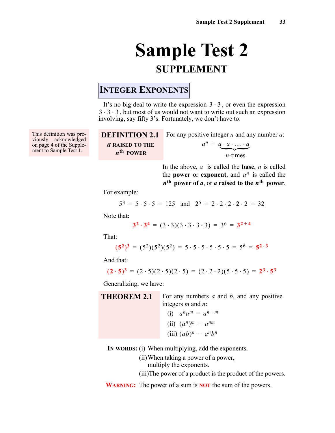## **Sample Test 2 SUPPLEMENT**

## **INTEGER EXPONENTS**

It's no big deal to write the expression  $3 \cdot 3$ , or even the expression  $3 \cdot 3 \cdot 3$ , but most of us would not want to write out such an expression involving, say fifty 3's. Fortunately, we don't have to:

**DEFINITION 2.1** *a* **RAISED TO THE**  $n^{\text{th}}$  POWER

For any positive integer *n* and any number *a*:  

$$
a^n = a \cdot a \cdot ... \cdot a
$$

*n-*times

In the above, *a* is called the **base**, *n* is called the **power** or **exponent**, and  $a^n$  is called the  $n<sup>th</sup>$  power of *a*, or *a* raised to the  $n<sup>th</sup>$  power.

For example:

$$
5^3 = 5 \cdot 5 \cdot 5 = 125
$$
 and  $2^5 = 2 \cdot 2 \cdot 2 \cdot 2 \cdot 2 = 32$ 

Note that:

$$
3^2 \cdot 3^4 = (3 \cdot 3)(3 \cdot 3 \cdot 3 \cdot 3) = 3^6 = 3^{2+4}
$$

That:

$$
(52)3 = (52)(52)(52) = 5 \cdot 5 \cdot 5 \cdot 5 \cdot 5 \cdot 5 = 56 = 52 \cdot 3
$$

And that:

$$
(2 \cdot 5)^3 = (2 \cdot 5)(2 \cdot 5)(2 \cdot 5) = (2 \cdot 2 \cdot 2)(5 \cdot 5 \cdot 5) = 2^3 \cdot 5^3
$$

Generalizing, we have:

**THEOREM 2.1** For any numbers *a* and *b*, and any positive integers *m* and *n*: (i)  $a^n a^m = a^{n+m}$  $(ii)$   $(a^n)^m = a^{nm}$  $(iii) (ab)^n = a^n b^n$ 

 **IN WORDS:** (i) When multiplying, add the exponents.

- (ii)When taking a power of a power, multiply the exponents.
- (iii)The power of a product is the product of the powers.

**WARNING:** The power of a sum is **NOT** the sum of the powers.

This definition was previously acknowledged on page 4 of the Supplement to Sample Test 1.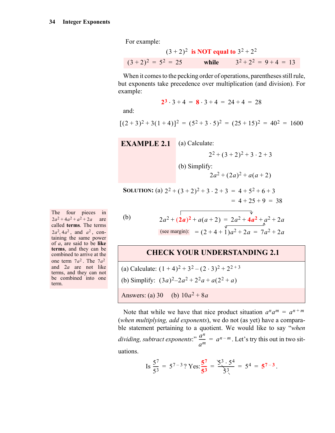#### **34 Integer Exponents**

For example:

$$
(3+2)^2
$$
 is NOT equal to  $3^2 + 2^2$   

$$
(3+2)^2 = 5^2 = 25
$$
 while  $3^2 + 2^2 = 9 + 4 = 13$ 

When it comes to the pecking order of operations, parentheses still rule, but exponents take precedence over multiplication (and division). For example:

$$
2^3 \cdot 3 + 4 = 8 \cdot 3 + 4 = 24 + 4 = 28
$$

and:

$$
[(2+3)^2 + 3(1+4)]^2 = (5^2 + 3 \cdot 5)^2 = (25+15)^2 = 40^2 = 1600
$$

**EXAMPLE 2.1** (a) Calculate:

$$
2^2 + (3+2)^2 + 3 \cdot 2 + 3
$$

(b) Simplify:

$$
2a^2 + (2a)^2 + a(a+2)
$$

 $= (2 + 4 + 1)a^2 + 2a = 7a^2 + 2a$ 

**SOLUTION:** (a)  $2^2 + (3+2)^2 + 3 \cdot 2 + 3 = 4 + 5^2 + 6 + 3$  $= 4 + 25 + 9 = 38$ 

(b)

$$
))
$$

$$
2a^{2} + (2a)^{2} + a(a+2) = 2a^{2} + 4a^{2} + a^{2} + 2a
$$
  
(see margin): 
$$
= (2+4+1)a^{2} + 2a = 7a^{2} + 2a
$$

The four pieces in  $2a^2 + 4a^2 + a^2 + 2a$  are called **terms**. The terms  $2a^2$ ,  $4a^2$ , and  $a^2$ , containing the same power of *a*, are said to be **like terms**, and they can be combined to arrive at the one term  $7a^2$ . The  $7a^2$ and 2*a* are not like terms, and they can not be combined into one term.

#### **CHECK YOUR UNDERSTANDING 2.1**

(a) Calculate:  $(1 + 4)^2 + 3^2 - (2 \cdot 3)^2 + 2^{2+3}$ (b) Simplify:  $(3a)^2-2a^2+2^2a+a(2^2+a)$ Answers:  $(a)$  30 (b)  $10a^2 + 8a$ 

Note that while we have that nice product situation  $a^n a^m = a^{n+m}$ (*when multiplying, add exponents*), we do not (as yet) have a comparable statement pertaining to a quotient. We would like to say "*when dividing, subtract exponents:*"  $\frac{a^n}{a^m} = a^{n-m}$ . Let's try this out in two sit-

uations.

Is 
$$
\frac{5^7}{5^3} = 5^{7-3}
$$
? Yes:  $\frac{5^7}{5^3} = \frac{5^3 \cdot 5^4}{5^3} = 5^4 = 5^{7-3}$ .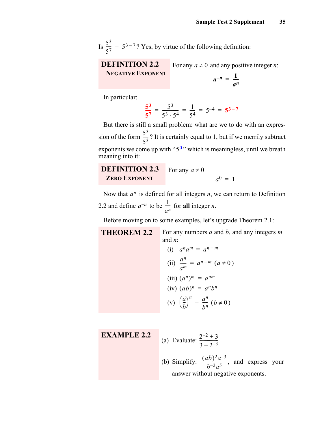Is  $\frac{5^3}{5^7}$  = 5<sup>3-7</sup>? Yes, by virtue of the following definition:

**DEFINITION 2.2 NEGATIVE EXPONENT**

For any  $a \neq 0$  and any positive integer *n*:

$$
a^{-n} = \frac{1}{a^n}
$$

In particular:

$$
\frac{5^3}{5^7} = \frac{5^3}{5^3 \cdot 5^4} = \frac{1}{5^4} = 5^{-4} = 5^{3-7}
$$

But there is still a small problem: what are we to do with an expression of the form  $\frac{5^3}{5^3}$ ? It is certainly equal to 1, but if we merrily subtract exponents we come up with " $5<sup>0</sup>$ " which is meaningless, until we breath meaning into it:

**DEFINITION 2.3 ZERO EXPONENT** For any  $a \neq 0$  $a^0 = 1$ 

Now that  $a^n$  is defined for all integers  $n$ , we can return to Definition 2.2 and define  $a^{-n}$  to be  $\frac{1}{a^n}$  for all integer *n*.

Before moving on to some examples, let's upgrade Theorem 2.1:

**THEOREM 2.2** For any numbers *a* and *b*, and any integers *m* and *n*: (i)  $a^n a^m = a^{n+m}$ (ii)  $\frac{a^n}{a^m} = a^{n-m} (a \neq 0)$  $(iii) (a^n)^m = a^{nm}$  $(iv) (ab)^n = a^n b^n$ 

(v) 
$$
\left(\frac{a}{b}\right)^n = \frac{a^n}{b^n} (b \neq 0)
$$

**EXAMPLE 2.2**  
\n(a) Evaluate: 
$$
\frac{2^{-2} + 3}{3 - 2^{-3}}
$$
  
\n(b) Simplify:  $\frac{(ab)^2 a^{-3}}{b^{-2} a^5}$ , and express your answer without negative exponents.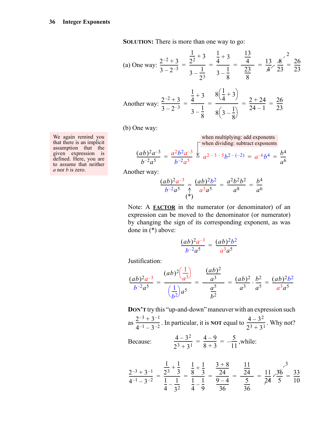**SOLUTION:** There is more than one way to go:

(a) One way: 
$$
\frac{2^{-2}+3}{3-2^{-3}} = \frac{\frac{1}{2^2}+3}{3-\frac{1}{2^3}} = \frac{\frac{1}{4}+3}{3-\frac{1}{8}} = \frac{\frac{13}{4}}{\frac{23}{8}} = \frac{13}{4} \times \frac{8}{23} = \frac{26}{23}
$$

Another way: 
$$
\frac{2^{-2}+3}{3-2^{-3}} = \frac{\frac{1}{4}+3}{3-\frac{1}{8}} = \frac{8(\frac{1}{4}+3)}{8(3-\frac{1}{8})} = \frac{2+24}{24-1} = \frac{26}{23}
$$

(b) One way:

when multiplying: add exponents  
\n
$$
\frac{(ab)^2a^{-3}}{b^{-2}a^5} = \frac{a^2b^2a^{-3}}{b^{-2}a^5} \stackrel{\text{when dividing: subtract exponents}}{=} a^{2-3-5}b^{2-(-2)} = a^{-6}b^4 = \frac{b^4}{a^6}
$$

when  $\mathbf{u}$  add exponents and exponents add exponents add exponents add exponents add exponents add exponents and exponents are  $\mathbf{u}$ 

Another way:

$$
\frac{(ab)^2a^{-3}}{b^{-2}a^5} = \frac{(ab)^2b^2}{a^3a^5} = \frac{a^2b^2b^2}{a^8} = \frac{b^4}{a^6}
$$

Note: A **FACTOR** in the numerator (or denominator) of an expression can be moved to the denominator (or numerator) by changing the sign of its corresponding exponent, as was done in (\*) above:

$$
\frac{(ab)^2a^{-3}}{b^{-2}a^5} = \frac{(ab)^2b^2}{a^3a^5}
$$

Justification:

$$
\frac{(ab)^2a^{-3}}{b^{-2}a^5} = \frac{(ab)^2\left(\frac{1}{a^3}\right)}{\left(\frac{1}{b^2}\right)a^5} = \frac{\frac{(ab)^2}{a^3}}{\frac{a^5}{b^2}} = \frac{(ab)^2}{a^3} \cdot \frac{b^2}{a^5} = \frac{(ab)^2b^2}{a^3a^5}
$$

**Don't try this "up-and-down" maneuver with an expression such as**\n
$$
\frac{2^{-3} + 3^{-1}}{4^{-1} - 3^{-2}}
$$
\nIn particular, it is **NOT** equal to 
$$
\frac{4 - 3^{2}}{2^{3} + 3^{1}}
$$
\n. Why not?\nBecause:\n
$$
\frac{4 - 3^{2}}{2^{3} + 3^{1}} = \frac{4 - 9}{8 + 3} = -\frac{5}{11}
$$
\n, while:

$$
\frac{2^{-3} + 3^{-1}}{4^{-1} - 3^{-2}} = \frac{\frac{1}{2^3} + \frac{1}{3}}{\frac{1}{4} - \frac{1}{3^2}} = \frac{\frac{1}{8} + \frac{1}{3}}{\frac{1}{4} - \frac{1}{9}} = \frac{\frac{3+8}{24}}{\frac{9-4}{36}} = \frac{\frac{11}{24}}{\frac{5}{36}} = \frac{11}{24} \cdot \frac{36}{5} = \frac{33}{10}
$$

We again remind you that there is an implicit assumption that the given expression is defined. Here, you are to assume that neither *a* nor *b* is zero.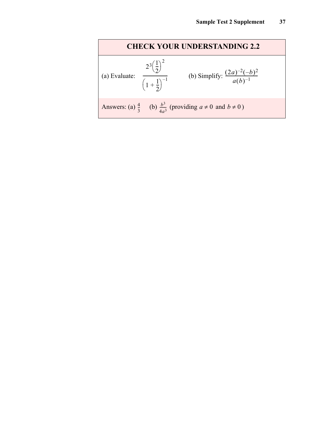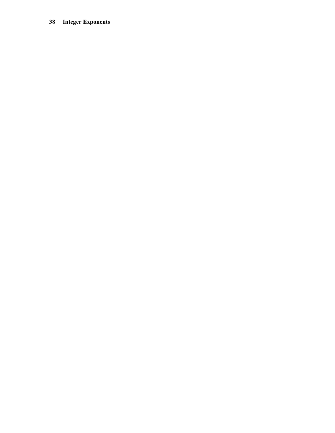#### **38 Integer Exponents**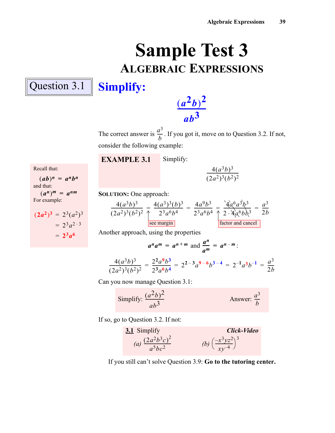## **Sample Test 3 ALGEBRAIC EXPRESSIONS**

**Simplify:** Question 3.1



The correct answer is  $\frac{a^3}{1}$ . If you got it, move on to Question 3.2. If not, consider the following example: *b*  $\frac{a}{\tau}$ 

 $\frac{4(a^3b)^3}{(2a^2)^3(b^2)^2}$ 

**EXAMPLE 3.1** Simplify:

Recall that:

and that: For example:  $(a\,)^n = a^n b^n$  $(a^n)^m = a^{nm}$ 

$$
(2a2)3 = 23(a2)3
$$
  
= 2<sup>3</sup>a<sup>2</sup>·3  
= 2<sup>3</sup>a<sup>6</sup>

**SOLUTION:** One approach:

$$
\frac{4(a^3b)^3}{(2a^2)^3(b^2)^2} = \frac{4(a^3)^3(b)^3}{2^3a^6b^4} = \frac{4a^9b^3}{2^3a^6b^4} = \frac{\lambda a^6a^3b^3}{2\lambda a^6b^3b^3} = \frac{a^3}{2b}
$$
  
see margin

Another approach, using the properties

$$
a^n a^m = a^{n+m} \text{ and } \frac{a^n}{a^m} = a^{n-m}:
$$

$$
\frac{4(a^3b)^3}{(2a^2)^3(b^2)^2} = \frac{2^2a^9b^3}{2^3a^6b^4} = 2^{2-3}a^{9-6}b^{3-4} = 2^{-1}a^3b^{-1} = \frac{a^3}{2b}
$$

Can you now manage Question 3.1:

Simplify: 
$$
\frac{(a^2b)^2}{ab^3}
$$
 Answer: 
$$
\frac{a^3}{b}
$$

If so, go to Question 3.2. If not:

3.1 Simplify  
\n(a) 
$$
\frac{(2a^2b^3c)^2}{a^5bc^2}
$$
\n(b) 
$$
\left(\frac{-x^3yz^2}{xy^{-4}}\right)^3
$$

If you still can't solve Question 3.9: **Go to the tutoring center.**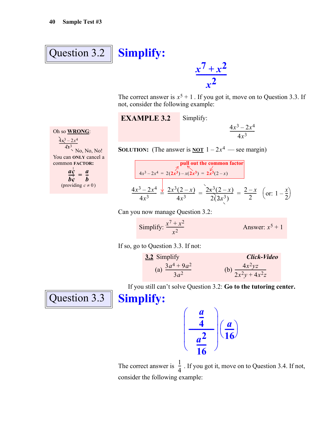Question 3.2  $\parallel$ 

## **Simplify:**



The correct answer is  $x^5 + 1$ . If you got it, move on to Question 3.3. If not, consider the following example:

**EXAMPLE 3.2** Simplify:

$$
\frac{4x^3 - 2x^4}{4x^3}
$$

Oh so **WRONG**:

*bc*

You can **ONLY** cancel a common **FACTOR:**   $4x^3 - 2x^4$  $\frac{4x^3-2x}{4x^3}$  No, No, No! *ac*  $\frac{ac}{bc} = \frac{a}{b}$ 

(providing  $c \neq 0$ )

 $\frac{4x^3 - 2x^4}{4x^3} \stackrel{\perp}{=} \frac{2x^3(2-x)}{4x^3} = \frac{2x^3(2-x)}{2(2x^3)} = \frac{2-x}{2}$  (or: 1 -  $\frac{x}{2}$ )  $4x^3 - 2x^4 = 2(2x^3) - x(2x^3) = 2x^3(2-x)$ **pull out the common factor**

**SOLUTION:** (The answer is **<u>NOT</u>**  $1 - 2x^4$  — see margin)

Can you now manage Question 3.2:

Simplify: 
$$
\frac{x^7 + x^2}{x^2}
$$
 Answer:  $x^5 + 1$ 

If so, go to Question 3.3. If not:

3.2 Simplify  
\n(a) 
$$
\frac{3a^4 + 9a^2}{3a^2}
$$
\n(b) 
$$
\frac{4x^2yz}{2x^2y + 4x^2z}
$$

Question 3.3

If you still can't solve Question 3.2: **Go to the tutoring center.**

## **Simplify:**



The correct answer is  $\frac{1}{4}$ . If you got it, move on to Question 3.4. If not, consider the following example: 4  $\frac{1}{1}$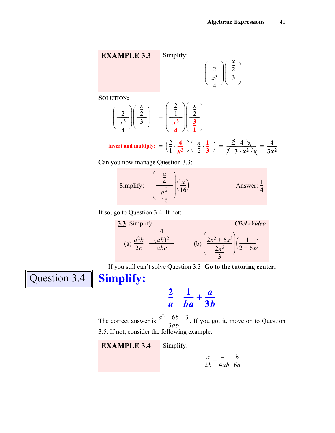$\frac{x}{2}$ 3  $\frac{2}{\cdot}$ 



$$
\left(\frac{2}{x^3}\right)\left(\frac{\frac{x}{2}}{3}\right)
$$

**SOLUTION:** 

$$
\left(\frac{2}{x^3}\right)\left(\frac{\frac{x}{2}}{3}\right) = \left(\frac{\frac{2}{1}}{x^3}\right)\left(\frac{\frac{x}{2}}{3}\right)
$$

$$
invert \text{ and multiply: } = \left(\frac{2}{1} \cdot \frac{4}{x^3}\right) \left(\frac{x}{2} \cdot \frac{1}{3}\right) = \frac{\cancel{2} \cdot 4 \cdot x}{\cancel{2} \cdot 3 \cdot x^2 \cdot x} = \frac{4}{3x^2}
$$

Can you now manage Question 3.3:

Simplify: 
$$
\left(\frac{\frac{a}{4}}{\frac{a^2}{16}}\right)\left(\frac{a}{16}\right)
$$
 Answer:  $\frac{1}{4}$ 

If so, go to Question 3.4. If not:

**Simplify:**

3.3 Simplify  
\n(a) 
$$
\frac{a^2b}{2c} \cdot \frac{\frac{4}{(ab)^2}}{abc}
$$
 (b)  $\left(\frac{2x^2 + 6x^3}{\frac{2x^2}{3}}\right)\left(\frac{1}{2 + 6x}\right)$ 

If you still can't solve Question 3.3: **Go to the tutoring center.**

Question 3.4

$$
\frac{2}{a} - \frac{1}{ba} + \frac{a}{3b}
$$

The correct answer is  $\frac{a^2 + 6b - 3}{3ab}$ . If you got it, move on to Question 3.5. If not, consider the following example:

**EXAMPLE 3.4** Simplify:

$$
\frac{a}{2b} + \frac{-1}{4ab} - \frac{b}{6a}
$$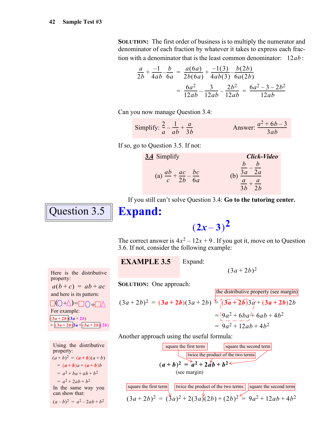**SOLUTION:** The first order of business is to multiply the numerator and denominator of each fraction by whatever it takes to express each fraction with a denominator that is the least common denominator:  $12ab$ :

$$
\frac{a}{2b} + \frac{-1}{4ab} - \frac{b}{6a} = \frac{a(6a)}{2b(6a)} + \frac{-1(3)}{4ab(3)} - \frac{b(2b)}{6a(2b)}
$$

$$
= \frac{6a^2}{12ab} - \frac{3}{12ab} - \frac{2b^2}{12ab} = \frac{6a^2 - 3 - 2b^2}{12ab}
$$

Can you now manage Question 3.4:

Simplify: 
$$
\frac{2}{a} - \frac{1}{ab} + \frac{a}{3b}
$$
 Answer:  $\frac{a^2 + 6b - 3}{3ab}$ 

If so, go to Question 3.5. If not:

| 3.4 Simplify                                       | Click-Video                 |
|----------------------------------------------------|-----------------------------|
|                                                    | $a \quad 2a$                |
| (a) $\frac{ab}{c} + \frac{ac}{2b} - \frac{bc}{6a}$ | $rac{a}{3b} + \frac{a}{2b}$ |
|                                                    |                             |

If you still can't solve Question 3.4: **Go to the tutoring center.**

Question 3.5

**Expand:**

 $(2x-3)^2$ 

The correct answer is  $4x^2 - 12x + 9$ . If you got it, move on to Question 3.6. If not, consider the following example:

```
EXAMPLE 3.5 Expand:
```
 $(3a+2b)^2$ 

**SOLUTION:** One approach:

 3*a* + 2*b* <sup>2</sup> = = **3***a* **+ 2***b* 3*a* + 2*b* **3***a* **+ 2***b* 3*a* + **3***a* **+ 2***b* 2*b* 9*a*<sup>2</sup> 6*ba* 6*ab* 4*b*<sup>2</sup> = +++ 9*a*<sup>2</sup> 12*ab* 4*b*<sup>2</sup> = + + the distributive property (see margin)

Another approach using the useful formula:

 $(a + b)^2 = a^2 + 2ab + b^2$ square the first term square the second term twice the product of the two terms (see margin)

 $(3a+2b)^2 = (\overrightarrow{3}a)^2 + 2(3a)(2b) + (2b)^2 = 9a^2 + 12ab + 4b^2$ square the first term twice the product of the two terms  $\frac{1}{2}$  square the second term

Here is the distributive property: and here is its pattern: For example:  $a(b+c) = ab + ac$  $\square(\bigcirc + \triangle) = \square \cap + \square \wedge$  $(3a + 2b)(3a + 2b)$  $= (3a + 2b)3a + (3a + 2b)(2b)$ 

Using the distributive property: In the same way you can show that:  $(a + b)^2 = (a + b)(a + b)$  $= (a + b)a + (a + b)b$  $= a^2 + ba + ab + b^2$  $= a^2 + 2ab + b^2$  $(a - b)^2 = a^2 - 2ab + b^2$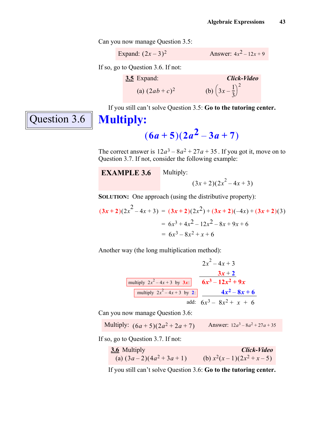Can you now manage Question 3.5:

Expand:  $(2x-3)^2$ Answer:  $4x^2 - 12x + 9$ 

If so, go to Question 3.6. If not:

3.5 Expand:  
\n(a) 
$$
(2ab + c)^2
$$
 (b)  $\left(3x - \frac{1}{3}\right)^2$ 

If you still can't solve Question 3.5: **Go to the tutoring center.**

#### **Multiply:** Question 3.6

$$
(6a+5)(2a^2-3a+7)
$$

The correct answer is  $12a^3 - 8a^2 + 27a + 35$ . If you got it, move on to Question 3.7. If not, consider the following example:

**EXAMPLE 3.6** Multiply:

$$
(3x+2)(2x^2-4x+3)
$$

**SOLUTION:** One approach (using the distributive property):

$$
(3x+2)(2x2 - 4x + 3) = (3x+2)(2x2) + (3x+2)(-4x) + (3x+2)(3)
$$
  
= 6x<sup>3</sup> + 4x<sup>2</sup> - 12x<sup>2</sup> - 8x + 9x + 6  
= 6x<sup>3</sup> - 8x<sup>2</sup> + x + 6

Another way (the long multiplication method):

$$
\frac{2x^2 - 4x + 3}{3x + 2}
$$
\nmultiply  $2x^2 - 4x + 3$  by  $3x$ :

\nmultiply  $2x^2 - 4x + 3$  by  $2$ :

\nMultiply  $2x^2 - 4x + 3$  by  $2$ :

\nadd:

\n
$$
6x^3 - 8x^2 + x + 6
$$
\nadd:

\n
$$
6x^3 - 8x^2 + x + 6
$$

Can you now manage Question 3.6:

Multiply:  $(6a + 5)(2a^2 + 2a + 7)$  Answer:  $12a^3 - 8a^2 + 27a + 35$ 

If so, go to Question 3.7. If not:

| <b>3.6</b> Multiply     | Click-Video              |
|-------------------------|--------------------------|
| (a) $(3a-2)(4a^2+3a+1)$ | (b) $x^2(x-1)(2x^2+x-5)$ |

If you still can't solve Question 3.6: **Go to the tutoring center.**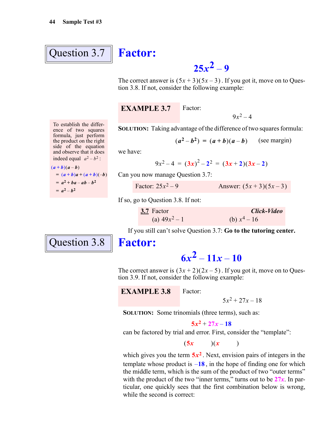Question 3.7

### **Factor:**

 $25x^2 - 9$ 

The correct answer is  $(5x + 3)(5x - 3)$ . If you got it, move on to Question 3.8. If not, consider the following example:

#### **EXAMPLE 3.7** Factor:

 $9x^2 - 4$ 

**SOLUTION:** Taking advantage of the difference of two squares formula:

 $(a^2 - b^2) = (a + b)(a - b)$  (see margin)

we have:

$$
9x^2 - 4 = (3x)^2 - 2^2 = (3x + 2)(3x - 2)
$$

Can you now manage Question 3.7:

 $(a + b)(a - b)$  $= (a + b)a + (a + b)(-b)$  $a^2 + ba - ab - b^2$  $a^2 - b^2$ 

To establish the difference of two squares formula, just perform the product on the right side of the equation and observe that it does indeed equal  $a^2 - b^2$ :

Factor:  $25x^2-9$ 

Answer:  $(5x + 3)(5x - 3)$ 

If so, go to Question 3.8. If not:

| 3.7 Factor      | Click-Video    |
|-----------------|----------------|
| (a) $49x^2 - 1$ | (b) $x^4 - 16$ |

If you still can't solve Question 3.7: **Go to the tutoring center.**

Question 3.8 
$$
\parallel
$$

**Factor:**

```
6x2 – 11x – 10
```
The correct answer is  $(3x + 2)(2x - 5)$ . If you got it, move on to Question 3.9. If not, consider the following example:

**EXAMPLE 3.8** Factor:

 $5x^2 + 27x - 18$ 

**SOLUTION:** Some trinomials (three terms), such as:

 $5x^2 + 27x - 18$ 

can be factored by trial and error. First, consider the "template":

 $(5x)$   $(x)$ 

which gives you the term  $5x^2$ . Next, envision pairs of integers in the template whose product is  $-18$ , in the hope of finding one for which the middle term, which is the sum of the product of two "outer terms" with the product of the two "inner terms," turns out to be 27*x*. In particular, one quickly sees that the first combination below is wrong, while the second is correct: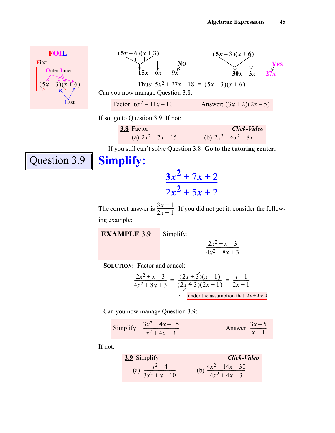

$$
(5x-6)(x+3)
$$
  
\n
$$
15x-6x = 9x
$$
\n
$$
(5x-3)(x+6)
$$
  
\n
$$
30x-3
$$

No  
\n
$$
30x-3x = 27x
$$

Thus:  $5x^2 + 27x - 18 = (5x - 3)(x + 6)$ Can you now manage Question 3.8:

Last Factor: 
$$
6x^2 - 11x - 10
$$
 Answer:  $(3x + 2)(2x - 5)$ 

If so, go to Question 3.9. If not:

| 3.8 Factor           | Click-Video            |
|----------------------|------------------------|
| (a) $2x^2 - 7x - 15$ | (b) $2x^3 + 6x^2 - 8x$ |

If you still can't solve Question 3.8: **Go to the tutoring center.**



**Simplify:**

$$
\frac{3x^2+7x+2}{2x^2+5x+2}
$$

The correct answer is  $\frac{3x+1}{2x+1}$ . If you did not get it, consider the following example:

**EXAMPLE 3.9** Simplify:

$$
\frac{2x^2 + x - 3}{4x^2 + 8x + 3}
$$

**SOLUTION:** Factor and cancel:

$$
\frac{2x^2 + x - 3}{4x^2 + 8x + 3} = \frac{(2x + 3)(x - 1)}{(2x + 3)(2x + 1)} = \frac{x - 1}{2x + 1}
$$
  
  $\angle$ 

Can you now manage Question 3.9:

Simplify: 
$$
\frac{3x^2 + 4x - 15}{x^2 + 4x + 3}
$$
 Answer:  $\frac{3x - 5}{x + 1}$ 

If not:

3.9 Simplify *Click-Video*  
\n(a) 
$$
\frac{x^2 - 4}{3x^2 + x - 10}
$$
 (b)  $\frac{4x^2 - 14x - 30}{4x^2 + 4x - 3}$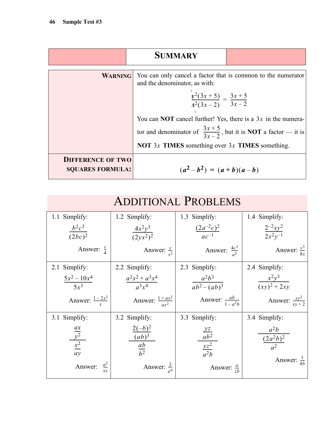|                                                     | <b>SUMMARY</b>                                                                                |
|-----------------------------------------------------|-----------------------------------------------------------------------------------------------|
| <b>WARNING</b>                                      | You can only cancel a factor that is common to the numerator<br>and the denominator, as with: |
|                                                     | $\frac{x^2(3x+5)}{x^2(3x-2)} = \frac{3x+5}{3x-2}$                                             |
|                                                     | You can <b>NOT</b> cancel further! Yes, there is a $3x$ in the numera-                        |
|                                                     | tor and denominator of $\frac{3x+5}{3x-2}$ , but it is <b>NOT</b> a factor — it is            |
|                                                     | <b>NOT 3x TIMES</b> something over $3x$ <b>TIMES</b> something.                               |
| <b>DIFFERENCE OF TWO</b><br><b>SQUARES FORMULA:</b> | $(a^2-b^2) = (a+b)(a-b)$                                                                      |

|                                          |                                           | <b>ADDITIONAL PROBLEMS</b>            |                                                             |
|------------------------------------------|-------------------------------------------|---------------------------------------|-------------------------------------------------------------|
| Simplify:<br>1.1                         | 1.2 Simplify:                             | 1.3 Simplify:                         | 1.4 Simplify:                                               |
| $\frac{b^2c^3}{(2bc)^2}$                 | $\frac{4x^2y^3}{(2yx^2)^2}$               | $\frac{(2a^{-2}c)^2}{ac^{-1}}$        | $\frac{2^{-2}xy^2}{2x^2y^{-1}}$                             |
| Answer: $\frac{c}{4}$                    | Answer: $\frac{y}{r^2}$                   | Answer: $\frac{4c^3}{a^5}$            | Answer: $\frac{y^3}{8x}$                                    |
| Simplify:<br>2.1                         | 2.2 Simplify:                             | 2.3 Simplify:                         | 2.4 Simplify:                                               |
| $\frac{5x^2-10x^4}{5x^3}$                | $\frac{a^2x^2+a^3x^4}{a^3x^4}$            | $\frac{a^2b^3}{ab^2-(ab)^3}$          | $\frac{x^2y^3}{(xy)^2+2xy}$                                 |
| Answer: $\frac{1-2x^2}{x}$               | Answer: $\frac{1+ax^2}{ax^2}$             | Answer: $\frac{ab}{1-a^2b}$           | Answer: $\frac{xy^2}{xy+2}$                                 |
| Simplify:<br>3.1                         | 3.2 Simplify:                             | 3.3 Simplify:                         | 3.4 Simplify:                                               |
| $\frac{ax}{y^2}$ $\frac{x^2}{x^2}$<br>ay | $2(-b)^2$<br>$(ab)^3$<br>$\frac{ab}{b^2}$ | $\frac{yz}{ab^2}$ $\frac{yz^2}{a^2b}$ | $a^2b$<br>$\frac{(2a^2b)^2}{a^2}$<br>Answer: $\frac{1}{4b}$ |
| $\frac{a^2}{xy}$<br>Answer:              | Answer: $\frac{2}{a^4}$                   | Answer: $\frac{a}{zb}$                |                                                             |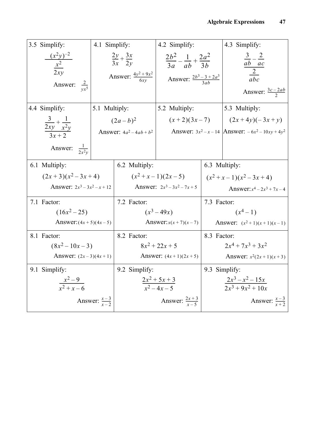| 3.5 Simplify:                    | 4.1 Simplify:             |                                                                    | 4.2 Simplify:                                                                               |                               | 4.3 Simplify:                                         |
|----------------------------------|---------------------------|--------------------------------------------------------------------|---------------------------------------------------------------------------------------------|-------------------------------|-------------------------------------------------------|
| $\frac{(x^2y)^{-2}}{x^2}$        |                           | $\frac{2y}{3x} + \frac{3x}{2y}$<br>Answer: $\frac{4y^2+9x^2}{6xy}$ | $\frac{2b^2}{3a} - \frac{1}{ab} + \frac{2a^2}{3b}$<br>Answer: $\frac{2b^3 - 3 + 2a^3}{3ab}$ |                               | $\frac{\frac{3}{ab}-\frac{2}{ac}}{\frac{2}{abc}}$     |
| Answer: $\frac{2}{yx^5}$         |                           |                                                                    |                                                                                             |                               | Answer: $\frac{3c-2ab}{2}$                            |
| 4.4 Simplify:                    | 5.1 Multiply:             |                                                                    | 5.2 Multiply:                                                                               |                               | 5.3 Multiply:                                         |
|                                  |                           | $(2a-b)^2$                                                         |                                                                                             |                               | $(x+2)(3x-7)$ $(2x+4y)(-3x+y)$                        |
| $\frac{3}{2xy} + \frac{1}{x^2y}$ |                           | Answer: $4a^2 - 4ab + b^2$                                         |                                                                                             |                               | Answer: $3x^2 - x - 14$ Answer: $-6x^2 - 10xy + 4y^2$ |
| Answer: $\frac{1}{2x^2y}$        |                           |                                                                    |                                                                                             |                               |                                                       |
| 6.1 Multiply:                    |                           | 6.2 Multiply:                                                      |                                                                                             |                               | 6.3 Multiply:                                         |
| $(2x+3)(x^2-3x+4)$               |                           |                                                                    | $(x^2+x-1)(2x-5)$                                                                           |                               | $(x^2 + x - 1)(x^2 - 3x + 4)$                         |
| Answer: $2x^3 - 3x^2 - x + 12$   |                           |                                                                    | Answer: $2x^3 - 3x^2 - 7x + 5$                                                              | Answer: $x^4 - 2x^3 + 7x - 4$ |                                                       |
| 7.1 Factor:                      |                           | 7.2 Factor:                                                        |                                                                                             | 7.3 Factor:                   |                                                       |
| $(16x^2-25)$                     |                           |                                                                    | $(x^3-49x)$                                                                                 |                               | $(x^4-1)$                                             |
| Answer: $(4x + 5)(4x - 5)$       |                           |                                                                    | Answer: $x(x + 7)(x - 7)$                                                                   |                               | Answer: $(x^2+1)(x+1)(x-1)$                           |
| 8.1 Factor:                      |                           | 8.2 Factor:                                                        |                                                                                             | 8.3 Factor:                   |                                                       |
| $(8x^2-10x-3)$                   |                           |                                                                    | $8x^2 + 22x + 5$                                                                            |                               | $2x^4 + 7x^3 + 3x^2$                                  |
| Answer: $(2x-3)(4x+1)$           |                           |                                                                    | Answer: $(4x+1)(2x+5)$                                                                      |                               | Answer: $x^2(2x+1)(x+3)$                              |
| 9.1 Simplify:                    |                           | 9.2 Simplify:                                                      |                                                                                             |                               | 9.3 Simplify:                                         |
| $\frac{x^2-9}{x^2+x-6}$          |                           |                                                                    | $\frac{2x^2+5x+3}{x^2-4x-5}$                                                                |                               | $\frac{2x^3 - x^2 - 15x}{2x^3 + 9x^2 + 10x}$          |
|                                  | Answer: $\frac{x-3}{x-2}$ |                                                                    | Answer: $\frac{2x+3}{x-5}$                                                                  |                               | Answer: $\frac{x-3}{x+2}$                             |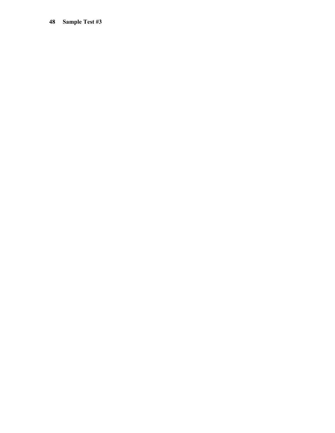#### **48 Sample Test #3**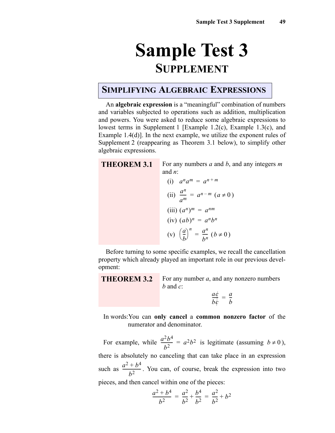# **Sample Test 3 SUPPLEMENT**

#### **SIMPLIFYING ALGEBRAIC EXPRESSIONS**

An **algebraic expression** is a "meaningful" combination of numbers and variables subjected to operations such as addition, multiplication and powers. You were asked to reduce some algebraic expressions to lowest terms in Supplement 1 [Example 1.2(c), Example 1.3(c), and Example 1.4(d)]. In the next example, we utilize the exponent rules of Supplement 2 (reappearing as Theorem 3.1 below), to simplify other algebraic expressions.

| <b>THEOREM 3.1</b> | For any numbers $a$ and $b$ , and any integers $m$            |
|--------------------|---------------------------------------------------------------|
|                    | and $n$ :                                                     |
|                    | (i) $a^n a^m = a^{n+m}$                                       |
|                    | (ii) $\frac{a^n}{a^m} = a^{n-m} (a \neq 0)$                   |
|                    | (iii) $(a^n)^m = a^{nm}$                                      |
|                    | (iv) $(ab)^n = a^n b^n$                                       |
|                    | (v) $\left(\frac{a}{b}\right)^n = \frac{a^n}{b^n} (b \neq 0)$ |
|                    |                                                               |

Before turning to some specific examples, we recall the cancellation property which already played an important role in our previous development:

**THEOREM 3.2** For any number *a*, and any nonzero numbers *b* and *c*:

$$
\frac{ac}{bc} = \frac{a}{b}
$$

In words:You can **only cancel** a **common nonzero factor** of the numerator and denominator.

For example, while  $\frac{a^2b^4}{b^2} = a^2b^2$  is legitimate (assuming  $b \neq 0$ ), there is absolutely no canceling that can take place in an expression such as  $\frac{a^2 + b^4}{b^2}$ . You can, of course, break the expression into two pieces, and then cancel within one of the pieces:

$$
\frac{a^2 + b^4}{b^2} = \frac{a^2}{b^2} + \frac{b^4}{b^2} = \frac{a^2}{b^2} + b^2
$$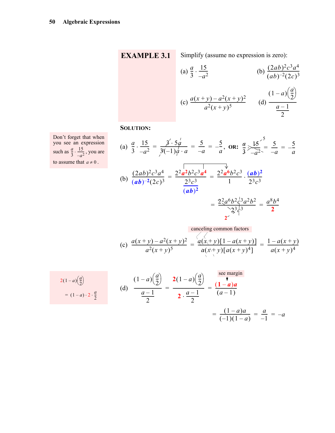**EXAMPLE 3.1** Simplify (assume no expression is zero):

(a) 
$$
\frac{a}{3} \cdot \frac{15}{-a^2}
$$
 (b)  $\frac{(2ab)^2 c^3 a^4}{(ab)^{-2} (2c)^3}$   
(c)  $\frac{a(x+y) - a^2 (x+y)^2}{a^2 (x+y)^5}$  (d)  $\frac{(1-a) \left(\frac{a}{2}\right)}{\frac{a-1}{2}}$ 

**SOLUTION:**

(a) 
$$
\frac{a}{3} \cdot \frac{15}{-a^2} = \frac{3 \cdot 5a}{3(-1)a \cdot a} = \frac{5}{-a} = -\frac{5}{a}
$$
, **or:**  $\frac{a}{3} \frac{15}{-a^2} = \frac{5}{-a} = -\frac{5}{a}$ 

(b) 
$$
\frac{(2ab)^2c^3a^4}{(ab)^{-2}(2c)^3} = \frac{2^2a^2b^2c^3a^4}{2^3c^3} = \frac{2^2a^6b^2c^3}{1} \cdot \frac{(ab)^2}{2^3c^3} = \frac{2^2a^6b^2c^3a^2b^2}{2^3c^3} = \frac{a^8b^4}{2^3}
$$

Don't forget that when you see an expression such as  $\frac{a}{2} \cdot \frac{15}{2}$ , you are to assume that  $a \neq 0$ .  $rac{a}{3} \cdot \frac{15}{-a^2}$ 

(2) 
$$
\frac{a(x+y)-a^2(x+y)^2}{a^2(x+y)^5} = \frac{a(x+y)[1-a(x+y)]}{a(x+y)[a(x+y)^4]} = \frac{1-a(x+y)}{a(x+y)^4}
$$

$$
2(1-a)\left(\frac{a}{2}\right)
$$
\n
$$
= (1-a)\cdot 2\cdot \frac{a}{2}
$$
\n
$$
(d) \frac{(1-a)\left(\frac{a}{2}\right)}{\frac{a-1}{2}} = \frac{2(1-a)\left(\frac{a}{2}\right)}{2\cdot \frac{a-1}{2}} = \frac{(1-a)a}{(a-1)}
$$
\n
$$
= \frac{(1-a)a}{(-1)(1-a)} = \frac{a}{-1} = -a
$$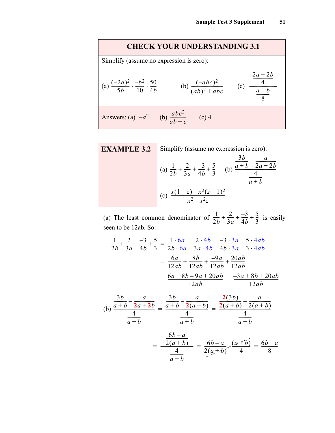#### **CHECK YOUR UNDERSTANDING 3.1**

Simplify (assume no expression is zero): (a)  $\frac{(-2a)^2}{5b} \cdot \frac{-b^2}{10} \cdot \frac{50}{4b}$  (b)  $\frac{(-abc)^2}{(ab)^2 + abc}$  (c) Answers: (a)  $-a^2$  (b)  $\frac{abc^2}{ab+c}$  (c) 4  $-\frac{-b^2}{10} \cdot \frac{50}{4b}$  (b)  $\frac{(-abc)^2}{(ab)^2 + abc}$  $\frac{2a+2b}{4}$  $\frac{a+b}{8}$  $\frac{4}{1}$ 

**EXAMPLE 3.2** Simplify (assume no expression is zero):  
\n(a) 
$$
\frac{1}{2b} + \frac{2}{3a} + \frac{-3}{4b} + \frac{5}{3}
$$
 (b)  $\frac{\frac{3b}{a+b} - \frac{a}{2a+2b}}{\frac{4}{a+b}}$   
\n(c)  $\frac{x(1-z) - x^2(z-1)^2}{x^2 - x^2z}$ 

(a) The least common denominator of  $\frac{1}{2} + \frac{2}{3} + \frac{-3}{4} + \frac{5}{3}$  is easily seen to be 12ab. So: 2*b*  $\frac{1}{2!} + \frac{2}{3}$ 3*a*  $\frac{2}{2} + \frac{-3}{11}$ 4*b*  $\frac{-3}{11} + \frac{5}{2}$  $+\frac{2}{3a}+\frac{3}{4b}+\frac{3}{3}$ 

$$
\frac{1}{2b} + \frac{2}{3a} + \frac{-3}{4b} + \frac{5}{3} = \frac{1 \cdot 6a}{2b \cdot 6a} + \frac{2 \cdot 4b}{3a \cdot 4b} + \frac{-3 \cdot 3a}{4b \cdot 3a} + \frac{5 \cdot 4ab}{3 \cdot 4ab}
$$

$$
= \frac{6a}{12ab} + \frac{8b}{12ab} + \frac{-9a}{12ab} + \frac{20ab}{12ab}
$$

$$
= \frac{6a + 8b - 9a + 20ab}{12ab} = \frac{-3a + 8b + 20ab}{12ab}
$$
(b) 
$$
\frac{\frac{3b}{a+b} - \frac{a}{2a + 2b}}{4} = \frac{\frac{3b}{a+b} - \frac{a}{2(a+b)}}{4} = \frac{\frac{2(3b)}{2(a+b)} - \frac{a}{2(a+b)}}{4}
$$

$$
\frac{4}{a+b} \qquad \frac{4}{a+b} \qquad \frac{4}{a+b}
$$

$$
= \frac{\frac{6b-a}{2(a+b)}}{4} = \frac{6b-a}{2(a+b)} \cdot \frac{(a+b)}{4} = \frac{6b-a}{8}
$$

$$
\frac{4}{a+b} = \frac{1}{2(a+b)}
$$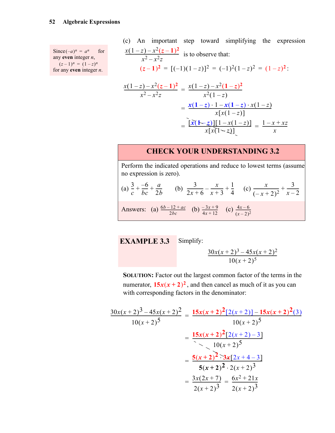#### **52 Algebraic Expressions**

 $Since (-a)^n = a^n$  for any **even** integer *n*, for any **even** integer *n*.  $(z-1)^n = (1-z)^n$ 

(c) An important step toward simplifying the expression  
\n
$$
\frac{x(1-z) - x^2(z-1)^2}{x^2 - x^2z}
$$
\nis to observe that:  
\n
$$
(z-1)^2 = [(-1)(1-z)]^2 = (-1)^2(1-z)^2 = (1-z)^2:
$$
\n
$$
\frac{x(1-z) - x^2(z-1)^2}{x^2 - x^2z} = \frac{x(1-z) - x^2(1-z)^2}{x^2(1-z)}
$$
\n
$$
= \frac{x(1-z) \cdot 1 - x(1-z) \cdot x(1-z)}{x[x(1-z)]}
$$
\n
$$
= \frac{\overline{x}[x] - \overline{z}]{\underline{x}[x(1-z)]}}{x[x(1-z)]} = \frac{1-x+xz}{x}
$$

#### **CHECK YOUR UNDERSTANDING 3.2**

Perform the indicated operations and reduce to lowest terms (assume no expression is zero).

(a) 
$$
\frac{3}{c} + \frac{-6}{bc} + \frac{a}{2b}
$$
 (b)  $\frac{3}{2x + 6} - \frac{x}{x + 3} + \frac{1}{4}$  (c)  $\frac{x}{(-x + 2)^2} + \frac{3}{x - 2}$   
Answers: (a)  $\frac{6b - 12 + ac}{2bc}$  (b)  $\frac{-3x + 9}{4x + 12}$  (c)  $\frac{4x - 6}{(x - 2)^2}$ 

**EXAMPLE 3.3** Simplify:

$$
\frac{30x(x+2)^3 - 45x(x+2)^2}{10(x+2)^5}
$$

**SOLUTION:** Factor out the largest common factor of the terms in the numerator,  $15x(x+2)^2$ , and then cancel as much of it as you can with corresponding factors in the denominator:

$$
\frac{30x(x+2)^3 - 45x(x+2)^2}{10(x+2)^5} = \frac{15x(x+2)^2[2(x+2)] - 15x(x+2)^2(3)}{10(x+2)^5}
$$

$$
= \frac{15x(x+2)^2[2(x+2)-3]}{3(x+2)^5}
$$

$$
= \frac{5(x+2)^2 \cdot 3x[2x+4-3]}{5(x+2)^2 \cdot 2(x+2)^3}
$$

$$
= \frac{3x(2x+7)}{2(x+2)^3} = \frac{6x^2 + 21x}{2(x+2)^3}
$$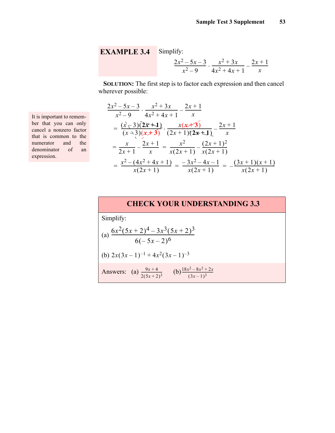**EXAMPLE 3.4** Simplify:

$$
\frac{2x^2 - 5x - 3}{x^2 - 9} \cdot \frac{x^2 + 3x}{4x^2 + 4x + 1} - \frac{2x + 1}{x}
$$

**SOLUTION:** The first step is to factor each expression and then cancel wherever possible:

$$
\frac{2x^2 - 5x - 3}{x^2 - 9} \cdot \frac{x^2 + 3x}{4x^2 + 4x + 1} - \frac{2x + 1}{x}
$$
\n
$$
= \frac{(\overrightarrow{x} - 3)(2x + 1)}{(x + 3)(x + 3)} \cdot \frac{x(x + 3)}{(2x + 1)(2x + 1)} - \frac{2x + 1}{x}
$$
\n
$$
= \frac{x}{2x + 1} - \frac{2x + 1}{x} = \frac{x^2}{x(2x + 1)} - \frac{(2x + 1)^2}{x(2x + 1)}
$$
\n
$$
= \frac{x^2 - (4x^2 + 4x + 1)}{x(2x + 1)} = \frac{-3x^2 - 4x - 1}{x(2x + 1)} = -\frac{(3x + 1)(x + 1)}{x(2x + 1)}
$$

**CHECK YOUR UNDERSTANDING 3.3** Simplify: (a)  $\frac{6x^2(5x+2)^4-3x^3(5x+2)^3}{6}$ (b)  $2x(3x-1)^{-1} + 4x^2(3x-1)^{-3}$ Answers: (a)  $\frac{9x+4}{2(5x+2)^3}$  (b)  $\frac{18x^2-8x^2+2x}{(3x-1)^3}$  $\frac{6x(3x+2)-5x^2(3x+2)}{6(-5x-2)^6}$ 

It is important to remember that you can only cancel a nonzero factor that is common to the numerator and the denominator of an expression.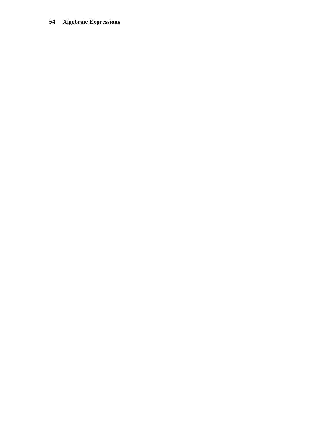#### **54 Algebraic Expressions**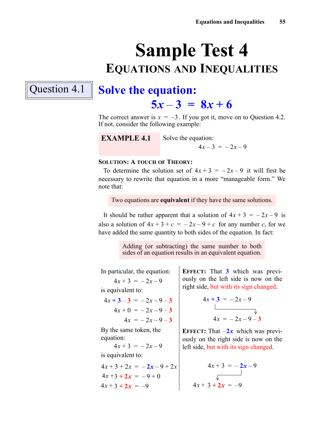# **Sample Test 4 EQUATIONS AND INEQUALITIES**

Question 4.1

## **Solve the equation:**

 $5x-3 = 8x+6$ 

The correct answer is  $x = -3$ . If you got it, move on to Question 4.2. If not, consider the following example:

**EXAMPLE 4.1** Solve the equation:  $4x-3 = -2x-9$ 

#### **SOLUTION: A TOUCH OF THEORY:**

To determine the solution set of  $4x + 3 = -2x - 9$  it will first be necessary to rewrite that equation in a more "manageable form." We note that:

Two equations are **equivalent** if they have the same solutions.

It should be rather apparent that a solution of  $4x + 3 = -2x - 9$  is also a solution of  $4x + 3 + c = -2x - 9 + c$  for any number *c*, for we have added the same quantity to both sides of the equation. In fact:

> Adding (or subtracting) the same number to both sides of an equation results in an equivalent equation.

In particular, the equation:

 $4x + 3 = -2x - 9$ 

is equivalent to:

 $4x + 3 - 3 = -2x - 9 - 3$  $4x + 0 = -2x - 9 - 3$  $4x = -2x - 9 - 3$ 

By the same token, the equation:

is equivalent to:  $4x + 3 = -2x - 9$ 

 $4x + 3 + 2x = -2x - 9 + 2x$  $4x + 3 + 2x = -9 + 0$  $4x + 3 + 2x = -9$ 

**EFFECT:** That **3** which was previously on the left side is now on the right side, but with its sign changed.

$$
4x + 3 = -2x - 9
$$
  
4x = -2x - 9 - 3

**EFFECT:** That  $-2x$  which was previously on the right side is now on the left side, but with its sign changed.

$$
4x + 3 = -2x - 9
$$
  
4x + 3 + 2x = -9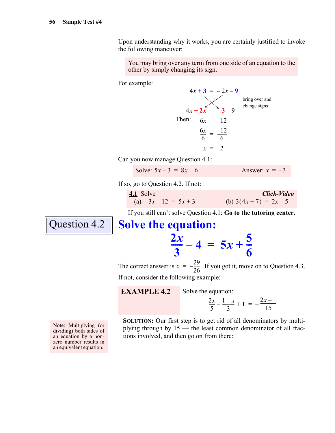Upon understanding why it works, you are certainly justified to invoke the following maneuver:

You may bring over any term from one side of an equation to the other by simply changing its sign.

For example:

Can you now manage Question 4.1: If so, go to Question 4.2. If not: If you still can't solve Question 4.1: **Go to the tutoring center. Solve the equation:** The correct answer is  $x = -\frac{29}{26}$ . If you got it, move on to Question 4.3. If not, consider the following example: **SOLUTION:** Our first step is to get rid of all denominators by multiplying through by 15 — the least common denominator of all frac-Solve:  $5x-3 = 8x+6$ **4.1** Solve *Click-Video*  $(a) - 3x - 12 = 5x + 3$  $4x + 3 = -2x - 9$  $4x + 2x = -3$ Then:  $6x = -12$ 6*x* 6  $\frac{6x}{6} = \frac{-12}{6}$  $x = -2$ bring over and change signs Answer:  $x = -3$ (b)  $3(4x + 7) = 2x - 5$ Question 4.2  $\parallel$ **2***x* **3**  $\frac{2x}{2} - 4 = 5x$ **5 6**  $=$  **5x** +  $\frac{5}{6}$ **EXAMPLE 4.2** Solve the equation: 2*x* 5  $\frac{2x}{5} - \frac{1-x}{3} + 1 = -\frac{2x-1}{15}$ 

tions involved, and then go on from there:

Note: Multiplying (or dividing) both sides of an equation by a nonzero number results in an equivalent equation.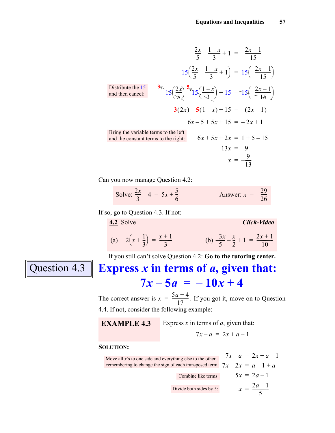$$
\frac{2x}{5} - \frac{1-x}{3} + 1 = -\frac{2x-1}{15}
$$
  
\n
$$
15\left(\frac{2x}{5} - \frac{1-x}{3} + 1\right) = 15\left(-\frac{2x-1}{15}\right)
$$
  
\nDistribute the 15  
\nand then cancel:  
\n
$$
15\left(\frac{2x}{5} - \frac{1-x}{3}\right) + 15 = -15\left(-\frac{2x-1}{15}\right)
$$
  
\n
$$
3(2x) - 5(1-x) + 15 = -(2x-1)
$$
  
\n
$$
6x - 5 + 5x + 15 = -2x + 1
$$
  
\nBring the variable terms to the left  
\nand the constant terms to the right:  
\n
$$
6x + 5x + 2x = 1 + 5 - 15
$$
  
\n
$$
13x = -9
$$
  
\n
$$
x = -\frac{9}{13}
$$

Can you now manage Question 4.2:

Solve: 
$$
\frac{2x}{3} - 4 = 5x + \frac{5}{6}
$$
 Answer:  $x = -\frac{29}{26}$ 

If so, go to Question 4.3. If not:

**4.2** Solve *Click-Video* (a)  $2\left(x+\frac{1}{2}\right) = \frac{x+1}{2}$  (b)  $\left(x + \frac{1}{3}\right) = \frac{x+1}{3}$  (b)  $\frac{-3x}{5}$  $\frac{-3x}{5} - \frac{x}{2} + 1 = \frac{2x+1}{10}$ 

If you still can't solve Question 4.2: **Go to the tutoring center.**

## Question 4.3

## **Express** *x* **in terms of** *a***, given that:**  $7x - 5a = -10x + 4$

The correct answer is  $x = \frac{5a+4}{17}$ . If you got it, move on to Question 4.4. If not, consider the following example:

**EXAMPLE 4.3** Express *x* in terms of *a*, given that:

$$
7x - a = 2x + a - 1
$$

#### **SOLUTION:**

| $7x-a = 2x + a - 1$  | Move all $x$ 's to one side and everything else to the other                  |
|----------------------|-------------------------------------------------------------------------------|
|                      | remembering to change the sign of each transposed term: $7x - 2x = a - 1 + a$ |
| $5x = 2a - 1$        | Combine like terms:                                                           |
| $x = \frac{2a-1}{5}$ | Divide both sides by $5$ :                                                    |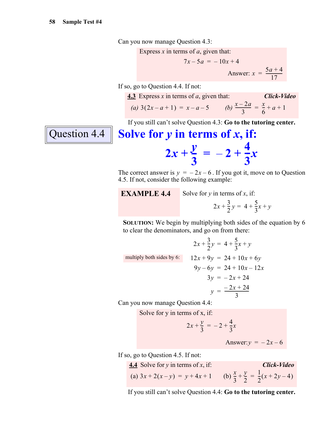Can you now manage Question 4.3:

Express  $x$  in terms of  $a$ , given that:

$$
7x - 5a = -10x + 4
$$
  
Answer:  $x = \frac{5a + 4}{17}$ 

If so, go to Question 4.4. If not:

**4.3** Express x in terms of a, given that:  
\n(a) 
$$
3(2x - a + 1) = x - a - 5
$$
  
\n(b)  $\frac{x - 2a}{3} = \frac{x}{6} + a + 1$ 

Question 4.4

If you still can't solve Question 4.3: **Go to the tutoring center.**

# **Solve for** *y* **in terms of** *x***, if:**

$$
2x + \frac{y}{3} = -2 + \frac{4}{3}x
$$

The correct answer is  $y = -2x - 6$ . If you got it, move on to Question 4.5. If not, consider the following example:

**EXAMPLE 4.4** Solve for y in terms of x, if:  

$$
2x + \frac{3}{2}y = 4 + \frac{5}{3}x + y
$$

**SOLUTION:** We begin by multiplying both sides of the equation by 6 to clear the denominators, and go on from there:

 $2x + \frac{3}{2}y = 4 + \frac{5}{3}x + y$ 

multiply both sides by 6:

$$
12x + 9y = 24 + 10x + 6y
$$
  
\n
$$
9y - 6y = 24 + 10x - 12x
$$
  
\n
$$
3y = -2x + 24
$$
  
\n
$$
y = \frac{-2x + 24}{3}
$$

Can you now manage Question 4.4:

Solve for y in terms of x, if:

 $2x +$ 

$$
+\frac{y}{3} = -2 + \frac{4}{3}x
$$
  
Answer:  $y = -2x - 6$ 

If so, go to Question 4.5. If not:

4.4 Solve for y in terms of x, if:  
\n(a) 
$$
3x + 2(x - y) = y + 4x + 1
$$
 (b)  $\frac{x}{3} + \frac{y}{2} = \frac{1}{2}(x + 2y - 4)$ 

If you still can't solve Question 4.4: **Go to the tutoring center.**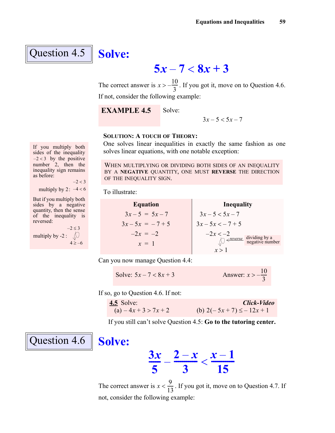#### **Solve:** Question 4.5

 $5x - 7 < 8x + 3$ 

The correct answer is  $x > -\frac{10}{3}$ . If you got it, move on to Question 4.6. If not, consider the following example:

**EXAMPLE 4.5** Solve:

 $3x - 5 < 5x - 7$ 

#### **SOLUTION: A TOUCH OF THEORY:**

One solves linear inequalities in exactly the same fashion as one solves linear equations, with one notable exception:

WHEN MULTIPLYING OR DIVIDING BOTH SIDES OF AN INEQUALITY BY A **NEGATIVE** QUANTITY, ONE MUST **REVERSE** THE DIRECTION OF THE INEQUALITY SIGN.

To illustrate:

**Equation Inequality**  $3x - 5 = 5x - 7$  $3x - 5x = -7 + 5$  $-2x = -2$  $x = 1$  $3x - 5 < 5x - 7$  $3x - 5x < -7 + 5$  $-2x < -2$ <br>*z z everse* dividing by a *reverse* dividing by a<br>negative number  $x > 1$ 

Can you now manage Question 4.4:

Solve: 
$$
5x - 7 < 8x + 3
$$
 Answer: x

Answer: 
$$
x > -\frac{10}{3}
$$

If so, go to Question 4.6. If not:

4.5 Solve:  
\n(a) 
$$
-4x + 3 > 7x + 2
$$
  
\n(b)  $2(-5x + 7) \le -12x + 1$ 

If you still can't solve Question 4.5: **Go to the tutoring center.**

Question 4.6

**Solve:**

$$
\frac{3x}{5} - \frac{2-x}{3} < \frac{x-1}{15}
$$

The correct answer is  $x < \frac{9}{13}$ . If you got it, move on to Question 4.7. If not, consider the following example:

If you multiply both sides of the inequality  $-2 < 3$  by the positive number 2, then the inequality sign remains as before:

$$
-2<3
$$

multiply by 2:  $-4 < 6$ 

But if you multiply both sides by a negative quantity, then the sense of the inequality is reversed:

 $-2 \le 3$  $4 \ge -6$ multiply by -2 :  $\sqrt{ }$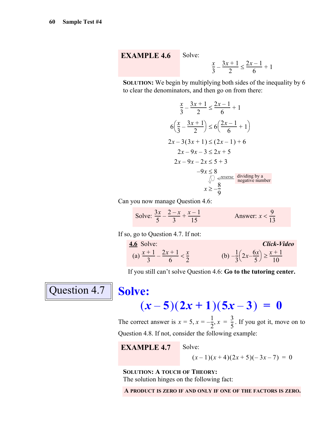#### **EXAMPLE 4.6** Solve: *x* 3  $\frac{x}{3} - \frac{3x+1}{2} \le \frac{2x-1}{6} + 1$

**SOLUTION:** We begin by multiplying both sides of the inequality by 6 to clear the denominators, and then go on from there:

$$
\frac{x}{3} - \frac{3x+1}{2} \le \frac{2x-1}{6} + 1
$$
  
\n
$$
6\left(\frac{x}{3} - \frac{3x+1}{2}\right) \le 6\left(\frac{2x-1}{6} + 1\right)
$$
  
\n
$$
2x - 3(3x+1) \le (2x-1) + 6
$$
  
\n
$$
2x - 9x - 3 \le 2x + 5
$$
  
\n
$$
2x - 9x - 2x \le 5 + 3
$$
  
\n
$$
-9x \le 8
$$
  
\n
$$
\sqrt{2x - 9x - 2x}
$$
  
\n
$$
\sqrt{2x - 9x - 2x}
$$
  
\n
$$
\sqrt{2x - 9x - 2x}
$$
  
\n
$$
\sqrt{2x - 9x - 2x}
$$
  
\n
$$
\sqrt{2x - 9x - 2x}
$$
  
\n
$$
\sqrt{2x - 9x - 2x}
$$
  
\n
$$
\sqrt{2x - 9x - 2x}
$$
  
\n
$$
\sqrt{2x - 9x - 2x}
$$
  
\n
$$
\sqrt{2x - 9x - 2x}
$$
  
\n
$$
\sqrt{2x - 9x - 2x}
$$
  
\n
$$
\sqrt{2x - 9x - 2x}
$$
  
\n
$$
\sqrt{2x - 9x - 2x}
$$
  
\n
$$
\sqrt{2x - 9x - 2x}
$$
  
\n
$$
\sqrt{2x - 9x - 2x}
$$
  
\n
$$
\sqrt{2x - 9x - 2x}
$$
  
\n
$$
\sqrt{2x - 9x - 2x}
$$
  
\n
$$
\sqrt{2x - 9x - 2x}
$$
  
\n
$$
\sqrt{2x - 9x - 2x}
$$
  
\n
$$
\sqrt{2x - 9x - 2x}
$$
  
\n
$$
\sqrt{2x - 9x - 2x}
$$
  
\n
$$
\sqrt{2x - 9x - 2x}
$$
  
\n
$$
\sqrt{2x - 9x - 2x}
$$
  
\n
$$
\sqrt{2x - 9x - 2x}
$$
  
\n<math display="</math>

Can you now manage Question 4.6:

Solve: 
$$
\frac{3x}{5} - \frac{2-x}{3} + \frac{x-1}{15}
$$
 Answer:  $x < \frac{9}{13}$ 

#### If so, go to Question 4.7. If not:

4.6 Solve:  
\n(a) 
$$
\frac{x+1}{3} - \frac{2x+1}{6} < \frac{x}{2}
$$
  
\n(b)  $-\frac{1}{3}(2x - \frac{6x}{5}) \ge \frac{x+1}{10}$ 

If you still can't solve Question 4.6: **Go to the tutoring center.**

## Question 4.7

## **Solve:**

## $(x-5)(2x+1)(5x-3) = 0$

The correct answer is  $x = 5$ ,  $x = -\frac{1}{2}$ ,  $x = \frac{3}{5}$ . If you got it, move on to Question 4.8. If not, consider the following example:

#### **EXAMPLE 4.7** Solve:

 $(x-1)(x+4)(2x+5)(-3x-7) = 0$ 

**SOLUTION: A TOUCH OF THEORY:** The solution hinges on the following fact:

**A PRODUCT IS ZERO IF AND ONLY IF ONE OF THE FACTORS IS ZERO.**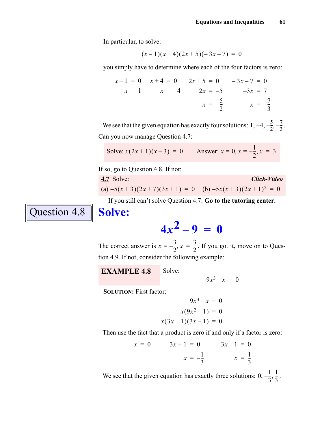In particular, to solve:

$$
(x-1)(x+4)(2x+5)(-3x-7) = 0
$$

you simply have to determine where each of the four factors is zero:

$$
x-1 = 0 \t x + 4 = 0 \t 2x + 5 = 0 \t -3x - 7 = 0
$$
  

$$
x = 1 \t x = -4 \t 2x = -5 \t -3x = 7
$$
  

$$
x = -\frac{5}{2} \t x = -\frac{7}{3}
$$

We see that the given equation has exactly four solutions:  $1, -4, -\frac{5}{2}, -\frac{7}{3}$ . Can you now manage Question 4.7:

Solve: 
$$
x(2x+1)(x-3) = 0
$$
 Answer:  $x = 0, x = -\frac{1}{2}, x = 3$ 

If so, go to Question 4.8. If not:

**4.7** Solve: *Click-Video*  $(a) -5(x+3)(2x+7)(3x+1) = 0$  (b)  $-5x(x+3)(2x+1)^2 = 0$ 

If you still can't solve Question 4.7: **Go to the tutoring center.**

Question 4.8

#### **Solve:**

$$
4x^2-9=0
$$

The correct answer is  $x = -\frac{3}{2}$ ,  $x = \frac{3}{2}$ . If you got it, move on to Question 4.9. If not, consider the following example:

**EXAMPLE 4.8** Solve:

$$
9x^3 - x = 0
$$

**SOLUTION:** First factor:

$$
9x3 - x = 0
$$
  

$$
x(9x2 - 1) = 0
$$
  

$$
x(3x + 1)(3x - 1) = 0
$$

Then use the fact that a product is zero if and only if a factor is zero:

$$
x = 0 \t 3x + 1 = 0 \t 3x - 1 = 0
$$

$$
x = -\frac{1}{3} \t x = \frac{1}{3}
$$

We see that the given equation has exactly three solutions:  $0, -\frac{1}{3}, \frac{1}{3}$ .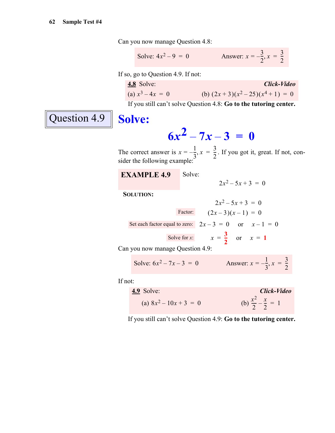Can you now manage Question 4.8:

Solve:  $4x^2 - 9 = 0$  Answer: *x*  $= -\frac{3}{2}, x = \frac{3}{2}$ 

If so, go to Question 4.9. If not:

**4.8** Solve:  
(a) 
$$
x^3 - 4x = 0
$$
 (b)  $(2x+3)(x^2-25)(x^4+1) = 0$ 

If you still can't solve Question 4.8: **Go to the tutoring center.**

Question 4.9

**Solve:**

$$
6x^2 - 7x - 3 = 0
$$

The correct answer is  $x = -\frac{1}{2}$ ,  $x = \frac{3}{2}$ . If you got it, great. If not, consider the following example:  $x = -\frac{1}{3}, x = \frac{3}{2}$ 

**EXAMPLE 4.9** Solve:

 $2x^2 - 5x + 3 = 0$ 

**SOLUTION:**

|                                                        |  | $2x^2-5x+3=0$                             |  |
|--------------------------------------------------------|--|-------------------------------------------|--|
|                                                        |  | Factor: $(2x-3)(x-1) = 0$                 |  |
| Set each factor equal to zero: $2x-3 = 0$ or $x-1 = 0$ |  |                                           |  |
|                                                        |  | Solve for x: $x = \frac{3}{2}$ or $x = 1$ |  |
| you now manage Question 4.9:                           |  |                                           |  |

Can

Solve: 
$$
6x^2 - 7x - 3 = 0
$$
 Answer:  $x = -\frac{1}{3}, x = \frac{3}{2}$ 

If not:

| <b>4.9</b> Solve:        | Click-Video                           |
|--------------------------|---------------------------------------|
| (a) $8x^2 - 10x + 3 = 0$ | (b) $\frac{x^2}{2} - \frac{x}{2} = 1$ |

If you still can't solve Question 4.9: **Go to the tutoring center.**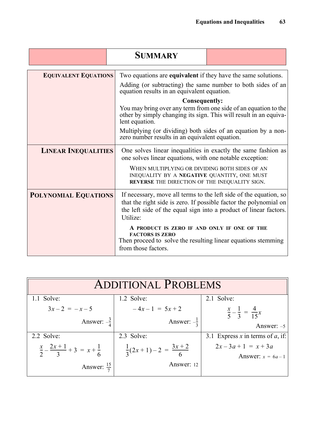|                             | <b>SUMMARY</b>                                                                                                                                                                                                          |  |  |
|-----------------------------|-------------------------------------------------------------------------------------------------------------------------------------------------------------------------------------------------------------------------|--|--|
| <b>EQUIVALENT EQUATIONS</b> | Two equations are <b>equivalent</b> if they have the same solutions.                                                                                                                                                    |  |  |
|                             | Adding (or subtracting) the same number to both sides of an<br>equation results in an equivalent equation.                                                                                                              |  |  |
|                             | Consequently:                                                                                                                                                                                                           |  |  |
|                             | You may bring over any term from one side of an equation to the<br>other by simply changing its sign. This will result in an equiva-<br>lent equation.                                                                  |  |  |
|                             | Multiplying (or dividing) both sides of an equation by a non-<br>zero number results in an equivalent equation.                                                                                                         |  |  |
| <b>LINEAR INEQUALITIES</b>  | One solves linear inequalities in exactly the same fashion as<br>one solves linear equations, with one notable exception:                                                                                               |  |  |
|                             | WHEN MULTIPLYING OR DIVIDING BOTH SIDES OF AN<br>INEQUALITY BY A NEGATIVE QUANTITY, ONE MUST<br>REVERSE THE DIRECTION OF THE INEQUALITY SIGN.                                                                           |  |  |
| <b>POLYNOMIAL EQUATIONS</b> | If necessary, move all terms to the left side of the equation, so<br>that the right side is zero. If possible factor the polynomial on<br>the left side of the equal sign into a product of linear factors.<br>Utilize: |  |  |
|                             | A PRODUCT IS ZERO IF AND ONLY IF ONE OF THE<br><b>FACTORS IS ZERO</b><br>Then proceed to solve the resulting linear equations stemming<br>from those factors.                                                           |  |  |

| <b>ADDITIONAL PROBLEMS</b>                                                     |                                                      |                                                             |  |  |
|--------------------------------------------------------------------------------|------------------------------------------------------|-------------------------------------------------------------|--|--|
| 1.1 Solve:                                                                     | 1.2 Solve:                                           | 2.1 Solve:                                                  |  |  |
| $3x-2 = -x-5$<br>Answer: $-\frac{3}{4}$                                        | $-4x-1 = 5x+2$<br>Answer: $-\frac{1}{2}$             | $\frac{x}{5} - \frac{1}{3} = \frac{4}{15}x$<br>Answer: $-5$ |  |  |
| 2.2 Solve:                                                                     | 2.3 Solve:                                           | 3.1 Express x in terms of a, if:                            |  |  |
| $\frac{x}{2} - \frac{2x+1}{3} + 3 = x + \frac{1}{6}$<br>Answer: $\frac{15}{7}$ | $\frac{1}{3}(2x+1)-2 = \frac{3x+2}{6}$<br>Answer: 12 | $2x-3a+1 = x+3a$<br>Answer: $x = 6a-1$                      |  |  |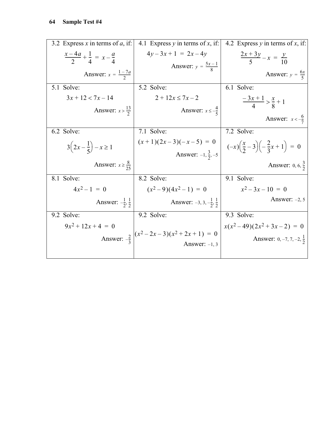| 3.2 Express x in terms of a, if:                 | 4.1 Express $y$ in terms of $x$ , if:                                            | 4.2 Express y in terms of x, if:                                 |
|--------------------------------------------------|----------------------------------------------------------------------------------|------------------------------------------------------------------|
| $\frac{x-4a}{2} + \frac{1}{4} = x - \frac{a}{4}$ | $4y-3x+1 = 2x-4y$<br>Answer: $y = \frac{5x-1}{8}$                                | $\frac{2x+3y}{5} - x = \frac{y}{10}$                             |
| Answer: $x = \frac{1-7a}{2}$                     |                                                                                  | Answer: $y = \frac{6x}{5}$                                       |
| 5.1 Solve:                                       | 5.2 Solve:                                                                       | 6.1 Solve:                                                       |
| $3x + 12 < 7x - 14$                              | $2 + 12x \le 7x - 2$                                                             | $\frac{-3x+1}{4} > \frac{x}{8} + 1$                              |
| Answer: $x > \frac{13}{2}$                       | Answer: $x \le -\frac{4}{5}$                                                     |                                                                  |
|                                                  |                                                                                  | Answer: $x < -\frac{6}{7}$                                       |
| 6.2 Solve:                                       | 7.1 Solve:                                                                       | 7.2 Solve:                                                       |
| $3(2x-\frac{1}{5})-x \ge 1$                      | $(x+1)(2x-3)(-x-5) = 0$<br>Answer: $-1, \frac{3}{2}, -5$                         | $(-x)\left(\frac{x}{2}-3\right)\left(-\frac{2}{3}x+1\right) = 0$ |
| Answer: $x \ge \frac{8}{25}$                     |                                                                                  | Answer: 0, 6, $\frac{3}{2}$                                      |
| 8.1 Solve:                                       | 8.2 Solve:                                                                       | 9.1 Solve:                                                       |
| $4x^2-1 = 0$                                     | $(x^2-9)(4x^2-1) = 0$                                                            | $x^2-3x-10 = 0$                                                  |
| Answer: $-\frac{1}{2}, \frac{1}{2}$              | Answer: $-3, 3, -\frac{1}{2}, \frac{1}{2}$                                       | Answer: $-2$ , 5                                                 |
| 9.2 Solve:                                       | 9.2 Solve:                                                                       | 9.3 Solve:                                                       |
| $9x^2 + 12x + 4 = 0$                             |                                                                                  | $x(x^2-49)(2x^2+3x-2) = 0$                                       |
|                                                  | Answer: $-\frac{2}{3}\left  (x^2-2x-3)(x^2+2x+1) \right  = 0$<br>Answer: $-1, 3$ | Answer: 0, -7, 7, -2, $\frac{1}{2}$                              |
|                                                  |                                                                                  |                                                                  |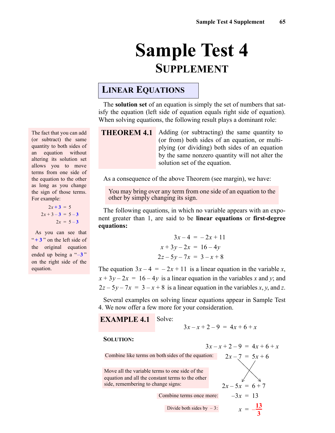## **Sample Test 4 SUPPLEMENT**

#### **LINEAR EQUATIONS**

The **solution set** of an equation is simply the set of numbers that satisfy the equation (left side of equation equals right side of equation). When solving equations, the following result plays a dominant role:

**THEOREM 4.1** Adding (or subtracting) the same quantity to (or from) both sides of an equation, or multiplying (or dividing) both sides of an equation by the same nonzero quantity will not alter the solution set of the equation.

As a consequence of the above Theorem (see margin), we have:

You may bring over any term from one side of an equation to the other by simply changing its sign.

The following equations, in which no variable appears with an exponent greater than 1, are said to be **linear equations** or **first-degree equations:**

$$
3x-4 = -2x+11
$$
  

$$
x+3y-2x = 16-4y
$$
  

$$
2z-5y-7x = 3-x+8
$$

The equation  $3x - 4 = -2x + 11$  is a linear equation in the variable *x*,  $x + 3y - 2x = 16 - 4y$  is a linear equation in the variables *x* and *y*; and  $2z - 5y - 7x = 3 - x + 8$  is a linear equation in the variables *x*, *y*, and *z*.

Several examples on solving linear equations appear in Sample Test 4. We now offer a few more for your consideration.

**EXAMPLE 4.1** Solve:

$$
3x - x + 2 - 9 = 4x + 6 + x
$$

#### **SOLUTION:**

$$
3x - x + 2 - 9 = 4x + 6 + x
$$
  
Combine like terms on both sides of the equation:  $2x - 7 = 5x + 6$   
Move all the variable terms to one side of the  
equation and all the constant terms to the other  
side, remembering to change signs:  $2x - 5x = 6 + 7$   
Combine terms once more:  $-3x = 13$   
Divide both sides by  $-3$ :  $x = -\frac{13}{3}$ 

The fact that you can add (or subtract) the same quantity to both sides of an equation without altering its solution set allows you to move terms from one side of the equation to the other as long as you change the sign of those terms. For example:

$$
2x + 3 = 5
$$
  

$$
2x + 3 - 3 = 5 - 3
$$
  

$$
2x = 5 - 3
$$

 As you can see that " $+3$ " on the left side of the original equation ended up being a " $-3$ " on the right side of the equation.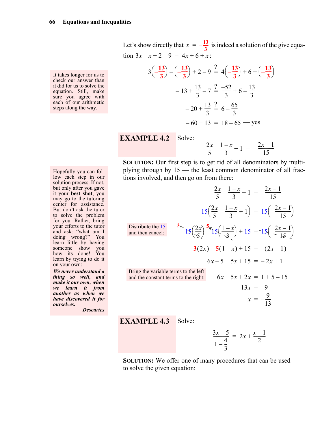It takes longer for us to check our answer than it did for us to solve the equation. Still, make sure you agree with each of our arithmetic steps along the way.

Let's show directly that  $x = -\frac{13}{3}$  is indeed a solution of the give equa- $\text{tion } 3x - x + 2 - 9 = 4x + 6 + x$ 

$$
3\left(-\frac{13}{3}\right) - \left(-\frac{13}{3}\right) + 2 - 9 \stackrel{?}{=} 4\left(-\frac{13}{3}\right) + 6 + \left(-\frac{13}{3}\right) \\
-13 + \frac{13}{3} - 7 \stackrel{?}{=} \frac{-52}{3} + 6 - \frac{13}{3} \\
-20 + \frac{13}{3} \stackrel{?}{=} 6 - \frac{65}{3} \\
-60 + 13 = 18 - 65 \text{ .}
$$

**EXAMPLE 4.2** Solve:

$$
\frac{2x}{5} - \frac{1-x}{3} + 1 = -\frac{2x-1}{15}
$$

 $\frac{2x}{5} - \frac{1-x}{3} + 1 = -\frac{2x-1}{15}$ 

 $\left(\frac{2x}{5} - \frac{1-x}{3} + 1\right) = 15\left(-\frac{2x-1}{15}\right)$ 

 $3(2x) - 5(1-x) + 15 = -(2x-1)$ 

 $6x - 5 + 5x + 15 = -2x + 1$ 

 $6x + 5x + 2x = 1 + 5 - 15$  $13x = -9$ 

 $x = -\frac{9}{13}$ 

**SOLUTION:** Our first step is to get rid of all denominators by multiplying through by 15 — the least common denominator of all fractions involved, and then go on from there:

 $15\left(\frac{2x}{5}\right)$ 

2*x* 5

Distribute the 15  $3\pi$   $15\left(\frac{2x}{5}\right) \frac{5}{5}$   $15\left(\frac{1-x}{3}\right) + 15 = -15\left(\frac{2x-1}{5}\right)$ and then cancel:

Bring the variable terms to the left

and the constant terms to the right:

**EXAMPLE 4.3** Solve:

$$
\frac{3x-5}{1-\frac{4}{3}} = 2x + \frac{x-1}{2}
$$

**SOLUTION:** We offer one of many procedures that can be used to solve the given equation:

Hopefully you can follow each step in our solution process. If not, but only after you gave it your **best shot**, you may go to the tutoring center for assistance. But don't ask the tutor to solve the problem for you. Rather, bring your efforts to the tutor and ask: "what am I doing wrong?" You learn little by having someone show you how its done! You learn by trying to do it on your own:

*We never understand a thing so well, and make it our own, when we learn it from another as when we have discovered it for ourselves.*

*Descartes*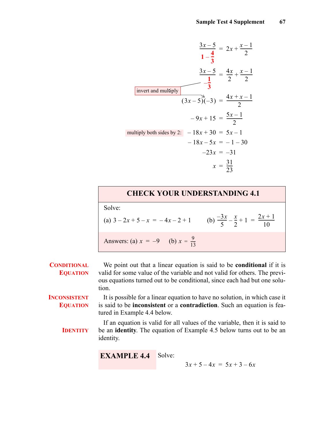$$
\frac{3x-5}{1-\frac{4}{3}} = 2x + \frac{x-1}{2}
$$
  

$$
\frac{3x-5}{1-\frac{1}{3}} = \frac{4x}{2} + \frac{x-1}{2}
$$
  
invert and multiply  

$$
(3x-5)(-3) = \frac{4x+x-1}{2}
$$
  

$$
-9x + 15 = \frac{5x-1}{2}
$$
  
multiply both sides by 2:  $-18x + 30 = 5x - 1$   
 $-18x - 5x = -1 - 30$   
 $-23x = -31$   
 $x = \frac{31}{23}$ 





 $3x + 5 - 4x = 5x + 3 - 6x$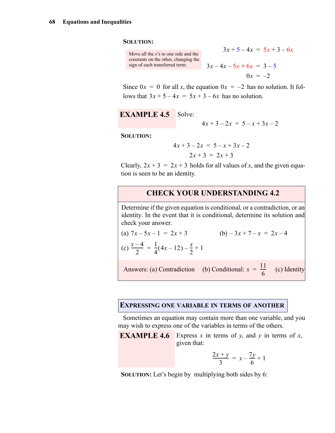### **SOLUTION:**

Move all the *x*'s to one side and the constants on the other, changing the sign of each transferred term:

$$
3x + 5 - 4x = 5x + 3 - 6x
$$
  

$$
3x - 4x - 5x + 6x = 3 - 5
$$

$$
0x = -2
$$

Since  $0x = 0$  for all *x*, the equation  $0x = -2$  has no solution. It follows that  $3x + 5 - 4x = 5x + 3 - 6x$  has no solution.

### **EXAMPLE 4.5** Solve:

$$
4x + 3 - 2x = 5 - x + 3x - 2
$$

**SOLUTION:**

$$
4x + 3 - 2x = 5 - x + 3x - 2
$$
  

$$
2x + 3 = 2x + 3
$$

Clearly,  $2x + 3 = 2x + 3$  holds for all values of *x*, and the given equation is seen to be an identity.

### **CHECK YOUR UNDERSTANDING 4.2**

Determine if the given equation is conditional, or a contradiction, or an identity. In the event that it is conditional, determine its solution and check your answer.

(a)  $7x - 5x - 1 = 2x + 3$  (b)  $-3x + 7 - x = 2x - 4$ (c)  $\frac{x-4}{2} = \frac{1}{4}(4x-12) - \frac{x}{2} + 1$ Answers: (a) Contradiction (b) Conditional:  $x = \frac{11}{6}$  (c) Identity

### **EXPRESSING ONE VARIABLE IN TERMS OF ANOTHER**

Sometimes an equation may contain more than one variable, and you may wish to express one of the variables in terms of the others.

**EXAMPLE 4.6** Express *x* in terms of *y*, and *y* in terms of *x*, given that:

$$
\frac{2x + y}{3} = x - \frac{7y}{6} + 1
$$

**SOLUTION:** Let's begin by multiplying both sides by 6: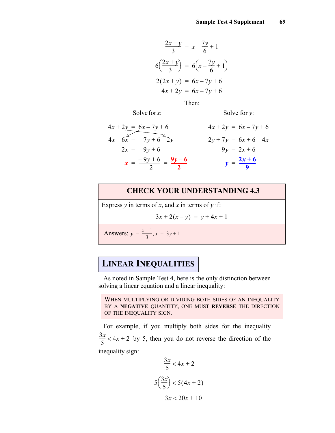$$
\frac{2x+y}{3} = x - \frac{7y}{6} + 1
$$
  

$$
6\left(\frac{2x+y}{3}\right) = 6\left(x - \frac{7y}{6} + 1\right)
$$
  

$$
2(2x+y) = 6x - 7y + 6
$$
  

$$
4x + 2y = 6x - 7y + 6
$$

Then:

Solve for *x*: Solve for *y*:

| $4x + 2y = 6x - 7y + 6$                 | $4x + 2y = 6x - 7y + 6$ |
|-----------------------------------------|-------------------------|
| $4x-6x = -7y+6-2y$                      | $2y + 7y = 6x + 6 - 4x$ |
| $-2x = -9y + 6$                         | $9y = 2x + 6$           |
| $x = \frac{-9y+6}{-2} = \frac{9y-6}{2}$ | $y = \frac{2x+6}{9}$    |

### **CHECK YOUR UNDERSTANDING 4.3**

Express  $y$  in terms of  $x$ , and  $x$  in terms of  $y$  if:

$$
3x + 2(x - y) = y + 4x + 1
$$

Answers:  $y = \frac{x-1}{3}$ ,  $x = 3y + 1$ 

## **LINEAR INEQUALITIES**

As noted in Sample Test 4, here is the only distinction between solving a linear equation and a linear inequality:

WHEN MULTIPLYING OR DIVIDING BOTH SIDES OF AN INEQUALITY BY A **NEGATIVE** QUANTITY, ONE MUST **REVERSE** THE DIRECTION OF THE INEQUALITY SIGN.

For example, if you multiply both sides for the inequality  $\frac{3x}{5}$  < 4x + 2 by 5, then you do not reverse the direction of the inequality sign:  $\frac{3x}{5}$  < 4*x* + 2

$$
\frac{3x}{5} < 4x + 2
$$
\n
$$
5\left(\frac{3x}{5}\right) < 5(4x + 2)
$$
\n
$$
3x < 20x + 10
$$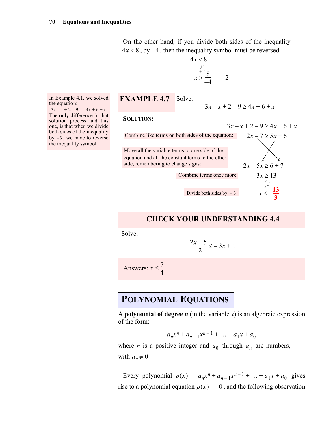On the other hand, if you divide both sides of the inequality  $-4x < 8$ , by  $-4$ , then the inequality symbol must be reversed:

$$
-4x < 8
$$
  

$$
x > \frac{8}{-4} = -2
$$

In Example 4.1, we solved the equation:

The only difference in that solution process and this one, is that when we divide both sides of the inequality by  $-3$ , we have to reverse the inequality symbol.  $3x - x + 2 - 9 = 4x + 6 + x$ 

**EXAMPLE 4.7** Solve:

$$
3x - x + 2 - 9 \ge 4x + 6 + x
$$

**SOLUTION:**

Combine like terms on both sides of the equation:

Move all the variable terms to one side of the equation and all the constant terms to the other side, remembering to change signs:

Combine terms once more:

Divide both sides by  $-3$ :

 $2x - 7 \ge 5x + 6$  $2x - 5x \ge 6 + 7$  $-3x \ge 13$  $\mathcal{L}$  $x \le -\frac{13}{3}$ 

 $3x - x + 2 - 9 \ge 4x + 6 + x$ 

### **CHECK YOUR UNDERSTANDING 4.4**

Solve:

$$
\frac{2x+5}{-2} \leq -3x+1
$$

Answers:  $x \leq \frac{7}{4}$ 

## **POLYNOMIAL EQUATIONS**

A **polynomial of degree**  $n$  (in the variable  $x$ ) is an algebraic expression of the form:

$$
a_n x^n + a_{n-1} x^{n-1} + \dots + a_1 x + a_0
$$

where *n* is a positive integer and  $a_0$  through  $a_n$  are numbers, with  $a_n \neq 0$ .

Every polynomial  $p(x) = a_n x^n + a_{n-1} x^{n-1} + ... + a_1 x + a_0$  gives rise to a polynomial equation  $p(x) = 0$ , and the following observation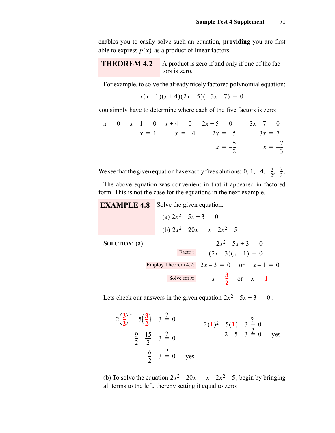enables you to easily solve such an equation, **providing** you are first able to express  $p(x)$  as a product of linear factors.

**THEOREM 4.2** A product is zero if and only if one of the factors is zero.

For example, to solve the already nicely factored polynomial equation:

$$
x(x-1)(x+4)(2x+5)(-3x-7) = 0
$$

you simply have to determine where each of the five factors is zero:

$$
x = 0 \t x - 1 = 0 \t x + 4 = 0 \t 2x + 5 = 0 \t -3x - 7 = 0
$$
  

$$
x = 1 \t x = -4 \t 2x = -5 \t -3x = 7
$$
  

$$
x = -\frac{5}{2} \t x = -\frac{7}{3}
$$

We see that the given equation has exactly five solutions: 0, 1, -4,  $-\frac{5}{2}$ ,  $-\frac{7}{3}$ .

The above equation was convenient in that it appeared in factored form. This is not the case for the equations in the next example.

**EXAMPLE 4.8** Solve the given equation.

(a) 
$$
2x^2 - 5x + 3 = 0
$$
  
\n(b)  $2x^2 - 20x = x - 2x^2 - 5$   
\n**SOLUTION:** (a)  
\n $2x^2 - 5x + 3 = 0$   
\n $(2x - 3)(x - 1) = 0$   
\n $\text{Empty Theorem 4.2:} \quad 2x - 3 = 0 \quad \text{or} \quad x - 1 = 0$   
\nSolve for x:  $x = \frac{3}{2} \quad \text{or} \quad x = 1$ 

Lets check our answers in the given equation  $2x^2 - 5x + 3 = 0$ :

$$
2\left(\frac{3}{2}\right)^2 - 5\left(\frac{3}{2}\right) + 3 \stackrel{?}{=} 0
$$
  

$$
\frac{9}{2} - \frac{15}{2} + 3 \stackrel{?}{=} 0
$$
  

$$
-\frac{6}{2} + 3 \stackrel{?}{=} 0 \longrightarrow yes
$$
  

$$
2(1)^2 - 5(1) + 3 \stackrel{?}{=} 0
$$
  

$$
2 - 5 + 3 \stackrel{?}{=} 0 \longrightarrow yes
$$

 $\overline{1}$ 

(b) To solve the equation  $2x^2 - 20x = x - 2x^2 - 5$ , begin by bringing all terms to the left, thereby setting it equal to zero: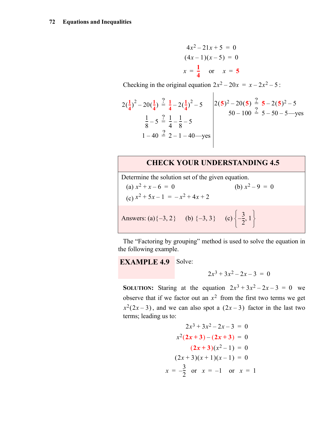### **72 Equations and Inequalities**

$$
4x2-21x+5 = 0
$$
  
(4x-1)(x-5) = 0  

$$
x = \frac{1}{4} \text{ or } x = 5
$$

Checking in the original equation  $2x^2 - 20x = x - 2x^2 - 5$ :

$$
2\left(\frac{1}{4}\right)^2 - 20\left(\frac{1}{4}\right) \stackrel{?}{=} \frac{1}{4} - 2\left(\frac{1}{4}\right)^2 - 5
$$
\n
$$
\frac{1}{8} - 5 \stackrel{?}{=} \frac{1}{4} - \frac{1}{8} - 5
$$
\n
$$
1 - 40 \stackrel{?}{=} 2 - 1 - 40 \text{—yes}
$$
\n
$$
\left.\begin{array}{rcl}\n2(5)^2 - 20(5) & \frac{2}{5} & 5 - 2(5)^2 - 5 \\
50 - 100 & \frac{2}{5} & 5 - 50 - 5 \text{—yes} \\
\end{array}\right.
$$

 $\mathbf{I}$ 

### **CHECK YOUR UNDERSTANDING 4.5**

Determine the solution set of the given equation.

(a)  $x^2 + x - 6 = 0$ (c)  $x^2 + 5x - 1 = -x^2 + 4x + 2$ Answers: (a) {-3, 2} (b) {-3, 3} (c)  $\left\{\frac{3}{2}, 1\right\}$ *(b)*  $x^2 - 9 = 0$ 

The "Factoring by grouping" method is used to solve the equation in the following example.

**EXAMPLE 4.9** Solve:

$$
2x^3 + 3x^2 - 2x - 3 = 0
$$

**SOLUTION:** Staring at the equation  $2x^3 + 3x^2 - 2x - 3 = 0$  we observe that if we factor out an  $x^2$  from the first two terms we get  $x^2(2x-3)$ , and we can also spot a  $(2x-3)$  factor in the last two terms; leading us to:

$$
2x3 + 3x2 - 2x - 3 = 0
$$
  

$$
x2(2x + 3) - (2x + 3) = 0
$$
  

$$
(2x + 3)(x2 - 1) = 0
$$
  

$$
(2x + 3)(x + 1)(x - 1) = 0
$$
  

$$
x = -\frac{3}{2} \text{ or } x = -1 \text{ or } x = 1
$$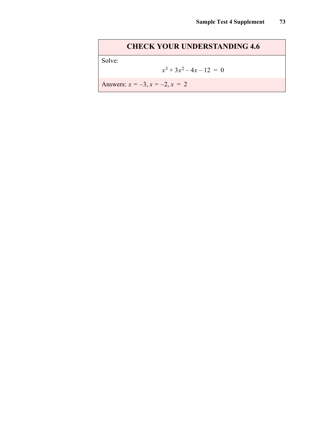## **CHECK YOUR UNDERSTANDING 4.6**

Solve:

$$
x^3 + 3x^2 - 4x - 12 = 0
$$

Answers:  $x = -3$ ,  $x = -2$ ,  $x = 2$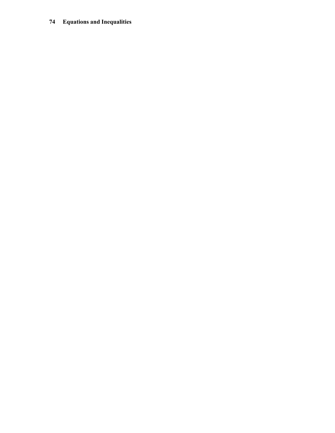### **74 Equations and Inequalities**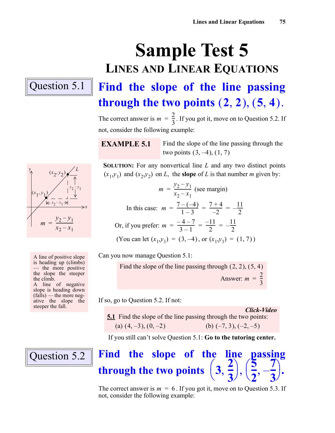# **Sample Test 5 LINES AND LINEAR EQUATIONS**

Question 5.1

# **Find the slope of the line passing through the two points**  $(2, 2), (5, 4)$ **.**

The correct answer is  $m = \frac{2}{3}$ . If you got it, move on to Question 5.2. If not, consider the following example:

**EXAMPLE 5.1** Find the slope of the line passing through the two points  $(3, -4)$ ,  $(1, 7)$ 

**SOLUTION:** For any nonvertical line *L* and any two distinct points  $(x_1, y_1)$  and  $(x_2, y_2)$  on *L*, the **slope** of *L* is that number *m* given by:

$$
m = \frac{y_2 - y_1}{x_2 - x_1}
$$
 (see margin)  
In this case:  $m = \frac{7 - (-4)}{1 - 3} = \frac{7 + 4}{-2} = -\frac{11}{2}$   
Or, if you prefer:  $m = \frac{-4 - 7}{3 - 1} = \frac{-11}{2} = -\frac{11}{2}$   
(You can let  $(x_1, y_1) = (3, -4)$ , or  $(x_1, y_1) = (1, 7)$ )

Can you now manage Question 5.1:

Find the slope of the line passing through  $(2, 2)$ ,  $(5, 4)$ Answer:  $m = \frac{2}{3}$ 

If so, go to Question 5.2. If not:

*Click-Video* **5.1** Find the slope of the line passing through the two points: (a)  $(4, -3)$ ,  $(0, -2)$ (b)  $(-7, 3)$ ,  $(-2, -5)$ 

If you still can't solve Question 5.1: **Go to the tutoring center.**

#### **Find the slope of the line passing through the two points**  $\left(3,\frac{2}{2}\right), \left(\frac{5}{2},-\frac{7}{2}\right)$ .  $\left(3,\frac{2}{3}\right), \left(\frac{5}{2}\right)$ **2**  $\frac{7}{2}, -\frac{7}{4}$  $\left(\frac{5}{2}, -\frac{7}{3}\right)$  $\overline{\phantom{a}}$

The correct answer is  $m = 6$ . If you got it, move on to Question 5.3. If not, consider the following example:



A line of positive slope is heading up (climbs) — the more positive the slope the steeper the climb. A line of negative slope is heading down (falls) — the more negative the slope the steeper the fall.

Question 5.2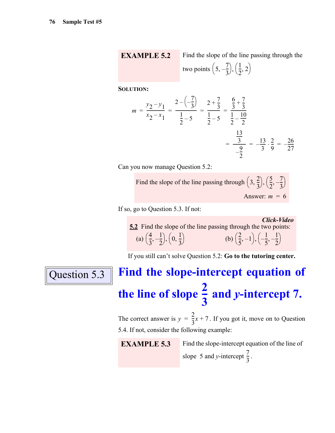**EXAMPLE 5.2** Find the slope of the line passing through the two points  $\left(5, -\frac{7}{3}\right), \left(\frac{1}{2}, 2\right)$ 

**SOLUTION:**

$$
m = \frac{y_2 - y_1}{x_2 - x_1} = \frac{2 - \left(-\frac{7}{3}\right)}{\frac{1}{2} - 5} = \frac{2 + \frac{7}{3}}{\frac{1}{2} - 5} = \frac{\frac{6}{3} + \frac{7}{3}}{\frac{1}{2} - \frac{10}{2}}
$$

$$
= \frac{\frac{13}{3}}{-\frac{9}{2}} = -\frac{13}{3} \cdot \frac{2}{9} = -\frac{26}{27}
$$

Can you now manage Question 5.2:

Find the slope of the line passing through 
$$
\left(3, \frac{2}{3}\right), \left(\frac{5}{2}, -\frac{7}{3}\right)
$$
  
Answer:  $m = 6$ 

If so, go to Question 5.3. If not:

|                                                                           | Click-Video                                                               |
|---------------------------------------------------------------------------|---------------------------------------------------------------------------|
|                                                                           | 5.2 Find the slope of the line passing through the two points:            |
| (a) $\left(\frac{4}{3}, -\frac{1}{2}\right), \left(0, \frac{1}{3}\right)$ | (b) $\left(\frac{2}{5},-1\right), \left(-\frac{1}{5},-\frac{1}{2}\right)$ |

If you still can't solve Question 5.2: **Go to the tutoring center.**

### **Find the slope-intercept equation of** the line of slope  $\frac{2}{3}$  and *y*-intercept 7. Question 5.3 **2 3 --**

The correct answer is  $y = \frac{2}{3}x + 7$ . If you got it, move on to Question 5.4. If not, consider the following example:

**EXAMPLE 5.3** Find the slope-intercept equation of the line of slope 5 and *y*-intercept  $\frac{7}{2}$ . 3  $\frac{1}{2}$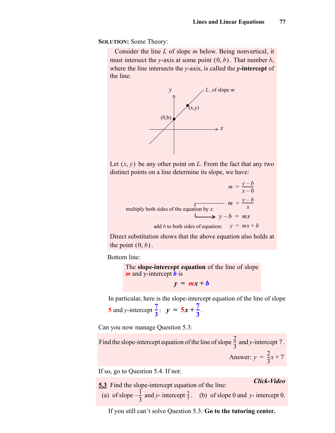**SOLUTION:** Some Theory:

Consider the line *L* of slope *m* below. Being nonvertical, it must intersect the *y*-axis at some point  $(0, b)$ . That number *b*, where the line intersects the *y*-axis, is called the *y***-intercept** of the line.



Let  $(x, y)$  be any other point on *L*. From the fact that any two distinct points on a line determine its slope, we have:

$$
m = \frac{y-b}{x-0}
$$
  
multiply both sides of the equation by x:  

$$
m = \frac{y-b}{x}
$$
  

$$
m = \frac{y-b}{x}
$$
  
and *b* to both sides of equation: 
$$
y = mx + b
$$

Direct substitution shows that the above equation also holds at the point  $(0, b)$ .

Bottom line:

The **slope-intercept equation** of the line of slope *m* and y-intercept *b* is

$$
y = mx + b
$$

In particular, here is the slope-intercept equation of the line of slope **5** and *y*-intercept  $\frac{7}{2}$ :  $y = 5x + \frac{7}{2}$ .  $\frac{7}{3}$   $y = 5x + \frac{7}{3}$ 

Can you now manage Question 5.3:

Find the slope-intercept equation of the line of slope  $\frac{2}{3}$  and *y*-intercept 7. Answer:  $y = \frac{2}{3}x + 7$  $\frac{2}{3}$  and y-intercept 7

If so, go to Question 5.4. If not:

*Click-Video* **5.3** Find the slope-intercept equation of the line: (a) of slope  $-\frac{1}{2}$  and *y*- intercept  $\frac{2}{7}$ . (b) of slope 0 and *y*- intercept 0.  $-\frac{1}{3}$  and y- intercept  $\frac{2}{7}$ 

If you still can't solve Question 5.3: **Go to the tutoring center.**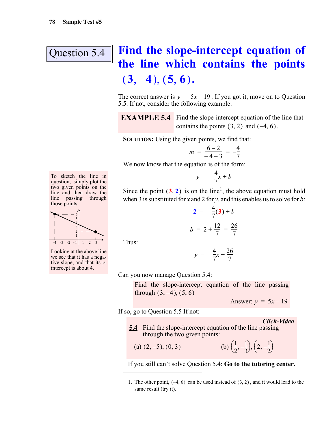## Question 5.4  $\parallel$

# **Find the slope-intercept equation of the line which contains the points**  $(3, -4), (5, 6).$

The correct answer is  $y = 5x - 19$ . If you got it, move on to Question 5.5. If not, consider the following example:

**EXAMPLE 5.4** Find the slope-intercept equation of the line that contains the points  $(3, 2)$  and  $(-4, 6)$ .

**SOLUTION:** Using the given points, we find that:

$$
m = \frac{6-2}{-4-3} = -\frac{4}{7}
$$

We now know that the equation is of the form:

$$
y = -\frac{4}{7}x + b
$$

Since the point  $(3, 2)$  is on the line<sup>1</sup>, the above equation must hold when 3 is substituted for *x* and 2 for *y*, and this enables us to solve for *b*:

$$
2 = -\frac{4}{7}(3) + b
$$

$$
b = 2 + \frac{12}{7} = \frac{26}{7}
$$

Thus:

 $y = -\frac{4}{7}x + \frac{26}{7}$ 

Can you now manage Question 5.4:

Find the slope-intercept equation of the line passing through  $(3, -4)$ ,  $(5, 6)$ 

Answer:  $y = 5x - 19$ 

If so, go to Question 5.5 If not:

- *Click-Video* **5.4** Find the slope-intercept equation of the line passing through the two given points:
- (a)  $(2, -5)$ ,  $(0, 3)$  (b)  $\left(\frac{1}{2}\right)$ 2  $\left(\frac{1}{2}, -\frac{1}{3}\right), \left(2, -\frac{1}{2}\right)$

If you still can't solve Question 5.4: **Go to the tutoring center.**



To sketch the line in question, simply plot the two given points on the line and then draw the

Looking at the above line we see that it has a negative slope, and that its *y*- intercept is about 4.

<sup>1.</sup> The other point,  $(-4, 6)$  can be used instead of  $(3, 2)$ , and it would lead to the same result (try it).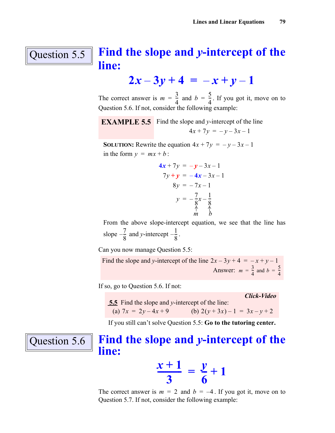Question 5.5

## **Find the slope and** *y***-intercept of the line:**

# $2x-3y+4 = -x+y-1$

The correct answer is  $m = \frac{3}{4}$  and  $b = \frac{5}{4}$ . If you got it, move on to Question 5.6. If not, consider the following example:

**EXAMPLE 5.5** Find the slope and *y*-intercept of the line  $4x + 7y = -y - 3x - 1$ 

**SOLUTION:** Rewrite the equation  $4x + 7y = -y - 3x - 1$ in the form  $y = mx + b$ :

$$
4x + 7y = -y - 3x - 1
$$
  
\n
$$
7y + y = -4x - 3x - 1
$$
  
\n
$$
8y = -7x - 1
$$
  
\n
$$
y = -\frac{7}{8}x - \frac{1}{8}
$$
  
\n
$$
\uparrow \uparrow
$$
  
\n
$$
m \quad b
$$

From the above slope-intercept equation, we see that the line has slope  $-\frac{7}{9}$  and *y*-intercept  $-\frac{1}{9}$ .  $-\frac{7}{8}$  and y-intercept  $-\frac{1}{8}$ 

Can you now manage Question 5.5:

Find the slope and *y*-intercept of the line  $2x - 3y + 4 = -x + y - 1$ Answer:  $m = \frac{3}{4}$  and  $b = \frac{5}{4}$ 

If so, go to Question 5.6. If not:

*Click-Video*

 **5.5** Find the slope and *y*-intercept of the line: (a)  $7x = 2y - 4x + 9$  <br> (b)  $2(y + 3x) - 1 = 3x - y + 2$ 

If you still can't solve Question 5.5: **Go to the tutoring center.**

Question 5.6

## **Find the slope and** *y***-intercept of the line:**

$$
\frac{x+1}{3}=\frac{y}{6}+1
$$

The correct answer is  $m = 2$  and  $b = -4$ . If you got it, move on to Question 5.7. If not, consider the following example: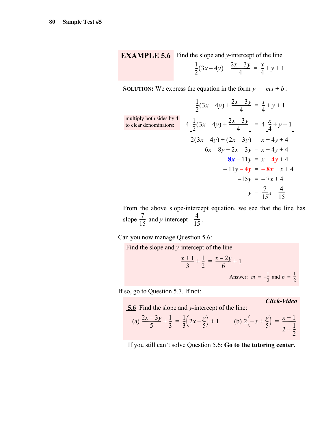**EXAMPLE 5.6** Find the slope and *y*-intercept of the line

1  $\frac{1}{2}(3x-4y)+\frac{2x-3y}{4}$  $+\frac{2x-3y}{4} = \frac{x}{4} + y + 1$ 

**SOLUTION:** We express the equation in the form  $y = mx + b$ :

$$
\frac{1}{2}(3x - 4y) + \frac{2x - 3y}{4} = \frac{x}{4} + y + 1
$$
\nmultiply both sides by 4

\nto clear denominators:

\n
$$
4\left[\frac{1}{2}(3x - 4y) + \frac{2x - 3y}{4}\right] = 4\left[\frac{x}{4} + y + 1\right]
$$
\n
$$
2(3x - 4y) + (2x - 3y) = x + 4y + 4
$$
\n
$$
6x - 8y + 2x - 3y = x + 4y + 4
$$
\n
$$
8x - 11y = x + 4y + 4
$$
\n
$$
-11y - 4y = -8x + x + 4
$$
\n
$$
-15y = -7x + 4
$$
\n
$$
y = \frac{7}{15}x - \frac{4}{15}
$$

From the above slope-intercept equation, we see that the line has slope  $\frac{7}{16}$  and *y*-intercept  $-\frac{4}{16}$ . 15  $\frac{7}{15}$  and *y*-intercept  $-\frac{4}{15}$ 

Can you now manage Question 5.6:

Find the slope and *y*-intercept of the line

$$
\frac{x+1}{3} + \frac{1}{2} = \frac{x-2y}{6} + 1
$$
  
Answer:  $m = -\frac{1}{2}$  and  $b = \frac{1}{2}$ 

If so, go to Question 5.7. If not:

*Click-Video*

 **5.6** Find the slope and *y*-intercept of the line:  $2x - 3y$ 

(a) 
$$
\frac{2x-3y}{5} + \frac{1}{3} = \frac{1}{3}(2x - \frac{y}{5}) + 1
$$
 (b)  $2(-x + \frac{y}{5}) = \frac{x+1}{2 + \frac{1}{2}}$ 

If you still can't solve Question 5.6: **Go to the tutoring center.**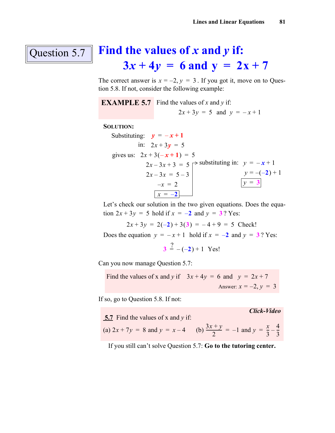# **Find the values of** *x* **and** *y* **if:**   $3x + 4y = 6$  and  $y = 2x + 7$

The correct answer is  $x = -2$ ,  $y = 3$ . If you got it, move on to Question 5.8. If not, consider the following example:

**EXAMPLE 5.7** Find the values of *x* and *y* if:  $2x + 3y = 5$  and  $y = -x + 1$ 

### **SOLUTION:**

Question 5.7

Substituting:  $y = -x + 1$ in:  $2x + 3y = 5$ gives us:  $2x + 3(-x + 1) = 5$  $2x-3x+3 = 5$   $\Rightarrow$  substituting in:  $y = -x+1$  $2x-3x = 5-3$  $-x = 2$  $x = -2$  $y = -(-2) + 1$ *y* = **3**

Let's check our solution in the two given equations. Does the equa- $\text{tan } 2x + 3y = 5 \text{ hold if } x = -2 \text{ and } y = 3$ ? Yes:

 $2x + 3y = 2(-2) + 3(3) = -4 + 9 = 5$  Check!

Does the equation  $y = -x + 1$  hold if  $x = -2$  and  $y = 3$ ? Yes:

 $3\frac{?}{=} -(-2) + 1$  Yes!

Can you now manage Question 5.7:

Find the values of x and y if  $3x + 4y = 6$  and  $y = 2x + 7$ Answer:  $x = -2, y = 3$ 

If so, go to Question 5.8. If not:

*Click-Video*  **5.7** Find the values of x and *y* if: (a)  $2x + 7y = 8$  and  $y = x - 4$  (b)  $\frac{3x + y}{2} = -1$  and  $y = \frac{x}{3}$ 3  $= -1$  and  $y = \frac{x}{3} - \frac{4}{3}$ 

If you still can't solve Question 5.7: **Go to the tutoring center.**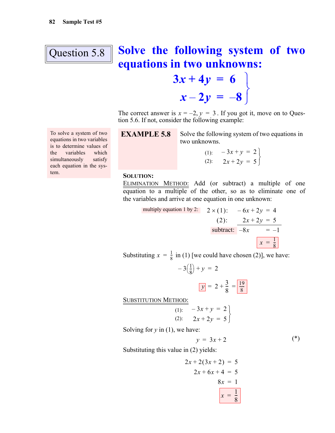

# **Solve the following system of two equations in two unknowns:**

 $3x + 4y = 6$  $x-2y = -8$  $\left\{ \right.$  $\mathbf{I}$ 

The correct answer is  $x = -2$ ,  $y = 3$ . If you got it, move on to Question 5.6. If not, consider the following example:

To solve a system of two equations in two variables is to determine values of the variables which simultaneously satisfy each equation in the system.

**EXAMPLE 5.8** Solve the following system of two equations in two unknowns.

(1): 
$$
-3x + y = 2
$$
  
(2):  $2x + 2y = 5$ }

#### **SOLUTION:**

ELIMINATION METHOD: Add (or subtract) a multiple of one equation to a multiple of the other, so as to eliminate one of the variables and arrive at one equation in one unknown:

multiply equation 1 by 2: 
$$
2 \times (1)
$$
:  $-6x + 2y = 4$   
\n(2):  $2x + 2y = 5$   
\nsubtract:  $-8x = -1$   
\n $x = \frac{1}{8}$ 

Substituting  $x = \frac{1}{8}$  in (1) [we could have chosen (2)], we have:

$$
-3\left(\frac{1}{8}\right) + y = 2
$$
  

$$
\boxed{y} = 2 + \frac{3}{8} = \boxed{\frac{19}{8}}
$$

SUBSTITUTION METHOD:

(1): 
$$
-3x + y = 2
$$
  
(2):  $2x + 2y = 5$ }

Solving for  $y$  in (1), we have:

$$
y = 3x + 2 \tag{*}
$$

Substituting this value in (2) yields:

$$
2x + 2(3x + 2) = 5
$$
  

$$
2x + 6x + 4 = 5
$$
  

$$
8x = 1
$$
  

$$
x = \frac{1}{8}
$$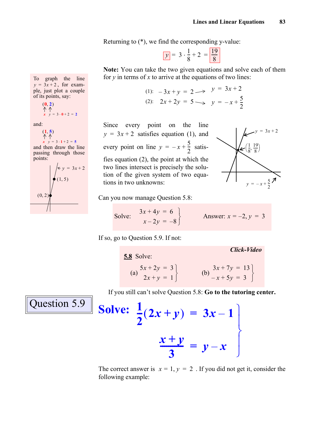Returning to (\*), we find the corresponding y-value:

$$
y = 3 \cdot \frac{1}{8} + 2 = \frac{19}{8}
$$

**Note:** You can take the two given equations and solve each of them for  $y$  in terms of  $x$  to arrive at the equations of two lines:

(1): 
$$
-3x + y = 2 \rightarrow y = 3x + 2
$$
  
\n(2):  $2x + 2y = 5 \rightarrow y = -x + \frac{5}{2}$ 

Since every point on the line  $y = 3x + 2$  satisfies equation (1), and every point on line  $y = -x + \frac{5}{2}$  satisfies equation (2), the point at which the two lines intersect is precisely the solution of the given system of two equations in two unknowns:

Can you now manage Question 5.8:

Solve:  $\left\{\n \begin{array}{ccc}\n 3 & 3 \\
 2 & 3\n \end{array}\n \right\}$  Answer:  $3x + 4y = 6$  $x - 2y = -8$  $\vert$ 

Answer: 
$$
x = -2
$$
,  $y = 3$ 

 $= 3x + 2$ 

 $y = -x + \frac{5}{2}$  $= -x + \frac{3}{2}$ 

 $\left( \frac{1}{8}, \frac{19}{8} \right)$ 

If so, go to Question 5.9. If not:

| <b>5.8</b> Solve: | <b>Click-Video</b> |
|-------------------|--------------------|
| (a) $5x + 2y = 3$ | (b) $3x + 7y = 13$ |
| $2x + y = 1$      | (c) $3x + 7y = 13$ |

If you still can't solve Question 5.8: **Go to the tutoring center.**

$$
\frac{1}{2} \text{Solve: } \frac{1}{2}(2x+y) = 3x-1
$$

$$
\frac{x+y}{3} = y-x
$$

The correct answer is  $x = 1$ ,  $y = 2$ . If you did not get it, consider the following example:

To graph the line  $y = 3x + 2$ , for example, just plot a couple of its points, say:

 $(0, 2)$ ኅ ኅ  $x$   $y = 3 \cdot 0 + 2 = 2$ 

and:



Question 5.9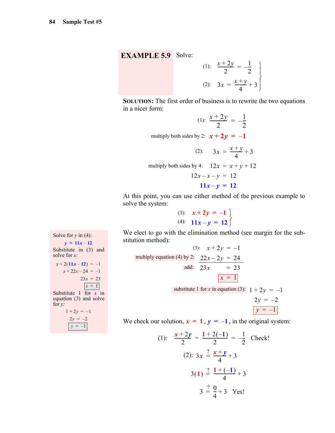### **EXAMPLE 5.9** Solve:

(1): 
$$
\frac{x+2y}{2} = -\frac{1}{2}
$$
  
(2): 
$$
3x = \frac{x+y}{4} + 3
$$

**SOLUTION:** The first order of business is to rewrite the two equations in a nicer form:

(1): 
$$
\frac{x+2y}{2} = -\frac{1}{2}
$$

multiply both sides by 2:  $x + 2y = -1$ 

(2): 
$$
3x = \frac{x+y}{4} + 3
$$
  
\nmultiply both sides by 4:  $12x = x + y + 12$   
\n $12x - x - y = 12$   
\n $11x - y = 12$ 

At this point, you can use either method of the previous example to solve the system:

(3): 
$$
x + 2y = -1
$$
  
(4):  $11x - y = 12$ 

We elect to go with the elimination method (see margin for the substitution method):

(3): 
$$
x + 2y = -1
$$
  
\nmultiply equation (4) by 2:  $22x - 2y = 24$   
\nadd:  $23x = 23$   
\n $x = 1$ 

 $\sim$ 

substitute 1 for *x* in equation (3):  $1 + 2y = -1$ 

$$
2y = -2
$$

$$
y = -1
$$

We check our solution,  $x = 1$ ,  $y = -1$ , in the original system:

(1): 
$$
\frac{x+2y}{2} = \frac{1+2(-1)}{2} = -\frac{1}{2}
$$
 Check!  
(2): 
$$
3x = \frac{2x+y}{4} + 3
$$

$$
3(1) = \frac{21+(-1)}{4} + 3
$$

$$
3 = \frac{20}{4} + 3 \text{ Yes!}
$$

Solve for  $y$  in (4): Substitute in (3) and solve for *x*: Substitute 1 for *x* in equation (3) and solve for *y:*  $y = 11x - 12$  $x + 2(11x - 12) = -1$  $x + 22x - 24 = -1$  $23x = 23$ *x* = 1  $1 + 2y = -1$  $2y = -2$  $y = -1$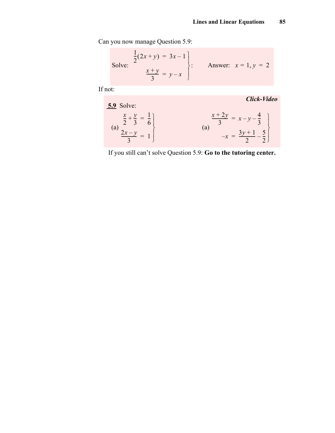Can you now manage Question 5.9:

Solve: 
$$
\begin{cases}\n\frac{1}{2}(2x+y) = 3x-1 \\
\frac{x+y}{3} = y-x\n\end{cases}
$$
: Answer:  $x = 1, y = 2$ 

If not:

| <b>5.9</b> Solve:                         |
|-------------------------------------------|
| $\frac{x}{2} + \frac{y}{3} = \frac{1}{6}$ |
| (a) $\frac{2x - y}{3} = 1$                |

\n(a) 
$$
\frac{x + 2y}{3} = x - y - \frac{4}{3}
$$

\n(b) 
$$
-x = \frac{3y + 1}{2} - \frac{5}{2}
$$

If you still can't solve Question 5.9: **Go to the tutoring center.**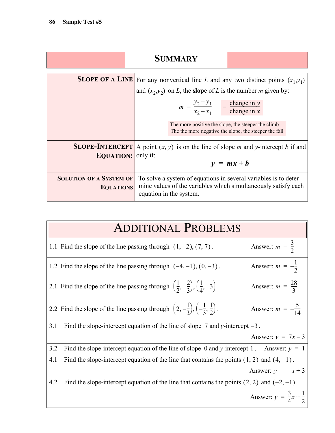|                                                    | <b>SUMMARY</b>                                                                                                                                                |                                                       |
|----------------------------------------------------|---------------------------------------------------------------------------------------------------------------------------------------------------------------|-------------------------------------------------------|
|                                                    | <b>SLOPE OF A LINE</b> For any nonvertical line L and any two distinct points $(x_1, y_1)$<br>and $(x_2, y_2)$ on L, the slope of L is the number m given by: |                                                       |
|                                                    | $m = \frac{y_2 - y_1}{x_2 - x_1}$ = $\frac{\text{change in } y}{\text{change in } x}$                                                                         |                                                       |
|                                                    | The more positive the slope, the steeper the climb                                                                                                            | The the more negative the slope, the steeper the fall |
|                                                    | <b>SLOPE-INTERCEPT</b> A point $(x, y)$ is on the line of slope <i>m</i> and <i>y</i> -intercept <i>b</i> if and                                              |                                                       |
| <b>EQUATION:</b> only if:                          | $y = mx + b$                                                                                                                                                  |                                                       |
| <b>SOLUTION OF A SYSTEM OF</b><br><b>EQUATIONS</b> | To solve a system of equations in several variables is to deter-<br>mine values of the variables which simultaneously satisfy each<br>equation in the system. |                                                       |

| <b>ADDITIONAL PROBLEMS</b> |                                                                                                                         |                                          |
|----------------------------|-------------------------------------------------------------------------------------------------------------------------|------------------------------------------|
|                            | 1.1 Find the slope of the line passing through $(1, -2)$ , $(7, 7)$ .                                                   | Answer: $m = \frac{3}{2}$                |
|                            | 1.2 Find the slope of the line passing through $(-4, -1)$ , $(0, -3)$ .                                                 | Answer: $m = -\frac{1}{2}$               |
|                            | 2.1 Find the slope of the line passing through $\left(\frac{1}{2}, -\frac{2}{3}\right), \left(\frac{1}{4}, -3\right)$ . | Answer: $m = \frac{28}{3}$               |
|                            | 2.2 Find the slope of the line passing through $\left(2, -\frac{1}{3}\right), \left(-\frac{1}{3}, \frac{1}{2}\right)$ . | Answer: $m = -\frac{5}{14}$              |
| 3.1                        | Find the slope-intercept equation of the line of slope 7 and y-intercept $-3$ .                                         |                                          |
|                            |                                                                                                                         | Answer: $y = 7x-3$                       |
| 3.2                        | Find the slope-intercept equation of the line of slope $\theta$ and y-intercept 1.                                      | Answer: $y = 1$                          |
| 4.1                        | Find the slope-intercept equation of the line that contains the points $(1, 2)$ and $(4, -1)$ .                         |                                          |
|                            |                                                                                                                         | Answer: $y = -x + 3$                     |
| 4.2                        | Find the slope-intercept equation of the line that contains the points $(2, 2)$ and $(-2, -1)$ .                        |                                          |
|                            |                                                                                                                         | Answer: $y = \frac{3}{4}x + \frac{1}{2}$ |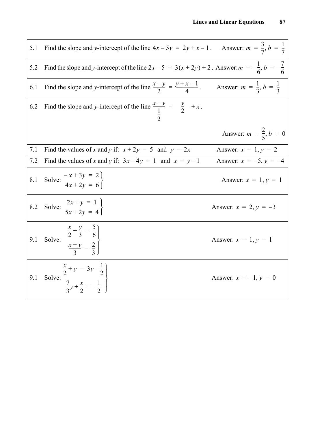| 5.1 | Find the slope and y-intercept of the line $4x - 5y = 2y + x - 1$ . Answer: $m = \frac{3}{7}, b = \frac{1}{7}$               |                                     |
|-----|------------------------------------------------------------------------------------------------------------------------------|-------------------------------------|
| 5.2 | Find the slope and y-intercept of the line $2x-5 = 3(x+2y)+2$ . Answer: $m = -\frac{1}{6}$ , $b = -\frac{7}{6}$              |                                     |
| 6.1 | Find the slope and y-intercept of the line $\frac{x-y}{2} = \frac{y+x-1}{4}$ . Answer: $m = \frac{1}{3}$ , $b = \frac{1}{3}$ |                                     |
| 6.2 | Find the slope and <i>y</i> -intercept of the line $\frac{x-y}{1} = \frac{y}{2} + x$ .                                       |                                     |
|     |                                                                                                                              | Answer: $m = \frac{2}{5}$ , $b = 0$ |
| 7.1 | Find the values of x and y if: $x + 2y = 5$ and $y = 2x$                                                                     | Answer: $x = 1, y = 2$              |
| 7.2 | Find the values of x and y if: $3x-4y = 1$ and $x = y-1$                                                                     | Answer: $x = -5$ , $y = -4$         |
| 8.1 | Solve: $\begin{cases} -x + 3y = 2 \\ 4x + 2y = 6 \end{cases}$                                                                | Answer: $x = 1, y = 1$              |
| 8.2 | Solve: $2x + y = 1$<br>$5x + 2y = 4$                                                                                         | Answer: $x = 2, y = -3$             |
| 9.1 | Solve: $\frac{x}{2} + \frac{y}{3} = \frac{5}{6}$<br>$\left[\frac{x+y}{2}=\frac{2}{3}\right]$                                 | Answer: $x = 1, y = 1$              |
| 9.1 | $\begin{array}{c} \frac{x}{2} + y = 3y - \frac{1}{2} \\ \frac{7}{3}y + \frac{x}{2} = -\frac{1}{2} \end{array}$<br>Solve:     | Answer: $x = -1, y = 0$             |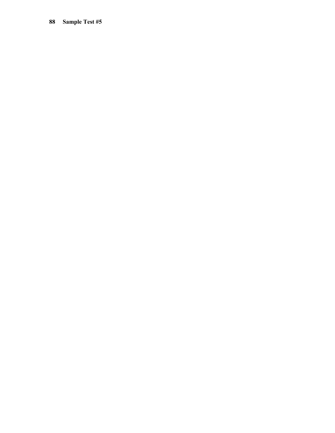### **88 Sample Test #5**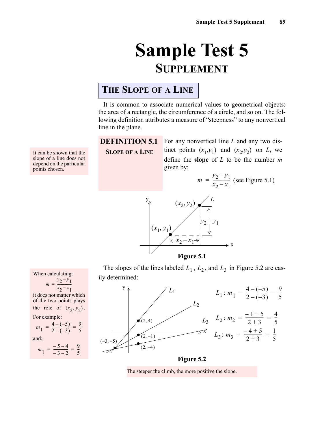# **Sample Test 5 SUPPLEMENT**

## **THE SLOPE OF A LINE**

It is common to associate numerical values to geometrical objects: the area of a rectangle, the circumference of a circle, and so on. The following definition attributes a measure of "steepness" to any nonvertical line in the plane.

**DEFINITION 5.1 SLOPE OF A LINE**

ily determined:

For any nonvertical line *L* and any two distinct points  $(x_1, y_1)$  and  $(x_2, y_2)$  on *L*, we define the **slope** of *L* to be the number *m* given by:

$$
m = \frac{y_2 - y_1}{x_2 - x_1}
$$
 (see Figure 5.1)



The slopes of the lines labeled  $L_1$ ,  $L_2$ , and  $L_3$  in Figure 5.2 are eas-



**Figure 5.2**

The steeper the climb, the more positive the slope.

It can be shown that the slope of a line does not depend on the particular points chosen.

it does not matter which of the two points plays *m*  $y_2 - y_1$  $x_2 - x$  $=\frac{2+1}{x_2-x_1}$ 

When calculating:

the role of  $(x_2, y_2)$ . For example:

$$
m_1 = \frac{4 - (-5)}{2 - (-3)} = \frac{9}{5}
$$
  
and:

$$
m_1 = \frac{-5 - 4}{-3 - 2} = \frac{9}{5}
$$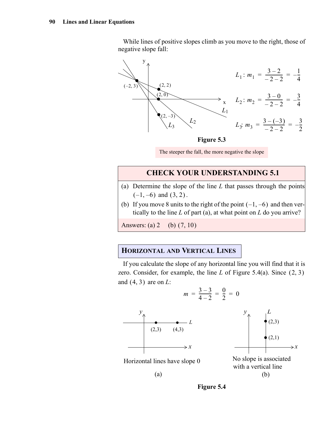While lines of positive slopes climb as you move to the right, those of negative slope fall:





The steeper the fall, the more negative the slope

### **CHECK YOUR UNDERSTANDING 5.1**

- (a) Determine the slope of the line *L* that passes through the points  $(-1, -6)$  and  $(3, 2)$ .
- (b) If you move 8 units to the right of the point  $(-1, -6)$  and then vertically to the line *L* of part (a), at what point on *L* do you arrive?

Answers:  $(a)$  2 (b)  $(7, 10)$ 

### **HORIZONTAL AND VERTICAL LINES**

If you calculate the slope of any horizontal line you will find that it is zero. Consider, for example, the line  $L$  of Figure 5.4(a). Since  $(2, 3)$ and  $(4, 3)$  are on *L*:



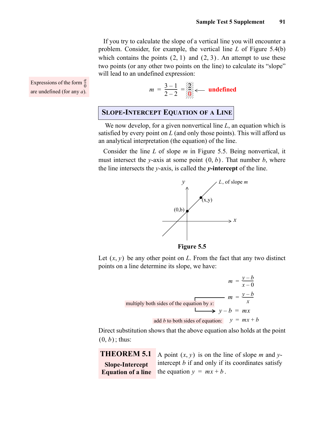If you try to calculate the slope of a vertical line you will encounter a problem. Consider, for example, the vertical line *L* of Figure 5.4(b) which contains the points  $(2, 1)$  and  $(2, 3)$ . An attempt to use these two points (or any other two points on the line) to calculate its "slope" will lead to an undefined expression:

Expressions of the form  $\frac{a}{2}$ are undefined (for any *a*).  $\frac{a}{0}$ 

$$
m = \frac{3-1}{2-2} = \frac{2}{N} \longleftarrow
$$
 **undefined**

### **SLOPE-INTERCEPT EQUATION OF A LINE**

 We now develop, for a given nonvertical line *L*, an equation which is satisfied by every point on *L* (and only those points). This will afford us an analytical interpretation (the equation) of the line.

Consider the line *L* of slope *m* in Figure 5.5. Being nonvertical, it must intersect the *y*-axis at some point  $(0, b)$ . That number *b*, where the line intersects the *y*-axis, is called the *y***-intercept** of the line.



**Figure 5.5**

Let  $(x, y)$  be any other point on *L*. From the fact that any two distinct points on a line determine its slope, we have:

$$
m = \frac{y-b}{x-0}
$$
  
multiply both sides of the equation by x:  

$$
m = \frac{y-b}{x}
$$
  

$$
y-b = mx
$$
  
add b to both sides of equation: 
$$
y = mx + b
$$

Direct substitution shows that the above equation also holds at the point  $(0, b)$ ; thus:

**THEOREM 5.1 Slope-Intercept Equation of a line** A point  $(x, y)$  is on the line of slope *m* and *y*intercept *b* if and only if its coordinates satisfy the equation  $y = mx + b$ .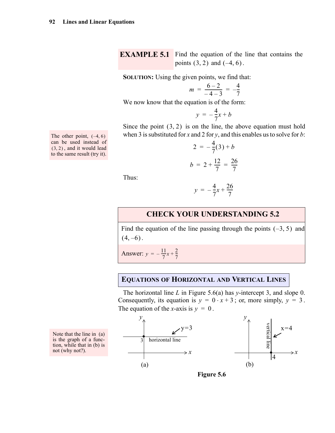**EXAMPLE 5.1** Find the equation of the line that contains the points  $(3, 2)$  and  $(-4, 6)$ .

**SOLUTION:** Using the given points, we find that:

$$
m = \frac{6-2}{-4-3} = -\frac{4}{7}
$$

We now know that the equation is of the form:

$$
y = -\frac{4}{7}x + b
$$

Since the point  $(3, 2)$  is on the line, the above equation must hold when 3 is substituted for *x* and 2 for *y*, and this enables us to solve for *b*:

The other point,  $(-4, 6)$ can be used instead of  $(3, 2)$ , and it would lead to the same result (try it).

$$
2 = -\frac{4}{7}(3) + b
$$

$$
b = 2 + \frac{12}{7} = \frac{26}{7}
$$

Thus:

$$
y = -\frac{4}{7}x + \frac{26}{7}
$$

### **CHECK YOUR UNDERSTANDING 5.2**

Find the equation of the line passing through the points  $(-3, 5)$  and  $(4,-6)$ .

Answer:  $y = -\frac{11}{7}x + \frac{2}{7}$ 

### **EQUATIONS OF HORIZONTAL AND VERTICAL LINES**

The horizontal line *L* in Figure 5.6(a) has *y*-intercept 3, and slope 0. Consequently, its equation is  $y = 0 \cdot x + 3$ ; or, more simply,  $y = 3$ . The equation of the *x*-axis is  $y = 0$ .



Note that the line in (a) is the graph of a function, while that in (b) is not (why not?).

**Figure 5.6**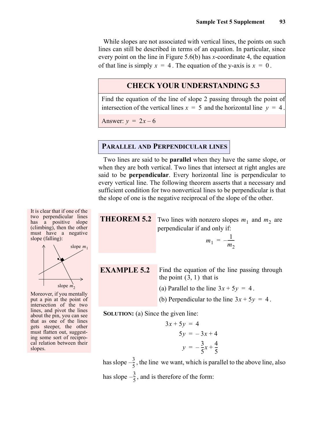While slopes are not associated with vertical lines, the points on such lines can still be described in terms of an equation. In particular, since every point on the line in Figure 5.6(b) has *x*-coordinate 4, the equation of that line is simply  $x = 4$ . The equation of the y-axis is  $x = 0$ .

### **CHECK YOUR UNDERSTANDING 5.3**

Find the equation of the line of slope 2 passing through the point of intersection of the vertical lines  $x = 5$  and the horizontal line  $y = 4$ .

Answer:  $y = 2x - 6$ 

### **PARALLEL AND PERPENDICULAR LINES**

Two lines are said to be **parallel** when they have the same slope, or when they are both vertical. Two lines that intersect at right angles are said to be **perpendicular**. Every horizontal line is perpendicular to every vertical line. The following theorem asserts that a necessary and sufficient condition for two nonvertical lines to be perpendicular is that the slope of one is the negative reciprocal of the slope of the other.

It is clear that if one of the two perpendicular lines has a positive slope (climbing), then the other must have a negative slope (falling):



Moreover, if you mentally put a pin at the point of intersection of the two lines, and pivot the lines about the pin, you can see that as one of the lines gets steeper, the other must flatten out, suggesting some sort of reciprocal relation between their slopes.

## **THEOREM 5.2**

| Two lines with nonzero slopes $m_1$ and $m_2$ are |  |
|---------------------------------------------------|--|
| perpendicular if and only if:                     |  |

$$
m_1 = -\frac{1}{m_2}
$$

**EXAMPLE 5.2** Find the equation of the line passing through the point  $(3, 1)$  that is

(a) Parallel to the line  $3x + 5y = 4$ .

(b) Perpendicular to the line  $3x + 5y = 4$ .

**SOLUTION:** (a) Since the given line:

 $3x + 5y = 4$  $5y = -3x + 4$  $y = -\frac{3}{5}x + \frac{4}{5}$ 

has slope  $-\frac{3}{5}$ , the line we want, which is parallel to the above line, also has slope  $-\frac{3}{5}$ , and is therefore of the form: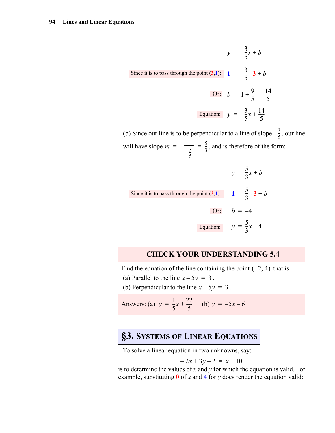#### **94 Lines and Linear Equations**

$$
y = -\frac{3}{5}x + b
$$
  
Since it is to pass through the point (3,1):  

$$
1 = -\frac{3}{5} \cdot 3 + b
$$
  
Or: 
$$
b = 1 + \frac{9}{5} = \frac{14}{5}
$$
  
Equation: 
$$
y = -\frac{3}{5}x + \frac{14}{5}
$$

(b) Since our line is to be perpendicular to a line of slope  $-\frac{3}{5}$ , our line will have slope  $m = -\frac{1}{2} = \frac{5}{2}$ , and is therefore of the form: 3  $-\frac{3}{5}$  $=-\frac{1}{3}=\frac{5}{3}$ 

 $y = \frac{5}{3}x + b$  $1 = \frac{5}{3} \cdot 3 + b$ Or:  $b = -4$  $y = \frac{5}{3}x - 4$ Since it is to pass through the point (**3**,**1**): Equation:

### **CHECK YOUR UNDERSTANDING 5.4**

Find the equation of the line containing the point  $(-2, 4)$  that is

- (a) Parallel to the line  $x 5y = 3$ .
- (b) Perpendicular to the line  $x 5y = 3$ .

Answers: (a)  $y = \frac{1}{5}x + \frac{22}{5}$  (b)  $=\frac{1}{5}x + \frac{22}{5}$  (b)  $y = -5x - 6$ 

## **§3. SYSTEMS OF LINEAR EQUATIONS**

To solve a linear equation in two unknowns, say:

$$
-2x + 3y - 2 = x + 10
$$

is to determine the values of *x* and *y* for which the equation is valid. For example, substituting 0 of *x* and 4 for *y* does render the equation valid: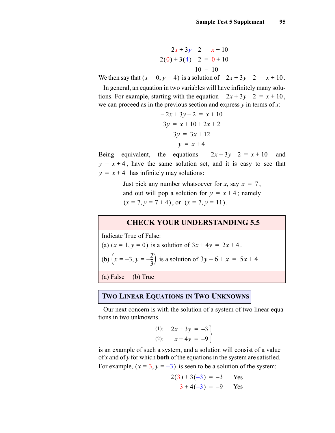$$
-2x+3y-2 = x+10
$$
  

$$
-2(0) + 3(4) - 2 = 0 + 10
$$
  

$$
10 = 10
$$

We then say that  $(x = 0, y = 4)$  is a solution of  $-2x + 3y - 2 = x + 10$ .

In general, an equation in two variables will have infinitely many solutions. For example, starting with the equation  $-2x + 3y - 2 = x + 10$ , we can proceed as in the previous section and express  $y$  in terms of  $x$ :

$$
-2x+3y-2 = x+10
$$
  
\n
$$
3y = x+10+2x+2
$$
  
\n
$$
3y = 3x+12
$$
  
\n
$$
y = x+4
$$

Being equivalent, the equations  $-2x+3y-2 = x+10$  and  $y = x + 4$ , have the same solution set, and it is easy to see that  $y = x + 4$  has infinitely may solutions:

> Just pick any number whatsoever for *x*, say  $x = 7$ , and out will pop a solution for  $y = x + 4$ ; namely  $(x = 7, y = 7 + 4)$ , or  $(x = 7, y = 11)$ .

### **CHECK YOUR UNDERSTANDING 5.5**

Indicate True of False:

(a)  $(x = 1, y = 0)$  is a solution of  $3x + 4y = 2x + 4$ . (b)  $\left(x = -3, y = -\frac{2}{3}\right)$  is a solution of  $3y - 6 + x = 5x + 4$ .

(a) False (b) True

### **TWO LINEAR EQUATIONS IN TWO UNKNOWNS**

Our next concern is with the solution of a system of two linear equations in two unknowns.

(1): 
$$
2x + 3y = -3
$$
  
(2):  $x + 4y = -9$ }

is an example of such a system, and a solution will consist of a value of *x* and of *y* for which **both** of the equations in the system are satisfied. For example,  $(x = 3, y = -3)$  is seen to be a solution of the system:

$$
2(3) + 3(-3) = -3
$$
 Yes  
3 + 4(-3) = -9 Yes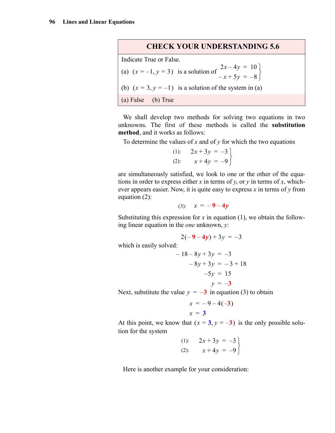### **CHECK YOUR UNDERSTANDING 5.6**

Indicate True or False.

(a)  $(x = -1, y = 3)$  is a solution of (b)  $(x = 3, y = -1)$  is a solution of the system in (a) (a) False (b) True  $2x - 4y = 10$  $-x+5y = -8$  $\mathbf{I}$ 

We shall develop two methods for solving two equations in two unknowns. The first of these methods is called the **substitution method**, and it works as follows:

To determine the values of *x* and of *y* for which the two equations

(1): 
$$
2x + 3y = -3
$$
  
(2):  $x + 4y = -9$ }

are simultaneously satisfied, we look to one or the other of the equations in order to express either *x* in terms of *y*, or *y* in terms of *x*, whichever appears easier. Now, it is quite easy to express *x* in terms of *y* from equation (2):

$$
(3): \quad x = -9-4y
$$

Substituting this expression for  $x$  in equation (1), we obtain the following linear equation in the *one* unknown, *y*:

$$
2(-9-4y) + 3y = -3
$$

which is easily solved:

$$
-18-8y+3y = -3
$$
  

$$
-8y+3y = -3+18
$$
  

$$
-5y = 15
$$
  

$$
y = -3
$$

Next, substitute the value  $y = -3$  in equation (3) to obtain

$$
x = -9-4(-3)
$$
  

$$
x = 3
$$

At this point, we know that  $(x = 3, y = -3)$  is the only possible solution for the system

(1): 
$$
2x + 3y = -3
$$
  
(2):  $x + 4y = -9$ }

Here is another example for your consideration: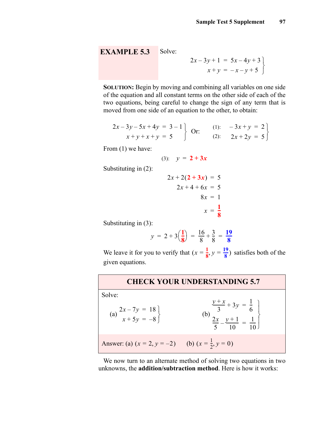**EXAMPLE 5.3** Solve:  

$$
2x-3y+1 = 5x-4y+3
$$

$$
x+y = -x-y+5
$$

**SOLUTION:** Begin by moving and combining all variables on one side of the equation and all constant terms on the other side of each of the two equations, being careful to change the sign of any term that is moved from one side of an equation to the other, to obtain:

$$
\begin{cases}\n2x - 3y - 5x + 4y = 3 - 1 \\
x + y + x + y = 5\n\end{cases}\n\text{ Or:}\n\begin{cases}\n(1): -3x + y = 2 \\
(2): 2x + 2y = 5\n\end{cases}
$$

From  $(1)$  we have:

$$
(3): \quad y = 2 + 3x
$$

Substituting in (2):

$$
2x + 2(2 + 3x) = 5
$$
  

$$
2x + 4 + 6x = 5
$$
  

$$
8x = 1
$$
  

$$
x = \frac{1}{8}
$$

Substituting in (3):

$$
y = 2 + 3\left(\frac{1}{8}\right) = \frac{16}{8} + \frac{3}{8} = \frac{19}{8}
$$

We leave it for you to verify that  $(x = \frac{1}{8}, y = \frac{19}{8})$  satisfies both of the given equations.

#### **CHECK YOUR UNDERSTANDING 5.7** Solve: (a)  $\begin{array}{c} 2x & y & 10 \\ 1 & 2x & 0 \end{array}$  (b) Answer: (a)  $(x = 2, y = -2)$  (b)  $(x = \frac{1}{2}, y = 0)$  $2x - 7y = 18$  $x + 5y = -8$  $\mathbf{I}$  $y + x$  $\frac{y+x}{3} + 3y = \frac{1}{6}$ 2*x* 5  $\frac{2x}{5} - \frac{y+1}{10} = \frac{1}{10}$  $\left\{ \right\}$  $\overline{ }$  $\overline{1}$

We now turn to an alternate method of solving two equations in two unknowns, the **addition/subtraction method**. Here is how it works: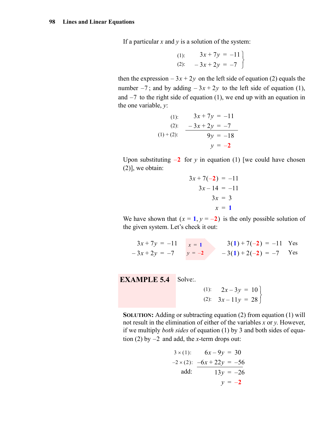If a particular *x* and *y* is a solution of the system:

(1): 
$$
3x + 7y = -11
$$

$$
(2): -3x + 2y = -7
$$

then the expression  $-3x + 2y$  on the left side of equation (2) equals the number  $-7$ ; and by adding  $-3x + 2y$  to the left side of equation (1), and  $-7$  to the right side of equation (1), we end up with an equation in the one variable, *y*:

(1): 
$$
3x + 7y = -11
$$
  
(2): 
$$
-3x + 2y = -7
$$
  
(1) + (2): 
$$
9y = -18
$$
  

$$
y = -2
$$

Upon substituting  $-2$  for *y* in equation (1) [we could have chosen (2)], we obtain:

$$
3x + 7(-2) = -11
$$
  

$$
3x - 14 = -11
$$
  

$$
3x = 3
$$
  

$$
x = 1
$$

We have shown that  $(x = 1, y = -2)$  is the only possible solution of the given system. Let's check it out:

 $3x + 7y = -11$  $-3x + 2y = -7$ *x* = **1**  $y = -2$  $3(1) + 7(-2) = -11$  $-3(1) + 2(-2) = -7$ Yes Yes

**EXAMPLE 5.4** Solve:.

 $2x - 3y = 10$  $3x - 11y = 28$ (1):  $2x-3y = 10$ (2):

**SOLUTION:** Adding or subtracting equation (2) from equation (1) will not result in the elimination of either of the variables *x* or *y*. However, if we multiply *both sides* of equation (1) by 3 and both sides of equation (2) by  $-2$  and add, the *x*-term drops out:

$$
3 \times (1): \quad 6x - 9y = 30
$$
  
-2 \times (2): \quad -6x + 22y = -56  
add: \quad 13y = -26  

$$
y = -2
$$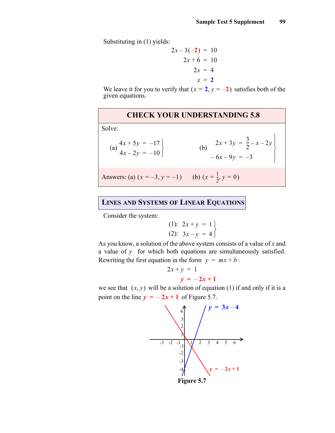Substituting in (1) yields:

$$
2x-3(-2) = 10
$$
  
2x + 6 = 10  

$$
2x = 4
$$
  

$$
x = 2
$$

We leave it for you to verify that  $(x = 2, y = -2)$  satisfies both of the given equations.



### **LINES AND SYSTEMS OF LINEAR EQUATIONS**

Consider the system:

 $2x + y = 1$  $3x - y = 4$ (1):  $2x + y = 1$ <br>(2):  $3x - y = 4$ 

As you know, a solution of the above system consists of a value of *x* and a value of *y* for which both equations are simultaneously satisfied. Rewriting the first equation in the form  $y = mx + b$ :

$$
2x + y = 1
$$

$$
y = -2x + 1
$$

we see that  $(x, y)$  will be a solution of equation (1) if and only if it is a point on the line  $y = -2x + 1$  of Figure 5.7.



**Figure 5.7**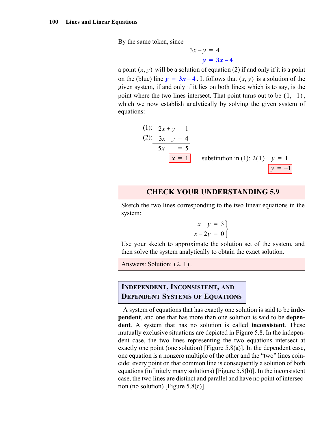By the same token, since

$$
3x - y = 4
$$
  

$$
y = 3x - 4
$$

a point  $(x, y)$  will be a solution of equation  $(2)$  if and only if it is a point on the (blue) line  $y = 3x - 4$ . It follows that  $(x, y)$  is a solution of the given system, if and only if it lies on both lines; which is to say, is the point where the two lines intersect. That point turns out to be  $(1, -1)$ , which we now establish analytically by solving the given system of equations:

(1): 
$$
2x + y = 1
$$
  
\n(2):  $3x - y = 4$   
\n $5x = 5$   
\n $x = 1$  substitution in (1):  $2(1) + y = 1$   
\n $y = -1$ 

### **CHECK YOUR UNDERSTANDING 5.9**

Sketch the two lines corresponding to the two linear equations in the system:

$$
\begin{aligned}\nx + y &= 3 \\
x - 2y &= 0\n\end{aligned}
$$

Use your sketch to approximate the solution set of the system, and then solve the system analytically to obtain the exact solution.

Answers: Solution:  $(2, 1)$ .

### **INDEPENDENT, INCONSISTENT, AND DEPENDENT SYSTEMS OF EQUATIONS**

A system of equations that has exactly one solution is said to be **independent**, and one that has more than one solution is said to be **dependent**. A system that has no solution is called **inconsistent**. These mutually exclusive situations are depicted in Figure 5.8. In the independent case, the two lines representing the two equations intersect at exactly one point (one solution) [Figure  $5.8(a)$ ]. In the dependent case, one equation is a nonzero multiple of the other and the "two" lines coincide: every point on that common line is consequently a solution of both equations (infinitely many solutions) [Figure 5.8(b)]. In the inconsistent case, the two lines are distinct and parallel and have no point of intersection (no solution) [Figure  $5.8(c)$ ].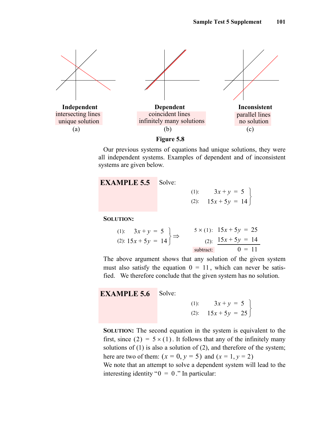



Our previous systems of equations had unique solutions, they were all independent systems. Examples of dependent and of inconsistent systems are given below.



**SOLUTION:**

(1): 
$$
3x + y = 5
$$
  
\n(2):  $15x + 5y = 14$ }  
\n
$$
\Rightarrow \qquad 5 \times (1): \quad 15x + 5y = 25
$$
\n(2):  $\frac{15x + 5y = 14}{0} = 11$ 

The above argument shows that any solution of the given system must also satisfy the equation  $0 = 11$ , which can never be satisfied. We therefore conclude that the given system has no solution.

### **EXAMPLE 5.6** Solve:

 $3x + y = 5$  $15x + 5y = 25$ (1):  $3x + y = 5$ <br>
(2):  $15x + 5y = 25$ 

**SOLUTION:** The second equation in the system is equivalent to the first, since  $(2) = 5 \times (1)$ . It follows that any of the infinitely many solutions of (1) is also a solution of (2), and therefore of the system; here are two of them:  $(x = 0, y = 5)$  and  $(x = 1, y = 2)$ We note that an attempt to solve a dependent system will lead to the

interesting identity " $0 = 0$ ." In particular: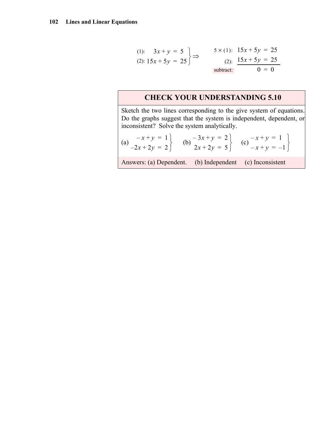### **102 Lines and Linear Equations**

3*x y* + 5 = 15*x* + 25 5*y* = (1): (2): 5 1 : 15*x* + 5*y* = 25 15*x* + 25 5*y* = subtract: 0 0 = (2):

## **CHECK YOUR UNDERSTANDING 5.10**

Sketch the two lines corresponding to the give system of equations. Do the graphs suggest that the system is independent, dependent, or inconsistent? Solve the system analytically.

(a) 
$$
\begin{cases} -x+y=1 \\ -2x+2y=2 \end{cases}
$$
 (b)  $\begin{cases} -3x+y=2 \\ 2x+2y=5 \end{cases}$  (c)  $\begin{cases} -x+y=1 \\ -x+y=-1 \end{cases}$   
Answers: (a) Dependent. (b) Independent (c) Inconsistent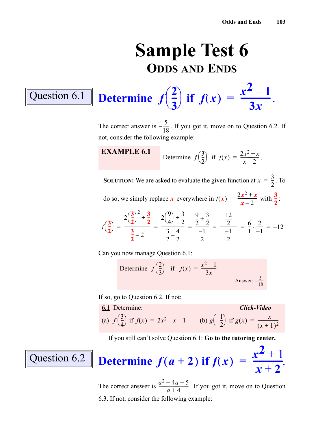# **Sample Test 6 ODDS AND ENDS**

**Question 6.1 Determine** 
$$
f(\frac{2}{3})
$$
 if  $f(x) = \frac{x^2 - 1}{3x}$ .

The correct answer is  $-\frac{5}{18}$ . If you got it, move on to Question 6.2. If not, consider the following example:

**EXAMPLE 6.1** Determine  $f\left(\frac{3}{2}\right)$  if  $f(x) = \frac{2x^2 + x}{x - 2}$ .

**SOLUTION:** We are asked to evaluate the given function at  $x = \frac{3}{2}$ . To

do so, we simply replace x everywhere in  $f(x) = \frac{2x^2 + x}{x - 2}$  with  $\frac{3}{2}$ . **--**

$$
f\left(\frac{3}{2}\right) = \frac{2\left(\frac{3}{2}\right)^2 + \frac{3}{2}}{\frac{3}{2} - 2} = \frac{2\left(\frac{9}{4}\right) + \frac{3}{2}}{\frac{3}{2} - \frac{4}{2}} = \frac{\frac{9}{2} + \frac{3}{2}}{\frac{-1}{2}} = \frac{\frac{12}{2}}{\frac{-1}{2}} = \frac{6}{1} \cdot \frac{2}{-1} = -12
$$

Can you now manage Question 6.1:

Determine 
$$
f\left(\frac{2}{3}\right)
$$
 if  $f(x) = \frac{x^2 - 1}{3x}$   
Answer:  $-\frac{5}{18}$ 

If so, go to Question 6.2. If not:

**6.1** Determine: *Click-Video* (a)  $f\left(\frac{3}{4}\right)$  if  $f(x) = 2x^2 - x - 1$  (b)  $g\left(-\frac{1}{2}\right)$  if  $\left(-\frac{1}{2}\right)$  if  $g(x) = \frac{-x}{(x+1)^2}$ 

If you still can't solve Question 6.1: **Go to the tutoring center.**

Question 6.2 Determine 
$$
f(a + 2)
$$
 if  $f(x) = \frac{x^2 + 1}{x + 2}$ .

The correct answer is  $\frac{a^2 + 4a + 5}{a + 4}$ . If you got it, move on to Question 6.3. If not, consider the following example: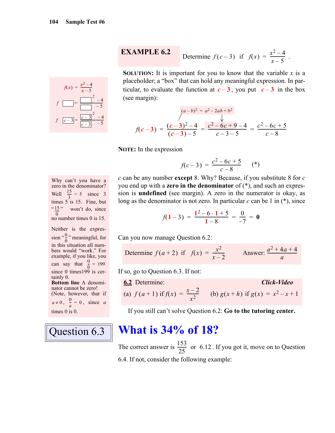### **EXAMPLE 6.2**

Determine 
$$
f(c-3)
$$
 if  $f(x) = \frac{x^2 - 4}{x - 5}$ .



**SOLUTION:** It is important for you to know that the variable *x* is a placeholder; a "box" that can hold any meaningful expression. In pariticular, to evaluate the function at  $c - 3$ , you put  $c - 3$  in the box (see margin):

$$
f(c-3) = \frac{(c-3)^2 - 4}{(c-3) - 5} = \frac{c^2 - 6c + 9 - 4}{c - 3 - 5} = \frac{c^2 - 6c + 5}{c - 8}
$$

**NOTE:** In the expression

$$
f(c-3) = \frac{c^2 - 6c + 5}{c - 8} \qquad (*)
$$

*c* can be any number **except** 8. Why? Because, if you substitute 8 for *c* you end up with a **zero in the denominator** of (\*), and such an expression is **undefined** (see margin). A zero in the numerator is okay, as long as the denominator is not zero. In particular *c* can be 1 in (\*), since

$$
f(1-3) = \frac{1^2 - 6 \cdot 1 + 5}{1 - 8} = \frac{0}{-7} = 0
$$

Can you now manage Question 6.2:

Determine 
$$
f(a+2)
$$
 if  $f(x) = \frac{x^2}{x-2}$  Answer:  $\frac{a^2 + 4a + 4}{a}$ 

If so, go to Question 6.3. If not:

**6.2** Determine: *Click-Video* (a)  $f (a + 1)$  if  $f(x) = \frac{x-2}{x^2}$  (b)  $g(x+h)$  if  $g(x) = x^2 - x + 1$ 

If you still can't solve Question 6.2: **Go to the tutoring center.**

# **What is 34% of 18?**

The correct answer is  $\frac{153}{25}$  or 6.12. If you got it, move on to Question 6.4. If not, consider the following example:  $\frac{133}{25}$  or 6.12

Why can't you have a zero in the denominator? Well  $\frac{15}{2} = 5$  since 3 times 5 is 15. Fine, but won't do, since no number times 0 is 15.  $\frac{13}{3}$  = 5 15  $\frac{13}{0}$ 

Neither is the expression " $\frac{0}{6}$ " meaningful, for in this situation all numbers would "work." For example, if you like, you can say that  $\frac{0}{0}$ since 0 times 199 is certainly 0. **Bottom line** A denominator cannot be zero! (Note, however, that if  $a \neq 0$ ,  $\frac{0}{a} = 0$ , since *a* times 0 is 0. 0  $\frac{0}{0}$  $\frac{0}{0}$  = 199

Question 6.3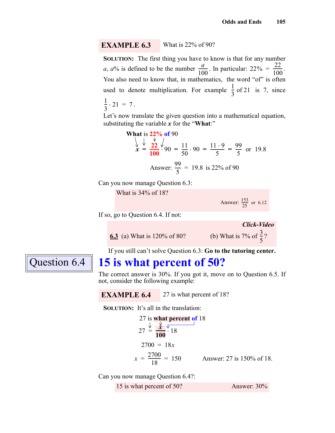#### **EXAMPLE 6.3** What is 22% of 90?

**SOLUTION:** The first thing you have to know is that for any number *a*, *a*% is defined to be the number  $\frac{a}{100}$ . In particular: 22% =  $\frac{22}{100}$ . You also need to know that, in mathematics, the word "of" is often used to denote multiplication. For example  $\frac{1}{2}$  of 21 is 7, since  $\frac{a}{100}$ . In particular: 22% =  $\frac{22}{100}$  $rac{1}{3}$  of 21

$$
\frac{1}{3}\cdot 21 = 7.
$$

Let's now translate the given question into a mathematical equation, substituting the variable  $x$  for the "What:"

What is 22% of 90  
\n
$$
\sqrt{\frac{1}{x}} = \frac{22}{100} \cdot 90 = \frac{11}{50} \cdot 90 = \frac{11 \cdot 9}{5} = \frac{99}{5}
$$
 or 19.8  
\nAnswer:  $\frac{99}{5} = 19.8$  is 22% of 90

Can you now manage Question 6.3:

What is 34% of 18?

Answer:  $\frac{153}{25}$  $\frac{133}{25}$  or 6.12

If so, go to Question 6.4. If not:

**Click-Video**  
6.3 (a) What is 120% of 80? (b) What is 7% of 
$$
\frac{3}{5}
$$
?

If you still can't solve Question 6.3: **Go to the tutoring center.**

Question 6.4

# **15 is what percent of 50?**

The correct answer is 30%. If you got it, move on to Question 6.5. If not, consider the following example:

**EXAMPLE 6.4** 27 is what percent of 18?

**SOLUTION:** It's all in the translation:

27 is what percent of 18  
\n
$$
27 = \frac{x}{100} \sqrt{\frac{1}{18}}
$$
\n2700 = 18x  
\n
$$
x = \frac{2700}{18} = 150
$$
 Answer: 27 is 150% of 18.

Can you now manage Question 6.4?:

15 is what percent of 50? Answer: 30%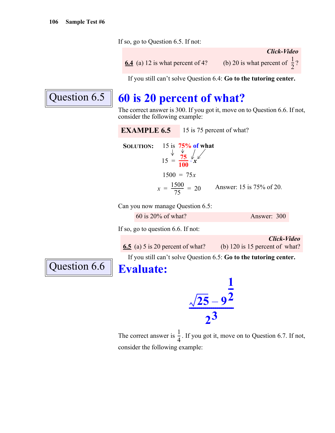If so, go to Question 6.5. If not:

*Click-Video*

*Click-Video*

**6.4** (a) 12 is what percent of 4? (b) 20 is what percent of  $\frac{1}{2}$ ?  $\frac{1}{2}$ 

If you still can't solve Question 6.4: **Go to the tutoring center.**



# **60 is 20 percent of what?**

The correct answer is 300. If you got it, move on to Question 6.6. If not, consider the following example:

**SOLUTION: EXAMPLE 6.5** 15 is 75 percent of what?  $15 \stackrel{v}{=} \frac{75}{100}$   $\frac{\sqrt{}}{x}$  $1500 = 75x$  $x = \frac{1500}{75} = 20$  Answer: 15 is 75% of 20. 15 is **75% of what**

Can you now manage Question 6.5:

| $60$ is 20% of what? | Answer: 300 |  |
|----------------------|-------------|--|
|----------------------|-------------|--|

If so, go to question 6.6. If not:

**6.5** (a) 5 is 20 percent of what? (b) 120 is 15 percent of what?

If you still can't solve Question 6.5: **Go to the tutoring center.**

Question 6.6

**Evaluate:**



The correct answer is  $\frac{1}{4}$ . If you got it, move on to Question 6.7. If not, consider the following example: 4  $\frac{1}{1}$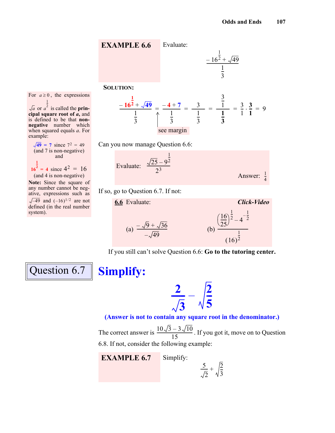

If you still can't solve Question 6.6: **Go to the tutoring center.**

Question 6.7

example:

**1**

1  $\frac{1}{2}$ 

system).

**Simplify:**

$$
\frac{2}{\sqrt{3}} - \sqrt{\frac{2}{5}}
$$

#### **(Answer is not to contain any square root in the denominator.)**

The correct answer is  $\frac{10\sqrt{3}-3\sqrt{10}}{15}$ . If you got it, move on to Question 6.8. If not, consider the following example:

**EXAMPLE 6.7** Simplify:

5 2  $\frac{5}{5} + \frac{2}{5}$ 3 +  $\frac{2}{5}$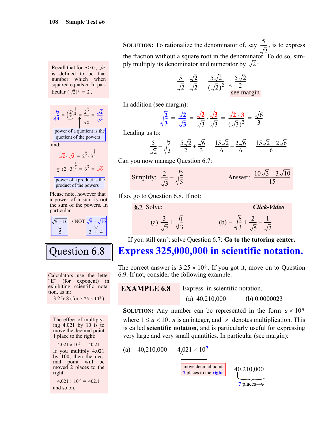**SOLUTION:** To rationalize the denominator of, say  $\frac{5}{6}$ , is to express the fraction without a square root in the denominator. To do so, simply multiply its denominator and numerator by  $\sqrt{2}$ : 2  $\frac{v}{\sqrt{2}}$ 

$$
\frac{5}{\sqrt{2}} \cdot \frac{\sqrt{2}}{\sqrt{2}} = \frac{5\sqrt{2}}{(\sqrt{2})^2} = \frac{5\sqrt{2}}{\frac{2}{\text{see margin}}}
$$

In addition (see margin):

$$
\sqrt{\frac{2}{3}} = \frac{\sqrt{2}}{\sqrt{3}} = \frac{\sqrt{2}}{\sqrt{3}} \cdot \frac{\sqrt{3}}{\sqrt{3}} = \frac{\sqrt{2 \cdot 3}}{(\sqrt{3})^2} = \frac{\sqrt{6}}{3}
$$

Leading us to:

$$
\frac{5}{\sqrt{2}} + \sqrt{\frac{2}{3}} = \frac{5\sqrt{2}}{2} + \frac{\sqrt{6}}{3} = \frac{15\sqrt{2}}{6} + \frac{2\sqrt{6}}{6} = \frac{15\sqrt{2} + 2\sqrt{6}}{6}
$$

Can you now manage Question 6.7:

Simplify: 
$$
\frac{2}{\sqrt{3}} - \sqrt{\frac{2}{5}}
$$
 Answer:  $\frac{10\sqrt{3} - 3\sqrt{10}}{15}$ 

If so, go to Question 6.8. If not:

6.7 Solve:  
\n(a) 
$$
\frac{3}{\sqrt{2}} + \sqrt{\frac{1}{3}}
$$
  
\n(b)  $-\sqrt{\frac{5}{3}} + \frac{2}{\sqrt{5}} - \frac{1}{\sqrt{2}}$ 

If you still can't solve Question 6.7: **Go to the tutoring center.**

## **Express 325,000,000 in scientific notation.**

The correct answer is  $3.25 \times 10^8$ . If you got it, move on to Question 6.9. If not, consider the following example:

| <b>EXAMPLE 6.8</b> | Express in scientific notation. |                 |
|--------------------|---------------------------------|-----------------|
|                    | (a) $40,210,000$                | (b) $0.0000023$ |

**SOLUTION:** Any number can be represented in the form  $a \times 10^n$ where  $1 \le a < 10$ , *n* is an integer, and  $\times$  denotes multiplication. This is called **scientific notation**, and is particularly useful for expressing very large and very small quantities. In particular (see margin):

(a) 40,210,000 4.021 10**<sup>7</sup>** = move decimal point **<sup>7</sup>** places to the **right** 40,210,000 } **7** places

Recall that for  $a \ge 0$ ,  $\sqrt{a}$ is defined to be that number which when squared equals *a*. In particular  $(\sqrt{2})^2 = 2$ ,

**2**  $\frac{2}{3} = \left(\frac{2}{3}\right)^{\frac{1}{2}}$  $=\left(\frac{2}{3}\right)^{\frac{1}{2}} = \frac{2^{\frac{3}{2}}}{\frac{1}{2^{\frac{1}{2}}}} = \frac{\sqrt{2}}{\sqrt{3}}$ 1 2 -- 3 1 2  $\frac{1}{2}$  $\frac{2^2}{4} = \frac{\sqrt{2}}{2}$ 

power of a quotient is the quotient of the powers

and:

$$
\sqrt{2} \cdot \sqrt{3} = 2^{\frac{1}{2}} \cdot 3^{\frac{1}{2}}
$$
  
\n
$$
\frac{1}{\sqrt{2}} (2 \cdot 3)^{\frac{1}{2}} = 6^{\frac{1}{2}} = \sqrt{6}
$$
  
\npower of a product is the product of the powers

Please note, however that a power of a sum is **not** the sum of the powers. In particular





Calculators use the letter "E" (for exponent) in exhibiting scientific notation, as in:

 $3.25E 8$  (for  $3.25 \times 10^8$ )

The effect of multiplying 4.021 by 10 is to move the decimal point 1 place to the right:

If you multiply 4.021 by 100, then the decmal point will be moved 2 places to the right:  $4.021 \times 10^{1} = 40.21$ 

and so on.  $4.021 \times 10^{2} = 402.1$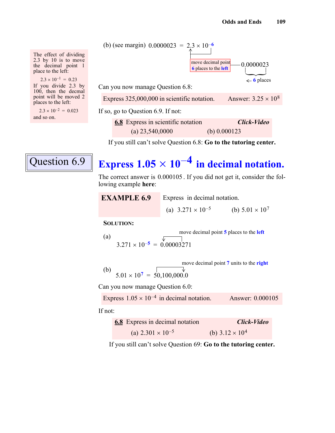The effect of dividing 2.3 by 10 is to move the decimal point 1 place to the left:  $2.3 \times 10^{-1} = 0.23$ 

If you divide 2.3 by 100, then the decmal point will be moved 2 places to the left:

and so on.  $2.3 \times 10^{-2} = 0.023$ 



If you still can't solve Question 6.8: **Go to the tutoring center.**



# **Express 1.05**  $\times$  10<sup>–4</sup> in decimal notation.

The correct answer is 0.000105. If you did not get it, consider the following example **here**:

| EXAMPLE 6.9                                                                            | Express in decimal notation. |                                                |
|----------------------------------------------------------------------------------------|------------------------------|------------------------------------------------|
|                                                                                        | (a) $3.271 \times 10^{-5}$   | (b) $5.01 \times 10^7$                         |
| <b>SOLUTION:</b>                                                                       |                              |                                                |
| (a)<br>$3.271 \times 10^{-5} = \begin{array}{c} 1 \ \sqrt{1} \ 0.00003271 \end{array}$ |                              | move decimal point 5 places to the <b>left</b> |
| (b) $5.01 \times 10^7 = 50,100,000.0$<br>Can you now manage Question 6.0:              |                              | move decimal point 7 units to the right        |
|                                                                                        |                              |                                                |
| Express $1.05 \times 10^{-4}$ in decimal notation.                                     |                              | Answer: 0.000105                               |

If not:

| <b>6.8</b> Express in decimal notation | Click-Video            |
|----------------------------------------|------------------------|
| (a) $2.301 \times 10^{-5}$             | (b) $3.12 \times 10^4$ |

If you still can't solve Question 69: **Go to the tutoring center.**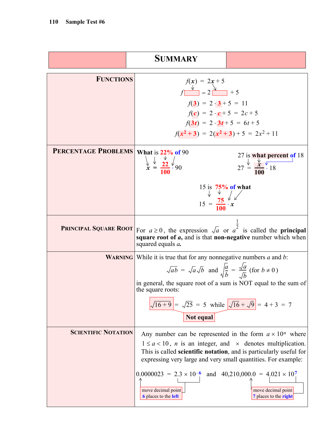|                            | <b>SUMMARY</b>                                                                                                                                                                                                                                                                          |                                                                                   |
|----------------------------|-----------------------------------------------------------------------------------------------------------------------------------------------------------------------------------------------------------------------------------------------------------------------------------------|-----------------------------------------------------------------------------------|
| <b>FUNCTIONS</b>           | $f(x) = 2x + 5$<br>$f(x) = 2x + 5$<br>$f(3) = 2 \cdot 3 + 5 = 11$<br>$f(c) = 2 \cdot c + 5 = 2c + 5$<br>$f(3t) = 2 \cdot 3t + 5 = 6t + 5$<br>$f(x^2+3) = 2(x^2+3)+5 = 2x^2+11$                                                                                                          |                                                                                   |
| <b>PERCENTAGE PROBLEMS</b> | <b>What is 22% of 90</b><br>$\begin{array}{c}\n\downarrow \psi \\ x = \frac{22}{100} \cdot 90\n\end{array}$                                                                                                                                                                             | 27 is what percent of 18<br>$27 = \frac{x}{100} \times 18$<br>15 is $75%$ of what |
|                            | $15 = \frac{75}{100} \times x$                                                                                                                                                                                                                                                          |                                                                                   |
| PRINCIPAL SQUARE ROOT      | For $a \ge 0$ , the expression $\sqrt{a}$ or $a^2$ is called the <b>principal</b><br>square root of $a$ , and is that non-negative number which when<br>squared equals a.                                                                                                               |                                                                                   |
|                            | <b>WARNING</b> While it is true that for any nonnegative numbers $a$ and $b$ .                                                                                                                                                                                                          |                                                                                   |
|                            | $\sqrt{ab} = \sqrt{a}\sqrt{b}$ and $\sqrt{\frac{a}{b}} = \frac{\sqrt{a}}{\sqrt{b}}$ (for $b \neq 0$ )                                                                                                                                                                                   |                                                                                   |
|                            | in general, the square root of a sum is NOT equal to the sum of<br>the square roots:                                                                                                                                                                                                    |                                                                                   |
|                            | $\sqrt{16+9}$ = $\sqrt{25}$ = 5 while $\sqrt{16} + \sqrt{9}$ = 4 + 3 = 7<br>Not equal                                                                                                                                                                                                   |                                                                                   |
| <b>SCIENTIFIC NOTATION</b> | Any number can be represented in the form $a \times 10^n$ where<br>$1 \le a < 10$ , <i>n</i> is an integer, and $\times$ denotes multiplication.<br>This is called scientific notation, and is particularly useful for<br>expressing very large and very small quantities. For example: |                                                                                   |
|                            | $0.0000023 = 2.3 \times 10^{-6}$ and $40,210,000.0 = 4.021 \times 10^{7}$<br>move decimal point<br><b>6</b> places to the <b>left</b>                                                                                                                                                   | move decimal point<br>7 places to the <b>right</b>                                |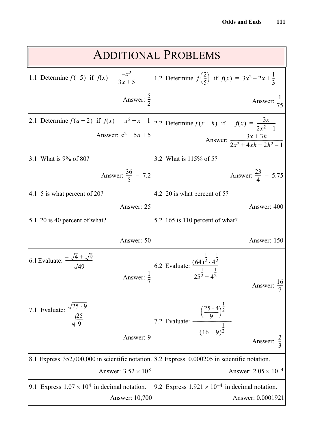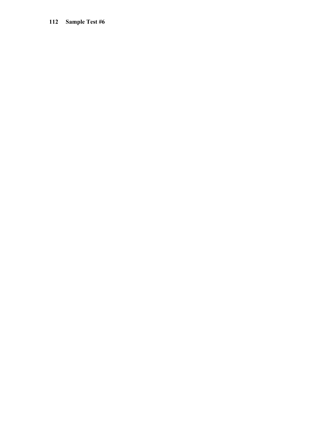#### **112 Sample Test #6**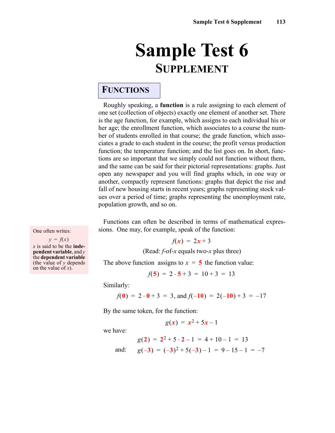# **Sample Test 6 SUPPLEMENT**

## **FUNCTIONS**

Roughly speaking, a **function** is a rule assigning to each element of one set (collection of objects) exactly one element of another set. There is the age function, for example, which assigns to each individual his or her age; the enrollment function, which associates to a course the number of students enrolled in that course; the grade function, which associates a grade to each student in the course; the profit versus production function; the temperature function; and the list goes on. In short, functions are so important that we simply could not function without them, and the same can be said for their pictorial representations: graphs. Just open any newspaper and you will find graphs which, in one way or another, compactly represent functions: graphs that depict the rise and fall of new housing starts in recent years; graphs representing stock values over a period of time; graphs representing the unemployment rate, population growth, and so on.

Functions can often be described in terms of mathematical expressions. One may, for example, speak of the function:

(Read: *f*-of-*x* equals two-*x* plus three)

The above function assigns to  $x = 5$  the function value:

$$
f(5) = 2 \cdot 5 + 3 = 10 + 3 = 13
$$

Similarly:

$$
f(\mathbf{0}) = 2 \cdot \mathbf{0} + 3 = 3
$$
, and  $f(-10) = 2(-10) + 3 = -17$ 

By the same token, for the function:

$$
g(\mathbf{x}) = \mathbf{x}^2 + 5\mathbf{x} - 1
$$

we have:

$$
g(2) = 2^2 + 5 \cdot 2 - 1 = 4 + 10 - 1 = 13
$$
  
and: 
$$
g(-3) = (-3)^2 + 5(-3) - 1 = 9 - 15 - 1 = -7
$$

One often writes:

*x* is said to be the **independent variable**, and *y* the **dependent variable** (the value of *y* depends on the value of *x*).  $y = f(x)$   $f(x) = 2x + 3$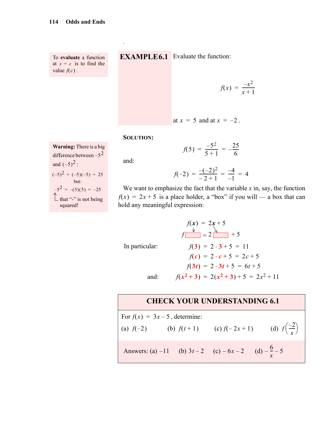To **evaluate** a function at  $x = c$  is to find the value  $f(c)$ .

.

**EXAMPLE 6.1** Evaluate the function:

$$
f(x) = \frac{-x^2}{x+1}
$$

at  $x = 5$  and at  $x = -2$ .

**SOLUTION:**

and:

**Warning:** There is a big difference between  $-5^2$ and  $(-5)^2$ :  $(-5)^2 = (-5)(-5) = 25$ but:  $-5^2 = -(5)(5) = -25$  $\mathcal{L}$  that "-" is not being squared!

 $f(5) = \frac{-5^2}{5+1} = -\frac{25}{6}$ 

$$
f(-2) = \frac{-(-2)^2}{-2+1} = \frac{-4}{-1} = 4
$$

We want to emphasize the fact that the variable *x* in, say, the function  $f(x) = 2x + 5$  is a place holder, a "box" if you will — a box that can hold any meaningful expression:

 $f(x) = 2x + 5$ 

In particular:

$$
f \frac{\sqrt{3}}{2} = 2 \frac{\sqrt{3}}{2} + 5
$$
  
\n
$$
f(3) = 2 \cdot 3 + 5 = 11
$$
  
\n
$$
f(c) = 2 \cdot c + 5 = 2c + 5
$$
  
\n
$$
f(3t) = 2 \cdot 3t + 5 = 6t + 5
$$
  
\n
$$
f(x^2 + 3) = 2(x^2 + 3) + 5 = 2x^2 + 11
$$

and:

**CHECK YOUR UNDERSTANDING 6.1**

For  $f(x) = 3x - 5$ , determine: (a)  $f(-2)$  (b)  $f(t+1)$  (c)  $f(-2x+1)$  (d)  $f(\frac{-2}{x})$ Answers: (a)  $-11$  (b)  $3t - 2$  (c)  $-6x - 2$  (d)  $-\frac{6}{x} - 5$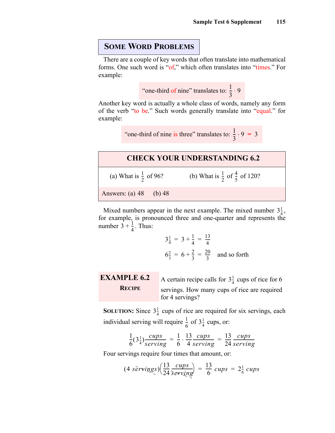## **SOME WORD PROBLEMS**

There are a couple of key words that often translate into mathematical forms. One such word is "of," which often translates into "times." For example:

"one-third of nine" translates to: 
$$
\frac{1}{3} \cdot 9
$$

Another key word is actually a whole class of words, namely any form of the verb "to be." Such words generally translate into "equal." for example:

"one-third of nine is three" translates to: 
$$
\frac{1}{3} \cdot 9 = 3
$$

| <b>CHECK YOUR UNDERSTANDING 6.2</b> |                                                    |  |
|-------------------------------------|----------------------------------------------------|--|
| (a) What is $\frac{1}{2}$ of 96?    | (b) What is $\frac{1}{2}$ of $\frac{4}{5}$ of 120? |  |
| Answers: (a) $48$ (b) $48$          |                                                    |  |

Mixed numbers appear in the next example. The mixed number  $3\frac{1}{4}$ , for example, is pronounced three and one-quarter and represents the number  $3 + \frac{1}{4}$ . Thus:

$$
3\frac{1}{4} = 3 + \frac{1}{4} = \frac{13}{4}
$$
  
\n $6\frac{2}{3} = 6 + \frac{2}{3} = \frac{20}{3}$  and so forth

## **EXAMPLE 6.2**

**RECIPE**

A certain recipe calls for  $3\frac{1}{4}$  cups of rice for 6 servings. How many cups of rice are required for 4 servings?

**SOLUTION:** Since  $3\frac{1}{4}$  cups of rice are required for six servings, each individual serving will require  $\frac{1}{6}$  of  $3\frac{1}{4}$  cups, or:  $\frac{1}{6}$  of 3 $\frac{1}{4}$ 

$$
\frac{1}{6}(3\frac{1}{4})\frac{cups}{serving} = \frac{1}{6} \cdot \frac{13}{4} \frac{cups}{serving} = \frac{13}{24} \frac{cups}{serving}
$$

Four servings require four times that amount, or:

$$
(4 \text{ sèrvings})\left(\frac{13}{24} \frac{cups}{serving}\right) = \frac{13}{6} \text{ cups} = 2\frac{1}{6} \text{ cups}
$$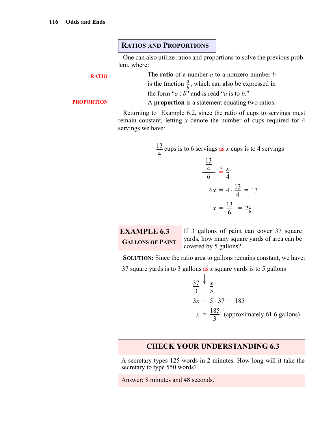#### **RATIOS AND PROPORTIONS**

4  $\frac{13}{4}$ 

One can also utilize ratios and proportions to solve the previous problem, where:

> The **ratio** of a number *a* to a nonzero number *b* is the fraction  $\frac{a}{i}$ , which can also be expressed in the form " $a : b$ " and is read " $a$  is to  $b$ ."  $\frac{a}{b}$

**PROPORTION**

**RATIO**

A **proportion** is a statement equating two ratios.

Returning to Example 6.2, since the ratio of cups to servings must remain constant, letting *x* denote the number of cups required for 4 servings we have:

> $\frac{13}{4}$  $\frac{4}{6} = \frac{4}{4}$  $6x = 4 \cdot \frac{13}{4} = 13$  $x = \frac{13}{6}$  $=\frac{15}{6}$  =  $2\frac{1}{6}$  $\frac{13}{12}$  cups is to 6 servings as *x* cups is to 4 servings

**EXAMPLE 6.3 GALLONS OF PAINT** If 3 gallons of paint can cover 37 square yards, how many square yards of area can be covered by 5 gallons?

**SOLUTION:** Since the ratio area to gallons remains constant, we have:

37 square yards is to 3 gallons as *x* square yards is to 5 gallons

$$
\frac{37}{3} \stackrel{\sqrt{1}{5}}{=} \frac{x}{5}
$$
  
3x = 5 \cdot 37 = 185  

$$
x = \frac{185}{3}
$$
 (approximately 61.6 gallons)

#### **CHECK YOUR UNDERSTANDING 6.3**

A secretary types 125 words in 2 minutes. How long will it take the secretary to type 550 words?

Answer: 8 minutes and 48 seconds.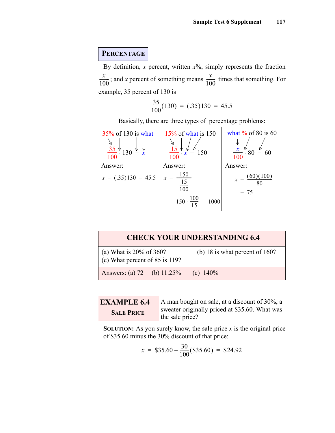## **PERCENTAGE**

By definition,  $x$  percent, written  $x\%$ , simply represents the fraction  $\frac{x}{\cos x}$ ; and *x* percent of something means  $\frac{x}{\cos x}$  times that something. For example, 35 percent of 130 is 100  $\frac{x}{100}$ ; and x percent of something means  $\frac{x}{100}$ 100  $\frac{\lambda}{100}$ 

$$
\frac{35}{100}(130) = (.35)130 = 45.5
$$

Basically, there are three types of percentage problems:

 $\mathbf{I}$ 

| 35% of 130 is what            | $15\%$ of what is 150               | what $\%$ of 80 is 60                 |
|-------------------------------|-------------------------------------|---------------------------------------|
| $\frac{35}{100}$ $^{1/2}$ 130 | <sup>150</sup><br>$\overline{100}$  | $\frac{x}{100}$ $\frac{y}{100}$<br>60 |
| Answer:                       | Answer:                             | Answer:                               |
| $x = (.35)130 = 45.5$         | 150<br>$\mathcal{X}$                |                                       |
|                               | 100                                 | $= 75$                                |
|                               | $= 150 \cdot \frac{100}{15} = 1000$ |                                       |

#### **CHECK YOUR UNDERSTANDING 6.4**

| (a) What is $20\%$ of 360?<br>(c) What percent of $85$ is 119? |  | (b) 18 is what percent of $160$ ? |
|----------------------------------------------------------------|--|-----------------------------------|
| Answers: (a) $72$ (b) $11.25\%$                                |  | (c) $140\%$                       |

**EXAMPLE 6.4 SALE PRICE**

A man bought on sale, at a discount of 30%, a sweater originally priced at \$35.60. What was the sale price?

**SOLUTION:** As you surely know, the sale price  $x$  is the original price of \$35.60 minus the 30% discount of that price:

$$
x = \$35.60 - \frac{30}{100}(\$35.60) = \$24.92
$$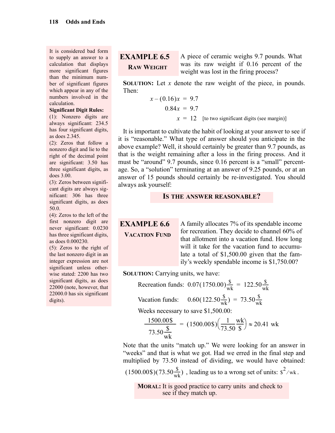It is considered bad form to supply an answer to a calculation that displays more significant figures than the minimum number of significant figures which appear in any of the numbers involved in the calculation.

#### **Significant Digit Rules:**

(1): Nonzero digits are always significant: 234.5 has four significant digits, as does 2.345.

(2): Zeros that follow a nonzero digit and lie to the right of the decimal point are significant: 3.50 has three significant digits, as does 3.00.

(3): Zeros between significant digits are always significant: 306 has three significant digits, as does 50.0.

(4): Zeros to the left of the first nonzero digit are never significant: 0.0230 has three significant digits, as does 0.000230.

(5): Zeros to the right of the last nonzero digit in an integer expression are not significant unless otherwise stated: 2200 has two significant digits, as does 22000 (note, however, that 22000.0 has six significant digits).

## **EXAMPLE 6.5 RAW WEIGHT**

A piece of ceramic weighs 9.7 pounds. What was its raw weight if 0.16 percent of the weight was lost in the firing process?

**SOLUTION:** Let *x* denote the raw weight of the piece, in pounds. Then:

> $x - (0.16)x = 9.7$  $0.84x = 9.7$

> > $x = 12$  [to two significant digits (see margin)]

It is important to cultivate the habit of looking at your answer to see if it is "reasonable." What type of answer should you anticipate in the above example? Well, it should certainly be greater than 9.7 pounds, as that is the weight remaining after a loss in the firing process. And it must be "around" 9.7 pounds, since 0.16 percent is a "small" percentage. So, a "solution" terminating at an answer of 9.25 pounds, or at an answer of 15 pounds should certainly be re-investigated. You should always ask yourself:

#### **IS THE ANSWER REASONABLE?**

## **EXAMPLE 6.6 VACATION FUND**

A family allocates 7% of its spendable income for recreation. They decide to channel 60% of that allotment into a vacation fund. How long will it take for the vacation fund to accumulate a total of \$1,500.00 given that the family's weekly spendable income is \$1,750.00?

**SOLUTION:** Carrying units, we have:

Recreation funds:  $0.07(1750.00) \frac{\$}{\text{wk}} = 122.50 \frac{\$}{\text{wk}}$ 

Vacation funds:  $0.60(122.50 \frac{\text{s}}{\text{wk}}) = 73.50 \frac{\text{s}}{\text{wk}}$ 

Weeks necessary to save \$1,500.00:

$$
\frac{1500.00\text{ s}}{73.50 \frac{\text{}}{\text{wk}}} = (1500.00\text{ s}) \left(\frac{1}{73.50} \frac{\text{wk}}{\text{ s}}\right) \approx 20.41 \text{ wk}
$$

Note that the units "match up." We were looking for an answer in "weeks" and that is what we got. Had we erred in the final step and multiplied by 73.50 instead of dividing, we would have obtained:

 $(1500.00\text{ s})(73.50\frac{\text{ s}}{\text{wk}})$ , leading us to a wrong set of units:  $\text{s}^2/\text{wk}$ .

**MORAL:** It is good practice to carry units and check to see if they match up.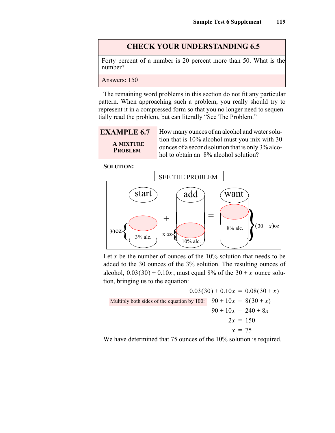## **CHECK YOUR UNDERSTANDING 6.5**

Forty percent of a number is 20 percent more than 50. What is the number?

Answers: 150

The remaining word problems in this section do not fit any particular pattern. When approaching such a problem, you really should try to represent it in a compressed form so that you no longer need to sequentially read the problem, but can literally "See The Problem."

## **EXAMPLE 6.7 A MIXTURE PROBLEM**

How many ounces of an alcohol and water solution that is 10% alcohol must you mix with 30 ounces of a second solution that is only 3% alcohol to obtain an 8% alcohol solution?

#### **SOLUTION:**



Let  $x$  be the number of ounces of the  $10\%$  solution that needs to be added to the 30 ounces of the 3% solution. The resulting ounces of alcohol,  $0.03(30) + 0.10x$ , must equal 8% of the  $30 + x$  ounce solution, bringing us to the equation:

$$
0.03(30) + 0.10x = 0.08(30 + x)
$$
  
\nMultiply both sides of the equation by 100: 
$$
90 + 10x = 8(30 + x)
$$
  
\n
$$
90 + 10x = 240 + 8x
$$
  
\n
$$
2x = 150
$$
  
\n
$$
x = 75
$$

We have determined that 75 ounces of the 10% solution is required.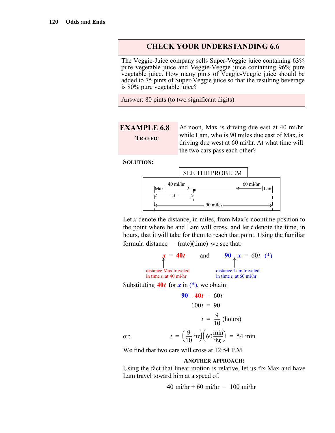### **CHECK YOUR UNDERSTANDING 6.6**

The Veggie-Juice company sells Super-Veggie juice containing 63% pure vegetable juice and Veggie-Veggie juice containing 96% pure vegetable juice. How many pints of Veggie-Veggie juice should be added to 75 pints of Super-Veggie juice so that the resulting beverage is 80% pure vegetable juice?

Answer: 80 pints (to two significant digits)

## **EXAMPLE 6.8**

**TRAFFIC**

At noon, Max is driving due east at 40 mi/hr while Lam, who is 90 miles due east of Max, is driving due west at 60 mi/hr. At what time will the two cars pass each other?

**SOLUTION:** 



Let *x* denote the distance, in miles, from Max's noontime position to the point where he and Lam will cross, and let *t* denote the time, in hours, that it will take for them to reach that point. Using the familiar formula distance  $=$  (rate)(time) we see that:

*x* = = **40***t* and **90** – *x* 60*t* distance Max traveled in time *t*, at 40 mi/hr distance Lam traveled in time *t*, at 60 mi/hr (\*)

Substituting  $40t$  for x in  $(*)$ , we obtain:

$$
90 - 40t = 60t
$$
  

$$
100t = 90
$$
  

$$
t = \frac{9}{10} \text{ (hours)}
$$
  
or:  

$$
t = \left(\frac{9}{10} \text{ kg}\right) \left(60 \frac{\text{min}}{\text{kg}}\right) = 54 \text{ min}
$$

We find that two cars will cross at 12:54 P.M.

#### **ANOTHER APPROACH:**

Using the fact that linear motion is relative, let us fix Max and have Lam travel toward him at a speed of.

$$
40 \text{ mi/hr} + 60 \text{ mi/hr} = 100 \text{ mi/hr}
$$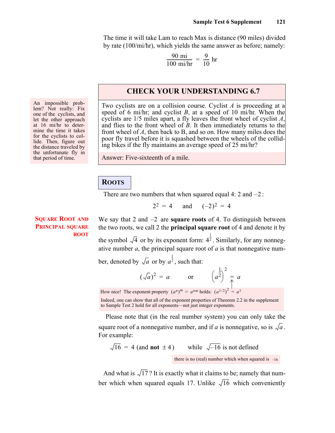The time it will take Lam to reach Max is distance (90 miles) divided by rate (100/mi/hr), which yields the same answer as before; namely:

$$
\frac{90 \text{ mi}}{100 \text{ mi/hr}} = \frac{9}{10} \text{ hr}
$$

### **CHECK YOUR UNDERSTANDING 6.7**

Two cyclists are on a collision course. Cyclist *A* is proceeding at a speed of 6 mi/hr; and cyclist *B*, at a speed of 10 mi/hr. When the cyclists are  $1/5$  miles apart, a fly leaves the front wheel of cyclist  $A$ , and flies to the front wheel of  $B$ . It then immediately returns to the front wheel of *A*, then back to B, and so on. How many miles does the poor fly travel before it is squashed between the wheels of the colliding bikes if the fly maintains an average speed of 25 mi/hr?

Answer: Five-sixteenth of a mile.

#### **ROOTS**

There are two numbers that when squared equal  $4: 2$  and  $-2:$ 

$$
2^2 = 4
$$
 and  $(-2)^2 = 4$ 

#### **SQUARE ROOT AND PRINCIPAL SOUARE ROOT**

An impossible problem? Not really: Fix one of the cyclists, and let the other approach at 16 mi/hr to determine the time it takes for the cyclists to collide. Then, figure out the distance traveled by the unfortunate fly in that period of time.

> We say that  $2$  and  $-2$  are **square roots** of  $4$ . To distinguish between the two roots, we call 2 the **principal square root** of 4 and denote it by

> the symbol  $\sqrt{4}$  or by its exponent form:  $4^{\frac{1}{2}}$ . Similarly, for any nonnegative number *a*, the principal square root of *a* is that nonnegative num- $\frac{1}{2}$

ber, denoted by  $\sqrt{a}$  or by  $a^{\frac{1}{2}}$ , such that:  $\frac{1}{2}$ 

$$
(\sqrt{a})^2 = a
$$
 or  $(a^{\frac{1}{2}})^2 = a$ 

How nice! The exponent property  $(a^n)^m = a^{nm}$  holds:  $(a^{1/2})^2 = a^1$ 

Indeed, one can show that all of the exponent properties of Theorem 2.2 in the supplement . to Sample Test 2 hold for all exponents—not just integer exponents.

 Please note that (in the real number system) you can only take the square root of a nonnegative number, and if *a* is nonnegative, so is  $\sqrt{a}$ . For example:

 $\sqrt{16}$  = 4 (and **not**  $\pm$  4) while  $\sqrt{-16}$  is not defined

there is no (real) number which when squared is  $-16$ 

And what is  $\sqrt{17}$ ? It is exactly what it claims to be; namely that number which when squared equals 17. Unlike  $\sqrt{16}$  which conveniently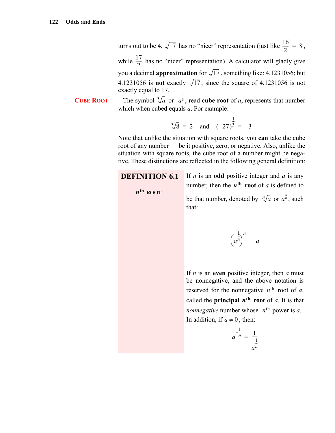turns out to be 4,  $\sqrt{17}$  has no "nicer" representation (just like  $\frac{16}{2} = 8$ , while  $\frac{17}{2}$  has no "nicer" representation). A calculator will gladly give you a decimal **approximation** for  $\sqrt{17}$ , something like: 4.1231056; but 4.1231056 is **not** exactly  $\sqrt{17}$ , since the square of 4.1231056 is not exactly equal to 17. 2  $\frac{1}{2}$ 

**CUBE ROOT** The symbol  $\sqrt[3]{a}$  or  $a^{\frac{1}{3}}$ , read **cube root** of *a*, represents that number which when cubed equals *a*. For example:  $\frac{1}{3}$ 

$$
\sqrt[3]{8} = 2
$$
 and  $(-27)^{\frac{1}{3}} = -3$ 

Note that unlike the situation with square roots, you **can** take the cube root of any number — be it positive, zero, or negative. Also, unlike the situation with square roots, the cube root of a number might be negative. These distinctions are reflected in the following general definition:

#### **DEFINITION 6.1**

 $n^{\text{th}}$  ROOT

If *n* is an **odd** positive integer and *a* is any number, then the  $n^{\text{th}}$  root of *a* is defined to be that number, denoted by  $\sqrt[n]{a}$  or  $a^{\frac{1}{n}}$ , such that: *n* --

$$
\left(a^n\right)^n = a
$$

If *n* is an **even** positive integer, then *a* must be nonnegative, and the above notation is reserved for the nonnegative  $n^{\text{th}}$  root of *a*, called the **principal**  $n^{\text{th}}$  **root** of *a*. It is that *nonnegative* number whose  $n^{\text{th}}$  power is *a*. In addition, if  $a \neq 0$ , then:

$$
a^{-\frac{1}{n}} = \frac{1}{a^n}
$$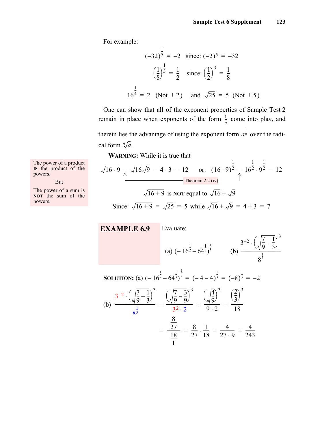1  $\frac{1}{2}$  = 16 1  $\frac{1}{2}$ .9 1

3

For example:

$$
(-32)^{\frac{1}{5}} = -2 \quad \text{since: } (-2)^5 = -32
$$

$$
\left(\frac{1}{8}\right)^{\frac{1}{3}} = \frac{1}{2} \quad \text{since: } \left(\frac{1}{2}\right)^3 = \frac{1}{8}
$$

$$
16^{\frac{1}{4}} = 2 \quad (\text{Not } \pm 2) \quad \text{and } \sqrt{25} = 5 \quad (\text{Not } \pm 5)
$$

One can show that all of the exponent properties of Sample Test 2 remain in place when exponents of the form  $\frac{1}{6}$  come into play, and therein lies the advantage of using the exponent form  $a^{\frac{1}{n}}$  over the radical form  $\sqrt[n]{a}$ . *n* - *n* --

**WARNING:** While it is true that

The power of a product **IS** the product of the powers.

 $16 \cdot 9 = \sqrt{16} \sqrt{9} = 4 \cdot 3 = 12$  or:  $(16 \cdot 9)$  $=\sqrt{16}\sqrt{9} = 4\cdot3 = 12$  or:  $(16\cdot9)^{\frac{1}{2}} = 16^{\frac{1}{2}}\cdot9^{\frac{1}{2}} = 12$ 

16 + 9 is **NOT** equal to  $\sqrt{16} + \sqrt{9}$ Theorem 2.2 (iv)

Since:  $\sqrt{16} + 9 = \sqrt{25} = 5$  while  $\sqrt{16} + \sqrt{9} = 4 + 3 = 7$ 

**EXAMPLE 6.9** Evaluate:

(b)

$$
(a) \left(-16^{\frac{1}{2}} - 64^{\frac{1}{3}}\right)^{\frac{1}{3}} \qquad (b) \frac{3^{-2} \cdot \left(\sqrt{\frac{7}{9}} - \frac{1}{3}\right)^3}{8^{\frac{1}{3}}}
$$
\n
$$
SOLUTION: (a) \left(-16^{\frac{1}{2}} - 64^{\frac{1}{3}}\right)^{\frac{1}{3}} = \left(-4 - 4\right)^{\frac{1}{3}} = \left(-8\right)^{\frac{1}{3}} = -2
$$
\n
$$
(b) \frac{3^{-2} \cdot \left(\sqrt{\frac{7}{9}} - \frac{1}{3}\right)^3}{8^{\frac{1}{3}}} = \frac{\left(\sqrt{\frac{7}{9}} - \frac{3}{9}\right)^3}{3^2 \cdot 2} = \frac{\left(\sqrt{\frac{4}{9}}\right)^3}{9 \cdot 2} = \frac{\left(\frac{2}{3}\right)^3}{18}
$$
\n
$$
\frac{\frac{8}{27}}{27} = 8 - 1
$$

$$
= \frac{27}{\frac{18}{1}} = \frac{8}{27} \cdot \frac{1}{18} = \frac{4}{27 \cdot 9} = \frac{4}{243}
$$

But

The power of a sum is **NOT** the sum of the powers.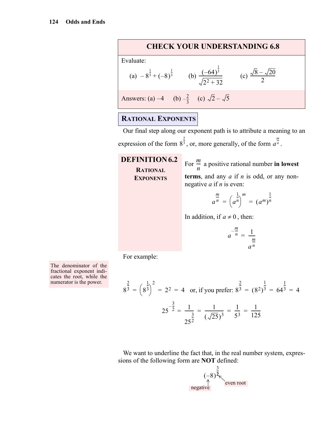## **CHECK YOUR UNDERSTANDING 6.8**

Evaluate:

(a) 
$$
-8^{\frac{1}{3}} + (-8)^{\frac{1}{3}}
$$
 (b)  $\frac{(-64)^{\frac{1}{3}}}{\sqrt{2^2 + 32}}$  (c)  $\frac{\sqrt{8} - \sqrt{20}}{2}$   
Answers: (a) -4 (b)  $-\frac{2}{3}$  (c)  $\sqrt{2} - \sqrt{5}$ 

## **RATIONAL EXPONENTS**

Our final step along our exponent path is to attribute a meaning to an expression of the form  $8^{\frac{2}{3}}$ , or, more generally, of the form  $a^{\frac{m}{n}}$ .  $\frac{2}{3}$ , or, more generally, of the form  $a^{\frac{m}{n}}$ *n* ---

#### **DEFINITION 6.2**

 **RATIONAL EXPONENTS**

For  $\frac{m}{n}$  a positive rational number in lowest **terms**, and any *a* if *n* is odd, or any nonnegative *a* if *n* is even: *n*  $\overline{ }$ 

$$
a^{\frac{m}{n}} = \left(a^{\frac{1}{n}}\right)^m = \left(a^m\right)^{\frac{1}{n}}
$$

In addition, if  $a \neq 0$ , then:

$$
a^{-\frac{m}{n}} = \frac{1}{a^n}
$$

For example:

The denominator of the fractional exponent indicates the root, while the numerator is the power.

$$
8^{\frac{2}{3}} = (8^{\frac{1}{3}})^2 = 2^2 = 4
$$
 or, if you prefer:  $8^{\frac{2}{3}} = (8^2)^{\frac{1}{3}} = 64^{\frac{1}{3}} = 4$   

$$
25^{-\frac{3}{2}} = \frac{1}{25^{\frac{3}{2}}} = \frac{1}{(\sqrt{25})^3} = \frac{1}{5^3} = \frac{1}{125}
$$

We want to underline the fact that, in the real number system, expressions of the following form are **NOT** defined:

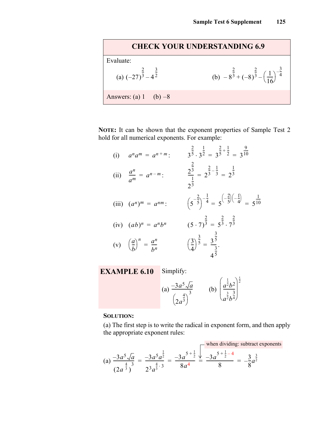

**NOTE:** It can be shown that the exponent properties of Sample Test 2 hold for all numerical exponents. For example:

- (i)  $a^n a^m = a^{n+m}$ : 3 2  $\frac{2}{5}$ .3 1  $-3^{\frac{1}{2}} = 3$ 2  $\frac{2}{5} + \frac{1}{2} = 3$ 9  $=3^{\frac{2}{5}+\frac{1}{2}}=3^{\frac{9}{10}}$ 2
- (ii)  $\frac{a^n}{a^m} = a^{n-m}$ : 2  $\frac{2}{3}$ 2 1  $\frac{1}{3}$  $\frac{2}{1}$  = 2 2  $\frac{2}{3} - \frac{1}{3} = 2$ 1  $= 2^{\frac{2}{3} - \frac{1}{3}} = 2^{\frac{1}{3}}$
- (iii)  $(a^n)^m = a^{nm}$  : [5  $\left(5^{-\frac{2}{5}}\right)$  $-\frac{1}{4}$  = 5 2  $\left(-\frac{2}{5}\right)\left(-\frac{1}{4}\right) = 5$ 1  $=5^{\left(-\frac{2}{5}\right)\left(-\frac{1}{4}\right)}=5^{\frac{1}{10}}$
- $(iv) (ab)^n = a^n b^n$  (5 · 7) (v)  $\left(\frac{a}{i}\right)^n = \frac{a^n}{i!}$  .  $\left(\frac{3}{i}\right)^{\frac{1}{5}} = \frac{3^5}{i!}$ . 2  $\frac{2}{3} = 5$ 2  $\frac{2}{3}$ .7 2  $= 5^{\frac{2}{3}} \cdot 7^{\frac{2}{3}}$  $\left(\frac{a}{b}\right)^n = \frac{a^n}{b^n}$   $\left(\frac{3}{4}\right)$ 3  $\frac{3}{5}$   $-$  3 3  $\frac{3}{5}$ 4 3  $\frac{3}{5}$  $= \frac{3}{2}$

**EXAMPLE 6.10** Simplify:

(a) 
$$
\frac{-3a^5\sqrt{a}}{\left(2a^{\frac{4}{3}}\right)^3}
$$
 (b)  $\left(\frac{a^{\frac{1}{2}}b^2}{a^{\frac{3}{2}}b^{\frac{3}{4}}}\right)^{\frac{1}{2}}$ 

#### **SOLUTION:**

(a) The first step is to write the radical in exponent form, and then apply the appropriate exponent rules:

(a) 
$$
\frac{-3a^5 \sqrt{a}}{(2a^{\frac{4}{3}})^3} = \frac{-3a^5 a^{\frac{1}{2}}}{2^3 a^{\frac{4}{3} \cdot 3}} = \frac{-3a^{5+\frac{1}{2}}}{8a^4} = \frac{3a^{5+\frac{1}{2}-4}}{8} = -\frac{3}{8}a^{\frac{3}{2}}
$$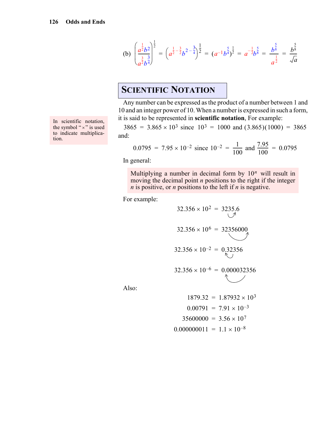(b) 
$$
\left(\frac{a^{\frac{1}{2}}b^2}{a^{\frac{3}{2}}b^{\frac{3}{2}}}\right)^{\frac{1}{2}} = \left(a^{\frac{1}{2}-\frac{3}{2}}b^{2-\frac{3}{4}}\right)^{\frac{1}{2}} = \left(a^{-1}b^{\frac{5}{4}}\right)^{\frac{1}{2}} = a^{-\frac{1}{2}}b^{\frac{5}{8}} = \frac{b^{\frac{5}{8}}}{a^{\frac{1}{2}}} = \frac{b^{\frac{5}{8}}}{\sqrt{a}}
$$

## **SCIENTIFIC NOTATION**

Any number can be expressed as the product of a number between 1 and 10 and an integer power of 10. When a number is expressed in such a form, it is said to be represented in **scientific notation**, For example:

 $3865 = 3.865 \times 10^3$  since  $10^3 = 1000$  and  $(3.865)(1000) = 3865$ and:

$$
0.0795 = 7.95 \times 10^{-2}
$$
 since  $10^{-2} = \frac{1}{100}$  and  $\frac{7.95}{100} = 0.0795$ 

In general:

Multiplying a number in decimal form by  $10<sup>n</sup>$  will result in moving the decimal point *n* positions to the right if the integer *n* is positive, or *n* positions to the left if *n* is negative.

For example:

 $32.356 \times 10^{2} = 3235.6$  $32.356 \times 10^6 = 32356000$  $32.356 \times 10^{-2} = 0.32356$  $32.356 \times 10^{-6} = 0.000032356$  $1879.32 = 1.87932 \times 10^{3}$  $0.00791 = 7.91 \times 10^{-3}$  $35600000 = 3.56 \times 10^7$  $0.000000011 = 1.1 \times 10^{-8}$ 

In scientific notation, the symbol " $\times$ " is used to indicate multiplication.

Also: